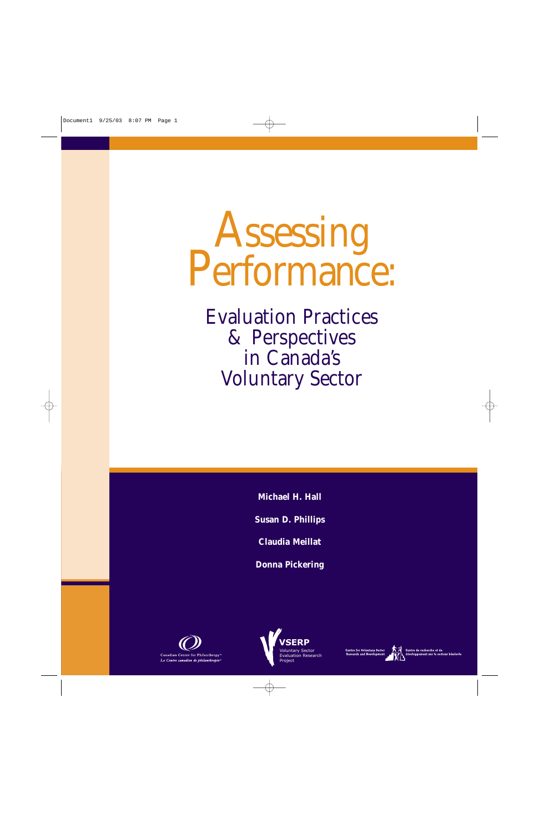# Assessing<br>Performance:

Evaluation Practices & Perspectives in Canada's Voluntary Sector

**Michael H. Hall**

**Susan D. Phillips**

**Claudia Meillat**

**Donna Pickering**





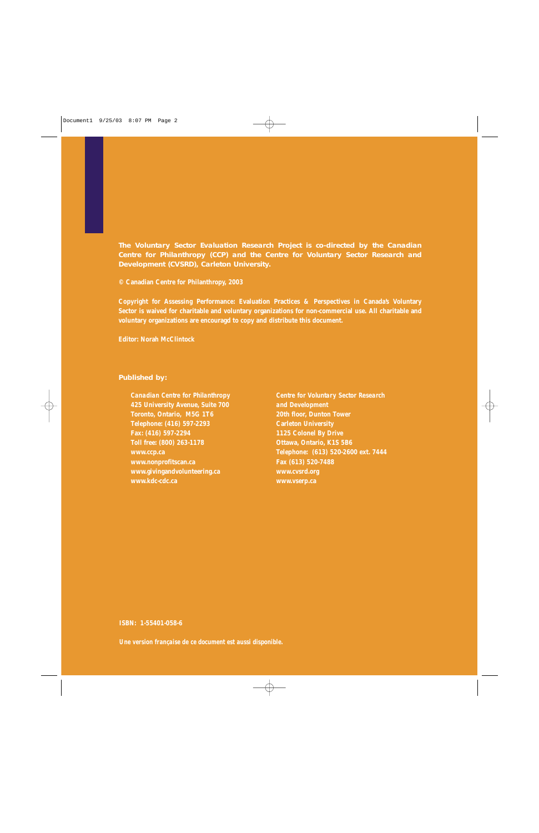**The Voluntary Sector Evaluation Research Project is co-directed by the Canadian Centre for Philanthropy (CCP) and the Centre for Voluntary Sector Research and Development (CVSRD), Carleton University.**

**© Canadian Centre for Philanthropy, 2003**

**Copyright for Assessing Performance: Evaluation Practices & Perspectives in Canada's Voluntary Sector is waived for charitable and voluntary organizations for non-commercial use. All charitable and voluntary organizations are encouragd to copy and distribute this document.**

**Editor: Norah McClintock**

#### **Published by:**

**Canadian Centre for Philanthropy 425 University Avenue, Suite 700 Toronto, Ontario, M5G 1T6 Telephone: (416) 597-2293 Fax: (416) 597-2294 Toll free: (800) 263-1178 www.ccp.ca www.nonprofitscan.ca www.givingandvolunteering.ca www.kdc-cdc.ca**

**Centre for Voluntary Sector Research and Development 20th floor, Dunton Tower Carleton University 1125 Colonel By Drive Ottawa, Ontario, K1S 5B6 Telephone: (613) 520-2600 ext. 7444 Fax (613) 520-7488 www.cvsrd.org www.vserp.ca**

#### **ISBN: 1-55401-058-6**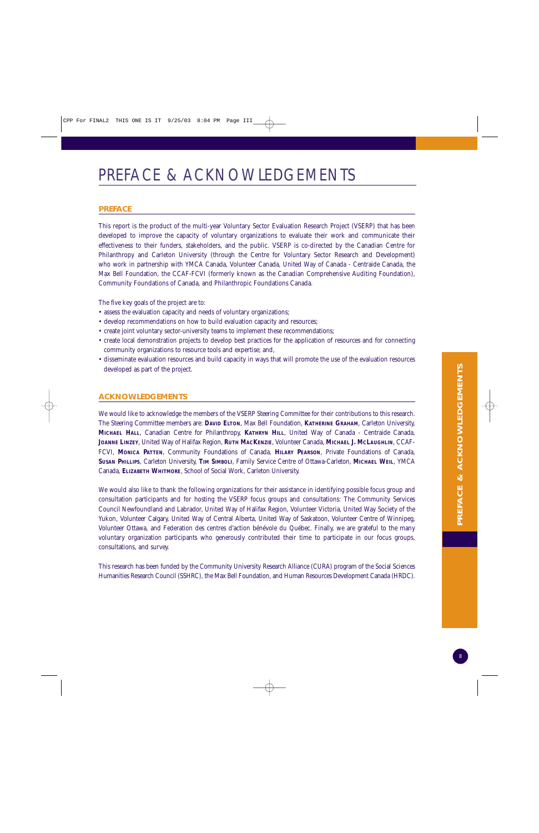## PREFACE & ACKNOWLEDGEMENTS

#### **PREFACE**

This report is the product of the multi-year Voluntary Sector Evaluation Research Project (VSERP) that has been developed to improve the capacity of voluntary organizations to evaluate their work and communicate their effectiveness to their funders, stakeholders, and the public. VSERP is co-directed by the Canadian Centre for Philanthropy and Carleton University (through the Centre for Voluntary Sector Research and Development) who work in partnership with YMCA Canada, Volunteer Canada, United Way of Canada - Centraide Canada, the Max Bell Foundation, the CCAF-FCVI (formerly known as the Canadian Comprehensive Auditing Foundation), Community Foundations of Canada, and Philanthropic Foundations Canada.

The five key goals of the project are to:

- assess the evaluation capacity and needs of voluntary organizations;
- develop recommendations on how to build evaluation capacity and resources;
- create joint voluntary sector-university teams to implement these recommendations;
- create local demonstration projects to develop best practices for the application of resources and for connecting community organizations to resource tools and expertise; and,
- disseminate evaluation resources and build capacity in ways that will promote the use of the evaluation resources developed as part of the project.

#### **ACKNOWLEDGEMENTS**

We would like to acknowledge the members of the VSERP Steering Committee for their contributions to this research. The Steering Committee members are: **DAVID ELTON**, Max Bell Foundation, **KATHERINE GRAHAM**, Carleton University, **MICHAEL HALL**, Canadian Centre for Philanthropy, **KATHRYN HILL**, United Way of Canada - Centraide Canada, **JOANNE LINZEY**, United Way of Halifax Region, **RUTH MACKENZIE**, Volunteer Canada, **MICHAEL J. MCLAUGHLIN**, CCAF-FCVI, **MONICA PATTEN**, Community Foundations of Canada, **HILARY PEARSON**, Private Foundations of Canada, **SUSAN PHILLIPS**, Carleton University, **TIM SIMBOLI**, Family Service Centre of Ottawa-Carleton, **MICHAEL WEIL**, YMCA Canada, **ELIZABETH WHITMORE**, School of Social Work, Carleton University.

We would also like to thank the following organizations for their assistance in identifying possible focus group and consultation participants and for hosting the VSERP focus groups and consultations: The Community Services Council Newfoundland and Labrador, United Way of Halifax Region, Volunteer Victoria, United Way Society of the Yukon, Volunteer Calgary, United Way of Central Alberta, United Way of Saskatoon, Volunteer Centre of Winnipeg, Volunteer Ottawa, and Federation des centres d'action bénévole du Québec. Finally, we are grateful to the many voluntary organization participants who generously contributed their time to participate in our focus groups, consultations, and survey.

This research has been funded by the Community University Research Alliance (CURA) program of the Social Sciences Humanities Research Council (SSHRC), the Max Bell Foundation, and Human Resources Development Canada (HRDC).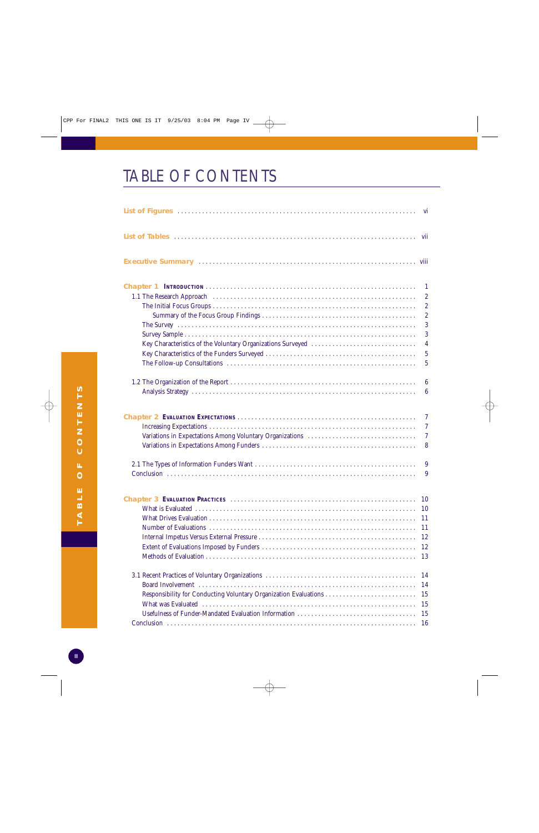# TABLE OF CONTENTS

|                                                             | $\mathbf{1}$                     |
|-------------------------------------------------------------|----------------------------------|
|                                                             | $\boldsymbol{2}$                 |
|                                                             | $\boldsymbol{2}$                 |
|                                                             | $\sqrt{2}$                       |
|                                                             | 3                                |
|                                                             | 3                                |
| Key Characteristics of the Voluntary Organizations Surveyed | $\overline{4}$                   |
|                                                             | $\overline{5}$                   |
|                                                             | $\overline{5}$                   |
|                                                             | $6\phantom{.}6$                  |
|                                                             | $\boldsymbol{6}$                 |
|                                                             | $\overline{7}$                   |
|                                                             | $\overline{7}$                   |
|                                                             | $\tau$                           |
|                                                             | 8                                |
|                                                             | 9                                |
|                                                             | 9                                |
| What is Evaluated                                           | 10<br>11<br>11<br>12<br>12<br>13 |
|                                                             | 14                               |
|                                                             | 14                               |
|                                                             | 15                               |
|                                                             | 15                               |
| Usefulness of Funder-Mandated Evaluation Information        | 15                               |
|                                                             | 16                               |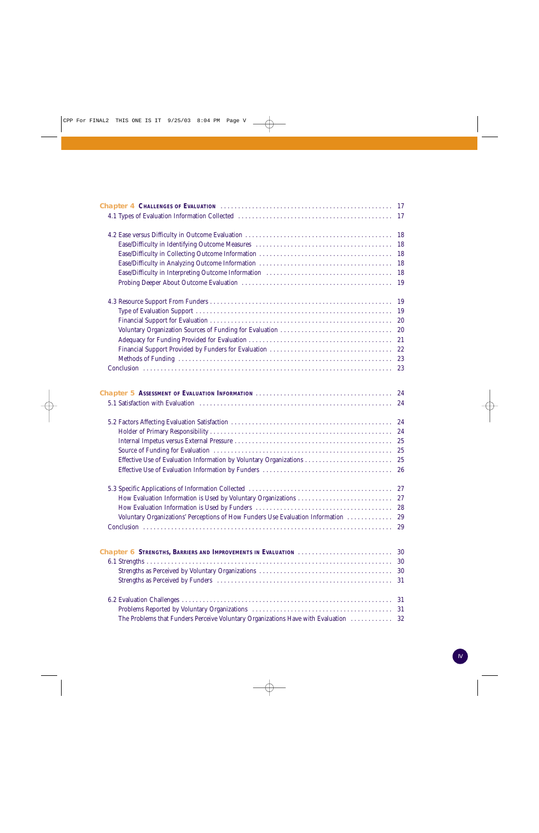| 18<br>18<br>18<br>18<br>18<br>19<br>-19<br>-19<br>20<br>20<br>21<br>22<br>23<br>23<br>24<br>24<br>24<br>24<br>25<br>25<br>26<br>28<br>Voluntary Organizations' Perceptions of How Funders Use Evaluation Information<br>29<br>29<br>Chapter 6 STRENGTHS, BARRIERS AND IMPROVEMENTS IN EVALUATION<br>30<br>30<br>30<br>31<br>31<br>31<br>32 |                                                                                 |  |
|--------------------------------------------------------------------------------------------------------------------------------------------------------------------------------------------------------------------------------------------------------------------------------------------------------------------------------------------|---------------------------------------------------------------------------------|--|
|                                                                                                                                                                                                                                                                                                                                            |                                                                                 |  |
|                                                                                                                                                                                                                                                                                                                                            |                                                                                 |  |
|                                                                                                                                                                                                                                                                                                                                            |                                                                                 |  |
|                                                                                                                                                                                                                                                                                                                                            |                                                                                 |  |
|                                                                                                                                                                                                                                                                                                                                            |                                                                                 |  |
|                                                                                                                                                                                                                                                                                                                                            |                                                                                 |  |
|                                                                                                                                                                                                                                                                                                                                            |                                                                                 |  |
|                                                                                                                                                                                                                                                                                                                                            |                                                                                 |  |
|                                                                                                                                                                                                                                                                                                                                            |                                                                                 |  |
|                                                                                                                                                                                                                                                                                                                                            |                                                                                 |  |
|                                                                                                                                                                                                                                                                                                                                            |                                                                                 |  |
|                                                                                                                                                                                                                                                                                                                                            |                                                                                 |  |
|                                                                                                                                                                                                                                                                                                                                            |                                                                                 |  |
|                                                                                                                                                                                                                                                                                                                                            |                                                                                 |  |
|                                                                                                                                                                                                                                                                                                                                            |                                                                                 |  |
|                                                                                                                                                                                                                                                                                                                                            |                                                                                 |  |
|                                                                                                                                                                                                                                                                                                                                            |                                                                                 |  |
|                                                                                                                                                                                                                                                                                                                                            |                                                                                 |  |
|                                                                                                                                                                                                                                                                                                                                            |                                                                                 |  |
|                                                                                                                                                                                                                                                                                                                                            |                                                                                 |  |
|                                                                                                                                                                                                                                                                                                                                            |                                                                                 |  |
|                                                                                                                                                                                                                                                                                                                                            |                                                                                 |  |
|                                                                                                                                                                                                                                                                                                                                            |                                                                                 |  |
|                                                                                                                                                                                                                                                                                                                                            |                                                                                 |  |
|                                                                                                                                                                                                                                                                                                                                            |                                                                                 |  |
|                                                                                                                                                                                                                                                                                                                                            |                                                                                 |  |
|                                                                                                                                                                                                                                                                                                                                            |                                                                                 |  |
|                                                                                                                                                                                                                                                                                                                                            |                                                                                 |  |
|                                                                                                                                                                                                                                                                                                                                            |                                                                                 |  |
|                                                                                                                                                                                                                                                                                                                                            |                                                                                 |  |
|                                                                                                                                                                                                                                                                                                                                            |                                                                                 |  |
|                                                                                                                                                                                                                                                                                                                                            |                                                                                 |  |
|                                                                                                                                                                                                                                                                                                                                            |                                                                                 |  |
|                                                                                                                                                                                                                                                                                                                                            |                                                                                 |  |
|                                                                                                                                                                                                                                                                                                                                            |                                                                                 |  |
|                                                                                                                                                                                                                                                                                                                                            |                                                                                 |  |
|                                                                                                                                                                                                                                                                                                                                            | The Problems that Funders Perceive Voluntary Organizations Have with Evaluation |  |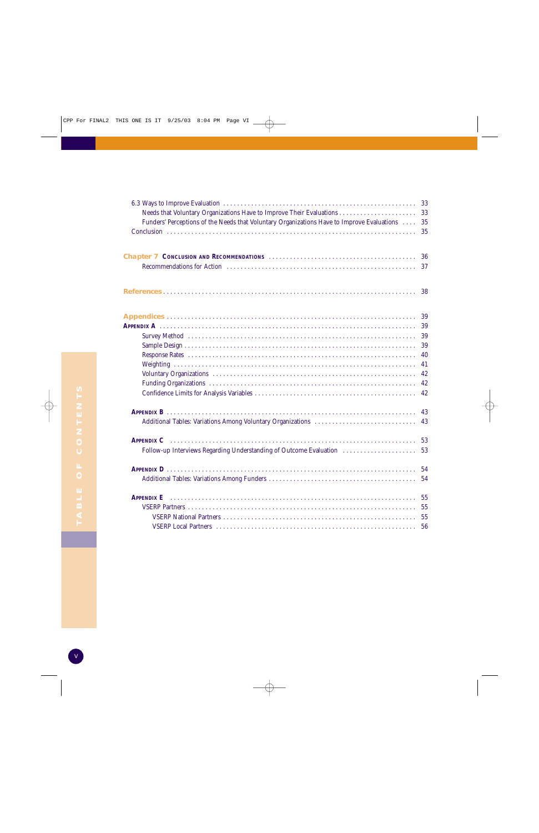|                                                                                            | 33 |
|--------------------------------------------------------------------------------------------|----|
|                                                                                            | 33 |
| Funders' Perceptions of the Needs that Voluntary Organizations Have to Improve Evaluations | 35 |
|                                                                                            | 35 |
|                                                                                            |    |
|                                                                                            | 36 |
|                                                                                            | 37 |
|                                                                                            | 38 |
|                                                                                            | 39 |
|                                                                                            | 39 |
|                                                                                            | 39 |
|                                                                                            | 39 |
|                                                                                            | 40 |
|                                                                                            | 41 |
|                                                                                            | 42 |
|                                                                                            | 42 |
|                                                                                            | 42 |
|                                                                                            | 43 |
|                                                                                            | 43 |
|                                                                                            | 53 |
| Follow-up Interviews Regarding Understanding of Outcome Evaluation                         | 53 |
|                                                                                            | 54 |
|                                                                                            | 54 |
| <b>APPENDIX E</b>                                                                          | 55 |
|                                                                                            | 55 |
|                                                                                            | 55 |
|                                                                                            | 56 |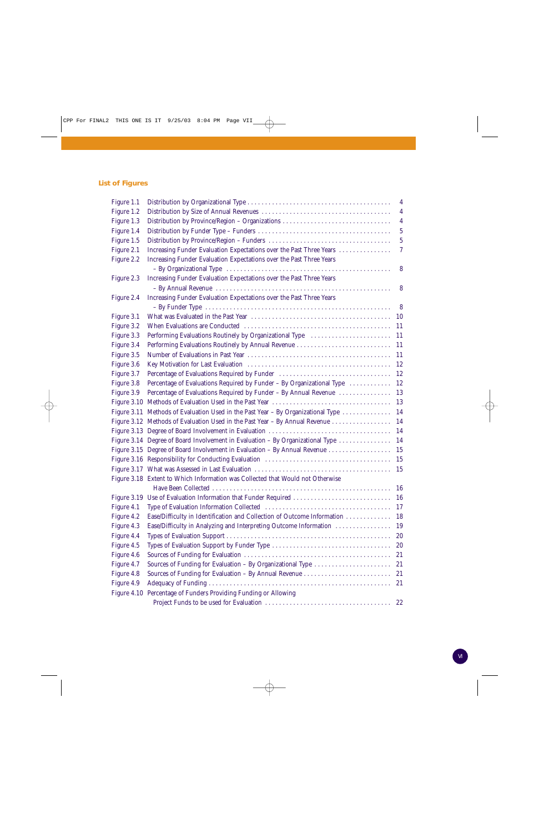### **List of Figures**

| Figure 1.1 |                                                                                  | $\overline{4}$ |
|------------|----------------------------------------------------------------------------------|----------------|
| Figure 1.2 |                                                                                  | $\overline{4}$ |
| Figure 1.3 | Distribution by Province/Region - Organizations                                  | $\overline{4}$ |
| Figure 1.4 |                                                                                  | $\overline{5}$ |
| Figure 1.5 |                                                                                  | $\overline{5}$ |
| Figure 2.1 | Increasing Funder Evaluation Expectations over the Past Three Years              | $\tau$         |
| Figure 2.2 | Increasing Funder Evaluation Expectations over the Past Three Years              |                |
|            |                                                                                  | 8              |
| Figure 2.3 | Increasing Funder Evaluation Expectations over the Past Three Years              |                |
|            |                                                                                  | 8              |
| Figure 2.4 | Increasing Funder Evaluation Expectations over the Past Three Years              |                |
|            |                                                                                  | 8              |
| Figure 3.1 |                                                                                  | 10             |
| Figure 3.2 |                                                                                  | 11             |
| Figure 3.3 |                                                                                  | 11             |
| Figure 3.4 |                                                                                  | 11             |
| Figure 3.5 |                                                                                  | 11             |
| Figure 3.6 |                                                                                  | 12             |
| Figure 3.7 | Percentage of Evaluations Required by Funder                                     | 12             |
| Figure 3.8 | Percentage of Evaluations Required by Funder - By Organizational Type            | 12             |
| Figure 3.9 | Percentage of Evaluations Required by Funder - By Annual Revenue                 | 13             |
|            |                                                                                  | 13             |
|            | Figure 3.11 Methods of Evaluation Used in the Past Year – By Organizational Type | 14             |
|            | Figure 3.12 Methods of Evaluation Used in the Past Year – By Annual Revenue      | 14             |
|            |                                                                                  | 14             |
|            | Figure 3.14 Degree of Board Involvement in Evaluation - By Organizational Type   | 14             |
|            | Figure 3.15 Degree of Board Involvement in Evaluation - By Annual Revenue        | 15             |
|            |                                                                                  | 15             |
|            |                                                                                  | 15             |
|            | Figure 3.18 Extent to Which Information was Collected that Would not Otherwise   |                |
|            |                                                                                  | 16             |
|            | Figure 3.19 Use of Evaluation Information that Funder Required  16               |                |
| Figure 4.1 |                                                                                  | 17             |
| Figure 4.2 | Ease/Difficulty in Identification and Collection of Outcome Information          | 18             |
| Figure 4.3 | Ease/Difficulty in Analyzing and Interpreting Outcome Information                | 19             |
| Figure 4.4 |                                                                                  | 20             |
| Figure 4.5 |                                                                                  | 20             |
| Figure 4.6 |                                                                                  | 21             |
| Figure 4.7 | Sources of Funding for Evaluation - By Organizational Type                       | 21             |
| Figure 4.8 |                                                                                  | 21             |
| Figure 4.9 |                                                                                  | 21             |
|            | Figure 4.10 Percentage of Funders Providing Funding or Allowing                  |                |
|            |                                                                                  | 22             |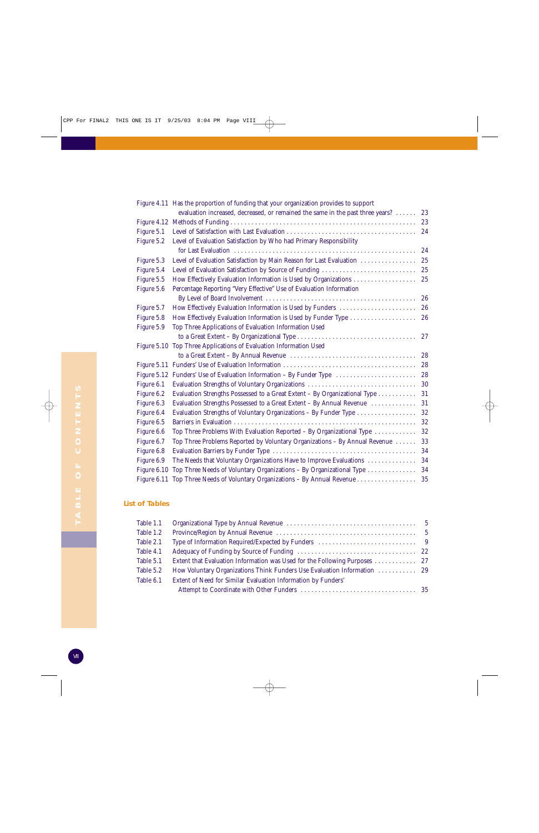|             | Figure 4.11 Has the proportion of funding that your organization provides to support |        |
|-------------|--------------------------------------------------------------------------------------|--------|
|             | evaluation increased, decreased, or remained the same in the past three years?       | 23     |
|             |                                                                                      | 23     |
| Figure 5.1  |                                                                                      | 24     |
| Figure 5.2  | Level of Evaluation Satisfaction by Who had Primary Responsibility                   |        |
|             |                                                                                      | 24     |
| Figure 5.3  | Level of Evaluation Satisfaction by Main Reason for Last Evaluation                  | 25     |
| Figure 5.4  | Level of Evaluation Satisfaction by Source of Funding                                | $25\,$ |
| Figure 5.5  | How Effectively Evaluation Information is Used by Organizations                      | 25     |
| Figure 5.6  | Percentage Reporting "Very Effective" Use of Evaluation Information                  |        |
|             |                                                                                      | 26     |
| Figure 5.7  | How Effectively Evaluation Information is Used by Funders                            | 26     |
| Figure 5.8  | How Effectively Evaluation Information is Used by Funder Type                        | 26     |
| Figure 5.9  | Top Three Applications of Evaluation Information Used                                |        |
|             |                                                                                      | 27     |
|             | Figure 5.10 Top Three Applications of Evaluation Information Used                    |        |
|             |                                                                                      | 28     |
|             |                                                                                      | 28     |
|             | Figure 5.12 Funders' Use of Evaluation Information – By Funder Type                  | 28     |
| Figure 6.1  | Evaluation Strengths of Voluntary Organizations                                      | 30     |
| Figure 6.2  | Evaluation Strengths Possessed to a Great Extent - By Organizational Type            | 31     |
| Figure 6.3  | Evaluation Strengths Possessed to a Great Extent - By Annual Revenue                 | 31     |
| Figure 6.4  | Evaluation Strengths of Voluntary Organizations - By Funder Type                     | 32     |
| Figure 6.5  |                                                                                      | 32     |
| Figure 6.6  | Top Three Problems With Evaluation Reported - By Organizational Type                 | $32\,$ |
| Figure 6.7  | Top Three Problems Reported by Voluntary Organizations - By Annual Revenue           | 33     |
| Figure 6.8  |                                                                                      | 34     |
| Figure 6.9  | The Needs that Voluntary Organizations Have to Improve Evaluations                   | 34     |
| Figure 6.10 | Top Three Needs of Voluntary Organizations - By Organizational Type                  | 34     |
| Figure 6.11 | Top Three Needs of Voluntary Organizations - By Annual Revenue                       | 35     |

#### **List of Tables**

| Table 1.1 |                                                                           |  |
|-----------|---------------------------------------------------------------------------|--|
| Table 1.2 |                                                                           |  |
| Table 2.1 |                                                                           |  |
| Table 4.1 |                                                                           |  |
| Table 5.1 | Extent that Evaluation Information was Used for the Following Purposes 27 |  |
| Table 5.2 |                                                                           |  |
| Table 6.1 | Extent of Need for Similar Evaluation Information by Funders'             |  |
|           |                                                                           |  |

۱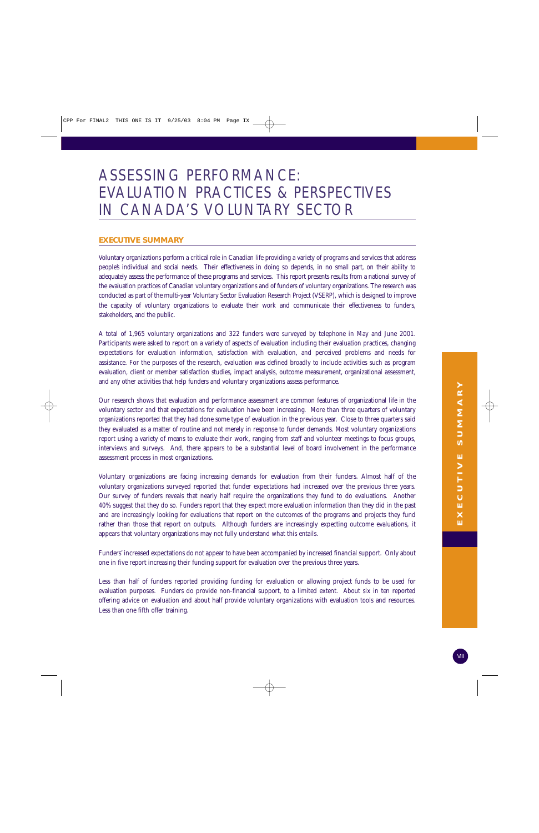## Voluntary organizations perform a critical role in Canadian life providing a variety of programs and services that address people's individual and social needs. Their effectiveness in doing so depends, in no small part, on their ability to adequately assess the performance of these programs and services. This report presents results from a national survey of the evaluation practices of Canadian voluntary organizations and of funders of voluntary organizations. The research was conducted as part of the multi-year Voluntary Sector Evaluation Research Project (VSERP), which is designed to improve the capacity of voluntary organizations to evaluate their work and communicate their effectiveness to funders,

A total of 1,965 voluntary organizations and 322 funders were surveyed by telephone in May and June 2001. Participants were asked to report on a variety of aspects of evaluation including their evaluation practices, changing expectations for evaluation information, satisfaction with evaluation, and perceived problems and needs for assistance. For the purposes of the research, evaluation was defined broadly to include activities such as program evaluation, client or member satisfaction studies, impact analysis, outcome measurement, organizational assessment, and any other activities that help funders and voluntary organizations assess performance.

EVALUATION PRACTICES & PERSPECTIVES

IN CANADA'S VOLUNTARY SECTOR

**EXECUTIVE SUMMARY**

ASSESSING PERFORMANCE:

stakeholders, and the public.

Our research shows that evaluation and performance assessment are common features of organizational life in the voluntary sector and that expectations for evaluation have been increasing. More than three quarters of voluntary organizations reported that they had done some type of evaluation in the previous year. Close to three quarters said they evaluated as a matter of routine and not merely in response to funder demands. Most voluntary organizations report using a variety of means to evaluate their work, ranging from staff and volunteer meetings to focus groups, interviews and surveys. And, there appears to be a substantial level of board involvement in the performance assessment process in most organizations.

Voluntary organizations are facing increasing demands for evaluation from their funders. Almost half of the voluntary organizations surveyed reported that funder expectations had increased over the previous three years. Our survey of funders reveals that nearly half require the organizations they fund to do evaluations. Another 40% suggest that they do so. Funders report that they expect more evaluation information than they did in the past and are increasingly looking for evaluations that report on the outcomes of the programs and projects they fund rather than those that report on outputs. Although funders are increasingly expecting outcome evaluations, it appears that voluntary organizations may not fully understand what this entails.

Funders' increased expectations do not appear to have been accompanied by increased financial support. Only about one in five report increasing their funding support for evaluation over the previous three years.

Less than half of funders reported providing funding for evaluation or allowing project funds to be used for evaluation purposes. Funders do provide non-financial support, to a limited extent. About six in ten reported offering advice on evaluation and about half provide voluntary organizations with evaluation tools and resources. Less than one fifth offer training.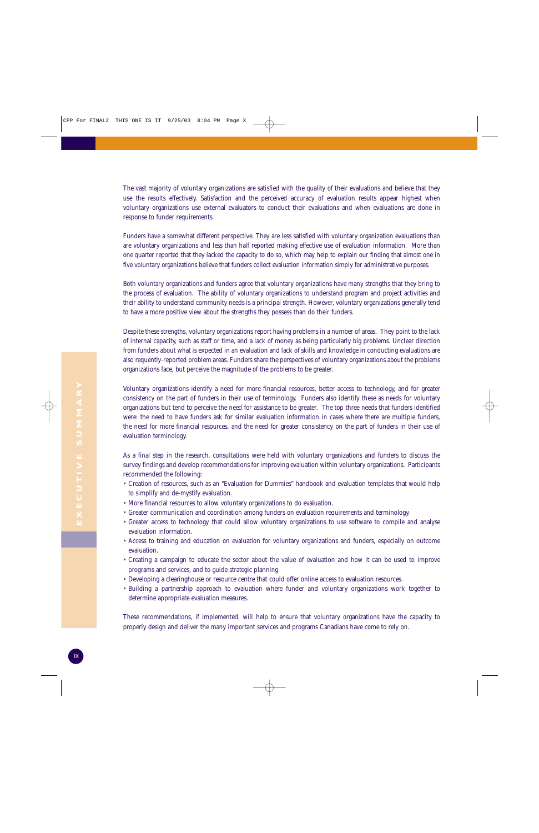The vast majority of voluntary organizations are satisfied with the quality of their evaluations and believe that they use the results effectively. Satisfaction and the perceived accuracy of evaluation results appear highest when voluntary organizations use external evaluators to conduct their evaluations and when evaluations are done in response to funder requirements.

Funders have a somewhat different perspective. They are less satisfied with voluntary organization evaluations than are voluntary organizations and less than half reported making effective use of evaluation information. More than one quarter reported that they lacked the capacity to do so, which may help to explain our finding that almost one in five voluntary organizations believe that funders collect evaluation information simply for administrative purposes.

Both voluntary organizations and funders agree that voluntary organizations have many strengths that they bring to the process of evaluation. The ability of voluntary organizations to understand program and project activities and their ability to understand community needs is a principal strength. However, voluntary organizations generally tend to have a more positive view about the strengths they possess than do their funders.

Despite these strengths, voluntary organizations report having problems in a number of areas. They point to the lack of internal capacity, such as staff or time, and a lack of money as being particularly big problems. Unclear direction from funders about what is expected in an evaluation and lack of skills and knowledge in conducting evaluations are also requently-reported problem areas. Funders share the perspectives of voluntary organizations about the problems organizations face, but perceive the magnitude of the problems to be greater.

Voluntary organizations identify a need for more financial resources, better access to technology, and for greater consistency on the part of funders in their use of terminology. Funders also identify these as needs for voluntary organizations but tend to perceive the need for assistance to be greater. The top three needs that funders identified were: the need to have funders ask for similar evaluation information in cases where there are multiple funders, the need for more financial resources, and the need for greater consistency on the part of funders in their use of evaluation terminology.

As a final step in the research, consultations were held with voluntary organizations and funders to discuss the survey findings and develop recommendations for improving evaluation within voluntary organizations. Participants recommended the following:

- Creation of resources, such as an "Evaluation for Dummies" handbook and evaluation templates that would help to simplify and de-mystify evaluation.
- More financial resources to allow voluntary organizations to do evaluation.
- Greater communication and coordination among funders on evaluation requirements and terminology.
- Greater access to technology that could allow voluntary organizations to use software to compile and analyse evaluation information.
- Access to training and education on evaluation for voluntary organizations and funders, especially on outcome evaluation.
- Creating a campaign to educate the sector about the value of evaluation and how it can be used to improve programs and services, and to guide strategic planning.
- Developing a clearinghouse or resource centre that could offer online access to evaluation resources.
- Building a partnership approach to evaluation where funder and voluntary organizations work together to determine appropriate evaluation measures.

These recommendations, if implemented, will help to ensure that voluntary organizations have the capacity to properly design and deliver the many important services and programs Canadians have come to rely on.

۱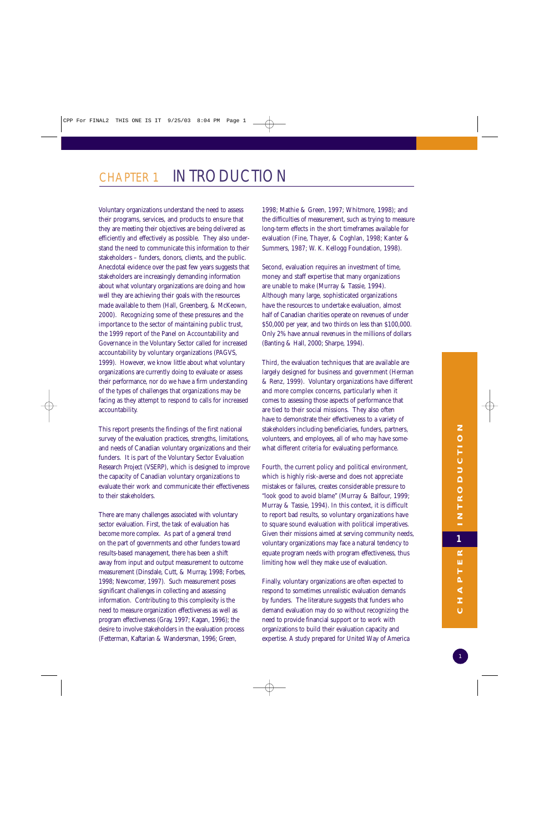## CHAPTER 1 INTRODUCTION

Voluntary organizations understand the need to assess their programs, services, and products to ensure that they are meeting their objectives are being delivered as efficiently and effectively as possible. They also understand the need to communicate this information to their stakeholders – funders, donors, clients, and the public. Anecdotal evidence over the past few years suggests that stakeholders are increasingly demanding information about what voluntary organizations are doing and how well they are achieving their goals with the resources made available to them (Hall, Greenberg, & McKeown, 2000). Recognizing some of these pressures and the importance to the sector of maintaining public trust, the 1999 report of the Panel on Accountability and Governance in the Voluntary Sector called for increased accountability by voluntary organizations (PAGVS, 1999). However, we know little about what voluntary organizations are currently doing to evaluate or assess their performance, nor do we have a firm understanding of the types of challenges that organizations may be facing as they attempt to respond to calls for increased accountability.

This report presents the findings of the first national survey of the evaluation practices, strengths, limitations, and needs of Canadian voluntary organizations and their funders. It is part of the Voluntary Sector Evaluation Research Project (VSERP), which is designed to improve the capacity of Canadian voluntary organizations to evaluate their work and communicate their effectiveness to their stakeholders.

There are many challenges associated with voluntary sector evaluation. First, the task of evaluation has become more complex. As part of a general trend on the part of governments and other funders toward results-based management, there has been a shift away from input and output measurement to outcome measurement (Dinsdale, Cutt, & Murray, 1998; Forbes, 1998; Newcomer, 1997). Such measurement poses significant challenges in collecting and assessing information. Contributing to this complexity is the need to measure organization effectiveness as well as program effectiveness (Gray, 1997; Kagan, 1996); the desire to involve stakeholders in the evaluation process (Fetterman, Kaftarian & Wandersman, 1996; Green,

1998; Mathie & Green, 1997; Whitmore, 1998); and the difficulties of measurement, such as trying to measure long-term effects in the short timeframes available for evaluation (Fine, Thayer, & Coghlan, 1998; Kanter & Summers, 1987; W. K. Kellogg Foundation, 1998).

Second, evaluation requires an investment of time, money and staff expertise that many organizations are unable to make (Murray & Tassie, 1994). Although many large, sophisticated organizations have the resources to undertake evaluation, almost half of Canadian charities operate on revenues of under \$50,000 per year, and two thirds on less than \$100,000. Only 2% have annual revenues in the millions of dollars (Banting & Hall, 2000; Sharpe, 1994).

Third, the evaluation techniques that are available are largely designed for business and government (Herman & Renz, 1999). Voluntary organizations have different and more complex concerns, particularly when it comes to assessing those aspects of performance that are tied to their social missions. They also often have to demonstrate their effectiveness to a variety of stakeholders including beneficiaries, funders, partners, volunteers, and employees, all of who may have somewhat different criteria for evaluating performance.

Fourth, the current policy and political environment, which is highly risk-averse and does not appreciate mistakes or failures, creates considerable pressure to "look good to avoid blame" (Murray & Balfour, 1999; Murray & Tassie, 1994). In this context, it is difficult to report bad results, so voluntary organizations have to square sound evaluation with political imperatives. Given their missions aimed at serving community needs, voluntary organizations may face a natural tendency to equate program needs with program effectiveness, thus limiting how well they make use of evaluation.

Finally, voluntary organizations are often expected to respond to sometimes unrealistic evaluation demands by funders. The literature suggests that funders who demand evaluation may do so without recognizing the need to provide financial support or to work with organizations to build their evaluation capacity and expertise. A study prepared for United Way of America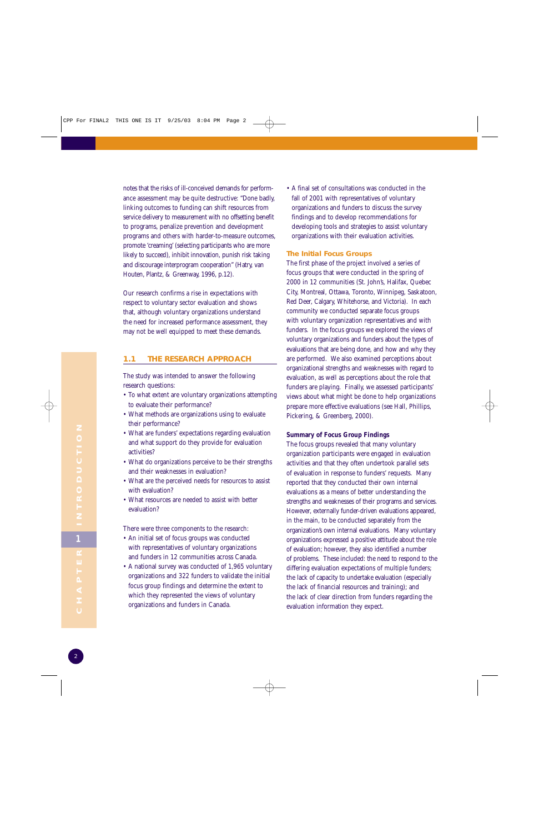notes that the risks of ill-conceived demands for performance assessment may be quite destructive: "Done badly, linking outcomes to funding can shift resources from service delivery to measurement with no offsetting benefit to programs, penalize prevention and development programs and others with harder-to-measure outcomes, promote 'creaming' (selecting participants who are more likely to succeed), inhibit innovation, punish risk taking and discourage interprogram cooperation" (Hatry, van Houten, Plantz, & Greenway, 1996, p.12).

Our research confirms a rise in expectations with respect to voluntary sector evaluation and shows that, although voluntary organizations understand the need for increased performance assessment, they may not be well equipped to meet these demands.

#### **1.1 THE RESEARCH APPROACH**

The study was intended to answer the following research questions:

- To what extent are voluntary organizations attempting to evaluate their performance?
- What methods are organizations using to evaluate their performance?
- What are funders' expectations regarding evaluation and what support do they provide for evaluation activities?
- What do organizations perceive to be their strengths and their weaknesses in evaluation?
- What are the perceived needs for resources to assist with evaluation?
- What resources are needed to assist with better evaluation?

There were three components to the research:

- An initial set of focus groups was conducted with representatives of voluntary organizations and funders in 12 communities across Canada.
- A national survey was conducted of 1,965 voluntary organizations and 322 funders to validate the initial focus group findings and determine the extent to which they represented the views of voluntary organizations and funders in Canada.

• A final set of consultations was conducted in the fall of 2001 with representatives of voluntary organizations and funders to discuss the survey findings and to develop recommendations for developing tools and strategies to assist voluntary organizations with their evaluation activities.

#### **The Initial Focus Groups**

The first phase of the project involved a series of focus groups that were conducted in the spring of 2000 in 12 communities (St. John's, Halifax, Quebec City, Montreal, Ottawa, Toronto, Winnipeg, Saskatoon, Red Deer, Calgary, Whitehorse, and Victoria). In each community we conducted separate focus groups with voluntary organization representatives and with funders. In the focus groups we explored the views of voluntary organizations and funders about the types of evaluations that are being done, and how and why they are performed. We also examined perceptions about organizational strengths and weaknesses with regard to evaluation, as well as perceptions about the role that funders are playing. Finally, we assessed participants' views about what might be done to help organizations prepare more effective evaluations (see Hall, Phillips, Pickering, & Greenberg, 2000).

#### **Summary of Focus Group Findings**

The focus groups revealed that many voluntary organization participants were engaged in evaluation activities and that they often undertook parallel sets of evaluation in response to funders' requests. Many reported that they conducted their own internal evaluations as a means of better understanding the strengths and weaknesses of their programs and services. However, externally funder-driven evaluations appeared, in the main, to be conducted separately from the organization's own internal evaluations. Many voluntary organizations expressed a positive attitude about the role of evaluation; however, they also identified a number of problems. These included: the need to respond to the differing evaluation expectations of multiple funders; the lack of capacity to undertake evaluation (especially the lack of financial resources and training); and the lack of clear direction from funders regarding the evaluation information they expect.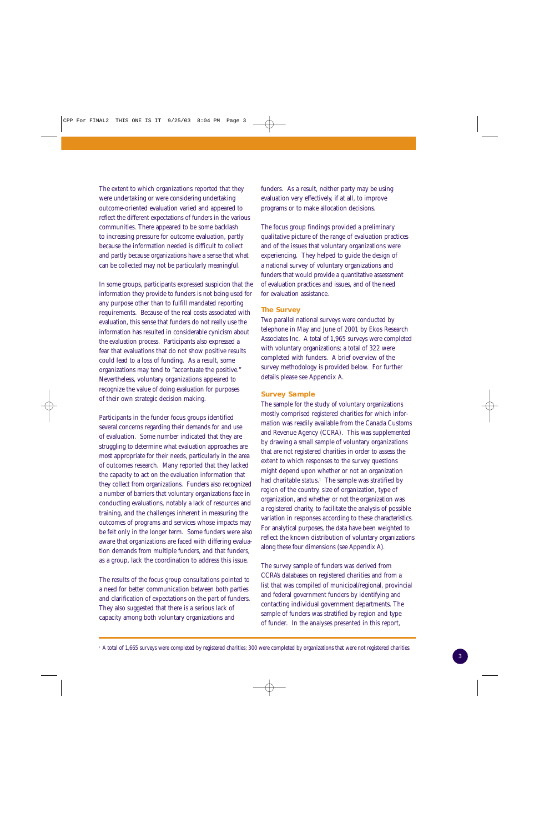The extent to which organizations reported that they were undertaking or were considering undertaking outcome-oriented evaluation varied and appeared to reflect the different expectations of funders in the various communities. There appeared to be some backlash to increasing pressure for outcome evaluation, partly because the information needed is difficult to collect and partly because organizations have a sense that what can be collected may not be particularly meaningful.

In some groups, participants expressed suspicion that the information they provide to funders is not being used for any purpose other than to fulfill mandated reporting requirements. Because of the real costs associated with evaluation, this sense that funders do not really use the information has resulted in considerable cynicism about the evaluation process. Participants also expressed a fear that evaluations that do not show positive results could lead to a loss of funding. As a result, some organizations may tend to "accentuate the positive." Nevertheless, voluntary organizations appeared to recognize the value of doing evaluation for purposes of their own strategic decision making.

Participants in the funder focus groups identified several concerns regarding their demands for and use of evaluation. Some number indicated that they are struggling to determine what evaluation approaches are most appropriate for their needs, particularly in the area of outcomes research. Many reported that they lacked the capacity to act on the evaluation information that they collect from organizations. Funders also recognized a number of barriers that voluntary organizations face in conducting evaluations, notably a lack of resources and training, and the challenges inherent in measuring the outcomes of programs and services whose impacts may be felt only in the longer term. Some funders were also aware that organizations are faced with differing evaluation demands from multiple funders, and that funders, as a group, lack the coordination to address this issue.

The results of the focus group consultations pointed to a need for better communication between both parties and clarification of expectations on the part of funders. They also suggested that there is a serious lack of capacity among both voluntary organizations and

funders. As a result, neither party may be using evaluation very effectively, if at all, to improve programs or to make allocation decisions.

The focus group findings provided a preliminary qualitative picture of the range of evaluation practices and of the issues that voluntary organizations were experiencing. They helped to guide the design of a national survey of voluntary organizations and funders that would provide a quantitative assessment of evaluation practices and issues, and of the need for evaluation assistance.

#### **The Survey**

Two parallel national surveys were conducted by telephone in May and June of 2001 by Ekos Research Associates Inc. A total of 1,965 surveys were completed with voluntary organizations; a total of 322 were completed with funders. A brief overview of the survey methodology is provided below. For further details please see Appendix A.

#### **Survey Sample**

The sample for the study of voluntary organizations mostly comprised registered charities for which information was readily available from the Canada Customs and Revenue Agency (CCRA). This was supplemented by drawing a small sample of voluntary organizations that are not registered charities in order to assess the extent to which responses to the survey questions might depend upon whether or not an organization had charitable status.<sup>1</sup> The sample was stratified by region of the country, size of organization, type of organization, and whether or not the organization was a registered charity, to facilitate the analysis of possible variation in responses according to these characteristics. For analytical purposes, the data have been weighted to reflect the known distribution of voluntary organizations along these four dimensions (see Appendix A).

The survey sample of funders was derived from CCRA's databases on registered charities and from a list that was compiled of municipal/regional, provincial and federal government funders by identifying and contacting individual government departments. The sample of funders was stratified by region and type of funder. In the analyses presented in this report,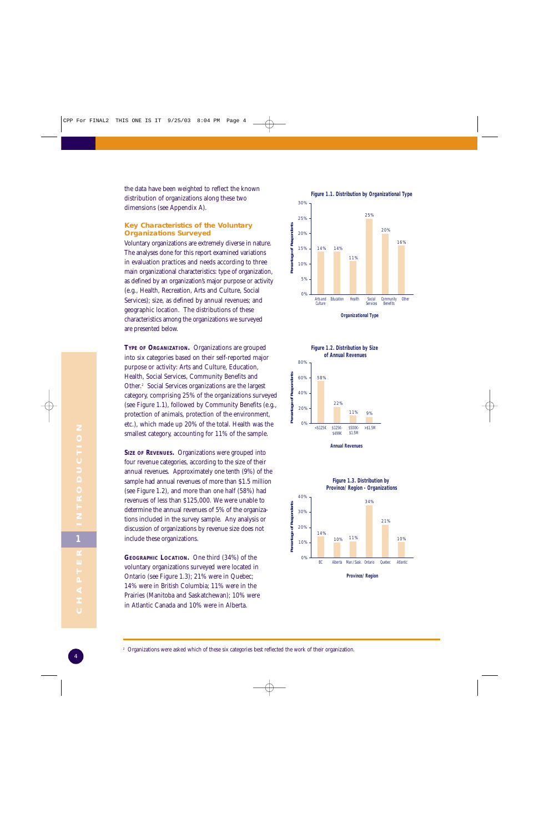the data have been weighted to reflect the known distribution of organizations along these two dimensions (see Appendix A).

#### **Key Characteristics of the Voluntary Organizations Surveyed**

Voluntary organizations are extremely diverse in nature. The analyses done for this report examined variations in evaluation practices and needs according to three main organizational characteristics: type of organization, as defined by an organization's major purpose or activity (e.g., Health, Recreation, Arts and Culture, Social Services); size, as defined by annual revenues; and geographic location. The distributions of these characteristics among the organizations we surveyed are presented below.

**TYPE OF ORGANIZATION.** Organizations are grouped into six categories based on their self-reported major purpose or activity: Arts and Culture, Education, Health, Social Services, Community Benefits and Other.2 Social Services organizations are the largest category, comprising 25% of the organizations surveyed (see Figure 1.1), followed by Community Benefits (e.g., protection of animals, protection of the environment, etc.), which made up 20% of the total. Health was the smallest category, accounting for 11% of the sample.

**SIZE OF REVENUES.** Organizations were grouped into four revenue categories, according to the size of their annual revenues. Approximately one tenth (9%) of the sample had annual revenues of more than \$1.5 million (see Figure 1.2), and more than one half (58%) had revenues of less than \$125,000. We were unable to determine the annual revenues of 5% of the organizations included in the survey sample. Any analysis or discussion of organizations by revenue size does not include these organizations.

**GEOGRAPHIC LOCATION.** One third (34%) of the voluntary organizations surveyed were located in Ontario (see Figure 1.3); 21% were in Quebec; 14% were in British Columbia; 11% were in the Prairies (Manitoba and Saskatchewan); 10% were in Atlantic Canada and 10% were in Alberta.





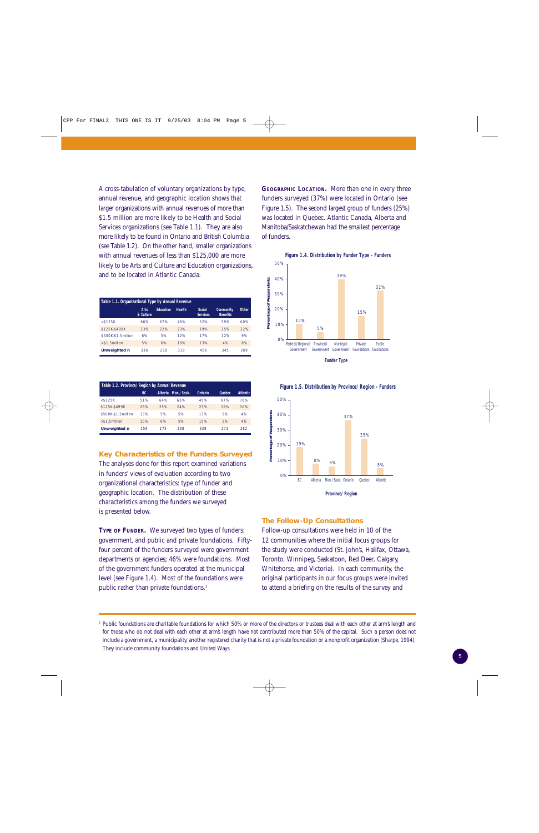A cross-tabulation of voluntary organizations by type, annual revenue, and geographic location shows that larger organizations with annual revenues of more than \$1.5 million are more likely to be Health and Social Services organizations (see Table 1.1). They are also more likely to be found in Ontario and British Columbia (see Table 1.2). On the other hand, smaller organizations with annual revenues of less than \$125,000 are more likely to be Arts and Culture and Education organizations, and to be located in Atlantic Canada.

| Table 1.1. Organizational Type by Annual Revenue |                          |                  |               |                           |                                     |              |
|--------------------------------------------------|--------------------------|------------------|---------------|---------------------------|-------------------------------------|--------------|
|                                                  | <b>Arts</b><br>& Culture | <b>Education</b> | <b>Health</b> | Social<br><b>Services</b> | <b>Community</b><br><b>Benefits</b> | <b>Other</b> |
| $<$ \$125K                                       | 66%                      | 67%              | 46%           | 52%                       | 59%                                 | 60%          |
| \$125K-\$499K                                    | 23%                      | 22%              | 23%           | 19%                       | 25%                                 | 22%          |
| \$500K-\$1.5million                              | 6%                       | 5%               | 12%           | 17%                       | 12%                                 | 9%           |
| $> $1.5$ million                                 | 5%                       | 6%               | 19%           | 13%                       | 4%                                  | 8%           |
| Unweighted n                                     | 336                      | 238              | 319           | 458                       | 345                                 | 269          |

| Table 1.2. Province/Region by Annual Revenue |     |     |                    |         |        |                 |
|----------------------------------------------|-----|-----|--------------------|---------|--------|-----------------|
|                                              | BC. |     | Alberta Man./Sask. | Ontario | Ouebec | <b>Atlantic</b> |
| $<$ \$125K                                   | 51% | 64% | 65%                | 45%     | 67%    | 76%             |
| \$125K-\$499K                                | 26% | 25% | 24%                | 23%     | 19%    | 16%             |
| \$500K-\$1.5million                          | 13% | 5%  | 5%                 | 17%     | 9%     | 4%              |
| $> $1.5$ million                             | 10% | 6%  | 5%                 | 15%     | 5%     | 4%              |
| <b>Unweighted n</b>                          | 259 | 275 | 238                | 638     | 273    | 282             |

**Key Characteristics of the Funders Surveyed** The analyses done for this report examined variations in funders' views of evaluation according to two organizational characteristics: type of funder and geographic location. The distribution of these characteristics among the funders we surveyed is presented below.

**TYPE OF FUNDER.** We surveyed two types of funders: government, and public and private foundations. Fiftyfour percent of the funders surveyed were government departments or agencies; 46% were foundations. Most of the government funders operated at the municipal level (see Figure 1.4). Most of the foundations were public rather than private foundations.<sup>3</sup>

**GEOGRAPHIC LOCATION.** More than one in every three funders surveyed (37%) were located in Ontario (see Figure 1.5). The second largest group of funders (25%) was located in Quebec. Atlantic Canada, Alberta and Manitoba/Saskatchewan had the smallest percentage of funders.





**Figure 1.5. Distribution by Province/Region - Funders**

#### **The Follow-Up Consultations**

Follow-up consultations were held in 10 of the 12 communities where the initial focus groups for the study were conducted (St. John's, Halifax, Ottawa, Toronto, Winnipeg, Saskatoon, Red Deer, Calgary, Whitehorse, and Victoria). In each community, the original participants in our focus groups were invited to attend a briefing on the results of the survey and

<sup>&</sup>lt;sup>3</sup> Public foundations are charitable foundations for which 50% or more of the directors or trustees deal with each other at arm's length and for those who do not deal with each other at arm's length have not contributed more than 50% of the capital. Such a person does not include a government, a municipality, another registered charity that is not a private foundation or a nonprofit organization (Sharpe, 1994). They include community foundations and United Ways.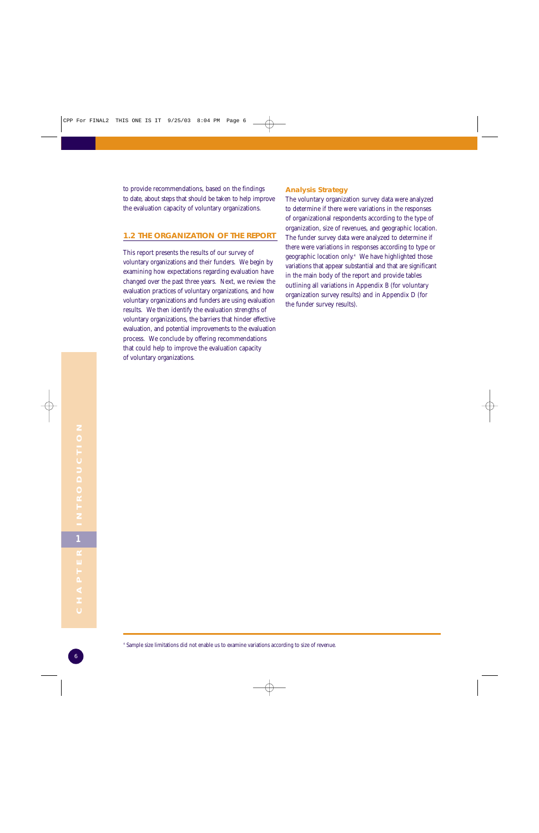to provide recommendations, based on the findings to date, about steps that should be taken to help improve the evaluation capacity of voluntary organizations.

#### **1.2 THE ORGANIZATION OF THE REPORT**

This report presents the results of our survey of voluntary organizations and their funders. We begin by examining how expectations regarding evaluation have changed over the past three years. Next, we review the evaluation practices of voluntary organizations, and how voluntary organizations and funders are using evaluation results. We then identify the evaluation strengths of voluntary organizations, the barriers that hinder effective evaluation, and potential improvements to the evaluation process. We conclude by offering recommendations that could help to improve the evaluation capacity of voluntary organizations.

#### **Analysis Strategy**

The voluntary organization survey data were analyzed to determine if there were variations in the responses of organizational respondents according to the type of organization, size of revenues, and geographic location. The funder survey data were analyzed to determine if there were variations in responses according to type or geographic location only.4 We have highlighted those variations that appear substantial and that are significant in the main body of the report and provide tables outlining all variations in Appendix B (for voluntary organization survey results) and in Appendix D (for the funder survey results).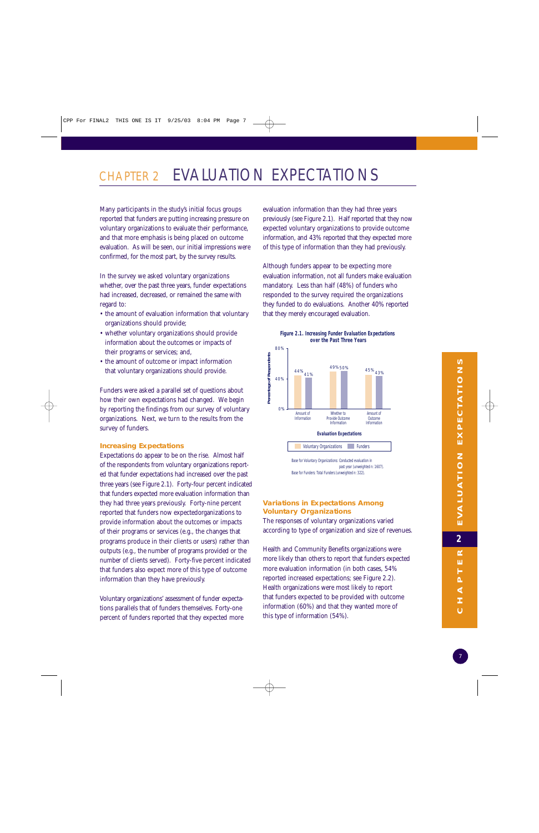## CHAPTER 2 EVALUATION EXPECTATIONS

Many participants in the study's initial focus groups reported that funders are putting increasing pressure on voluntary organizations to evaluate their performance, and that more emphasis is being placed on outcome evaluation. As will be seen, our initial impressions were confirmed, for the most part, by the survey results.

In the survey we asked voluntary organizations whether, over the past three years, funder expectations had increased, decreased, or remained the same with regard to:

- the amount of evaluation information that voluntary organizations should provide;
- whether voluntary organizations should provide information about the outcomes or impacts of their programs or services; and,
- the amount of outcome or impact information that voluntary organizations should provide.

Funders were asked a parallel set of questions about how their own expectations had changed. We begin by reporting the findings from our survey of voluntary organizations. Next, we turn to the results from the survey of funders.

#### **Increasing Expectations**

Expectations do appear to be on the rise. Almost half of the respondents from voluntary organizations reported that funder expectations had increased over the past three years (see Figure 2.1). Forty-four percent indicated that funders expected more evaluation information than they had three years previously. Forty-nine percent reported that funders now expectedorganizations to provide information about the outcomes or impacts of their programs or services (e.g., the changes that programs produce in their clients or users) rather than outputs (e.g., the number of programs provided or the number of clients served). Forty-five percent indicated that funders also expect more of this type of outcome information than they have previously.

Voluntary organizations' assessment of funder expectations parallels that of funders themselves. Forty-one percent of funders reported that they expected more evaluation information than they had three years previously (see Figure 2.1). Half reported that they now expected voluntary organizations to provide outcome information, and 43% reported that they expected more of this type of information than they had previously.

Although funders appear to be expecting more evaluation information, not all funders make evaluation mandatory. Less than half (48%) of funders who responded to the survey required the organizations they funded to do evaluations. Another 40% reported that they merely encouraged evaluation.

**Figure 2.1. Increasing Funder Evaluation Expectations** 



Base for Voluntary Organizations: Conducted evaluation in past year (unweighted n: 1607). Base for Funders: Total Funders (unweighted n: 322).

#### **Variations in Expectations Among Voluntary Organizations**

The responses of voluntary organizations varied according to type of organization and size of revenues.

Health and Community Benefits organizations were more likely than others to report that funders expected more evaluation information (in both cases, 54% reported increased expectations; see Figure 2.2). Health organizations were most likely to report that funders expected to be provided with outcome information (60%) and that they wanted more of this type of information (54%).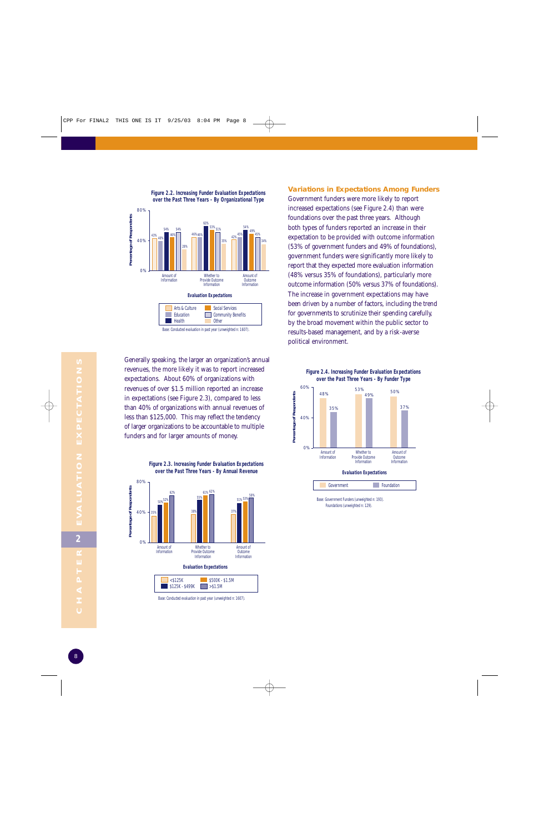

**Figure 2.2. Increasing Funder Evaluation Expectations**

Generally speaking, the larger an organization's annual revenues, the more likely it was to report increased expectations. About 60% of organizations with revenues of over \$1.5 million reported an increase in expectations (see Figure 2.3), compared to less than 40% of organizations with annual revenues of less than \$125,000. This may reflect the tendency of larger organizations to be accountable to multiple funders and for larger amounts of money.



Base: Conducted evaluation in past year (unweighted n: 1607).

#### **Variations in Expectations Among Funders**

Government funders were more likely to report increased expectations (see Figure 2.4) than were foundations over the past three years. Although both types of funders reported an increase in their expectation to be provided with outcome information (53% of government funders and 49% of foundations), government funders were significantly more likely to report that they expected more evaluation information (48% versus 35% of foundations), particularly more outcome information (50% versus 37% of foundations). The increase in government expectations may have been driven by a number of factors, including the trend for governments to scrutinize their spending carefully, by the broad movement within the public sector to results-based management, and by a risk-averse political environment.



Whether to Provide Outcome **Information** Amount of Outcome

Information

**Evaluation Expectations** Government Foundation

Base: Government Funders (unweighted n: 193). Foundations (unweighted n: 129).

Amount of Information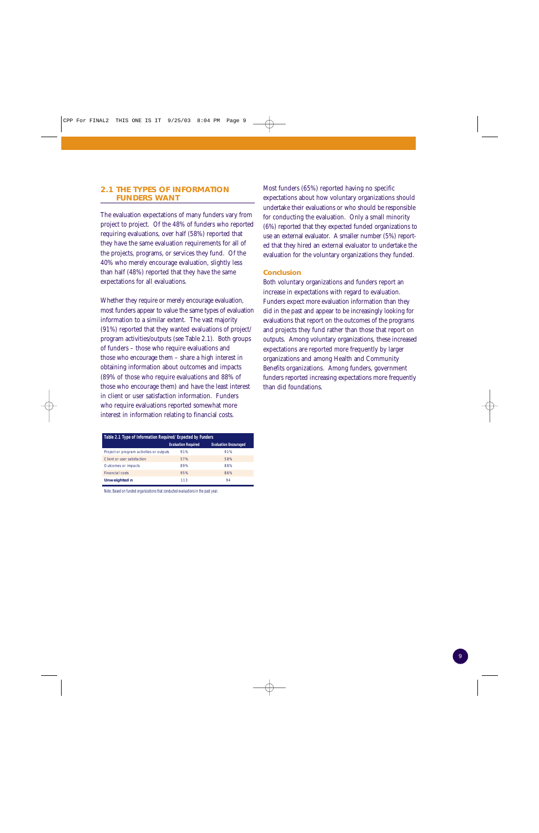#### **2.1 THE TYPES OF INFORMATION FUNDERS WANT**

The evaluation expectations of many funders vary from project to project. Of the 48% of funders who reported requiring evaluations, over half (58%) reported that they have the same evaluation requirements for all of the projects, programs, or services they fund. Of the 40% who merely encourage evaluation, slightly less than half (48%) reported that they have the same expectations for all evaluations.

Whether they require or merely encourage evaluation, most funders appear to value the same types of evaluation information to a similar extent. The vast majority (91%) reported that they wanted evaluations of project/ program activities/outputs (see Table 2.1). Both groups of funders – those who require evaluations and those who encourage them – share a high interest in obtaining information about outcomes and impacts (89% of those who require evaluations and 88% of those who encourage them) and have the least interest in client or user satisfaction information. Funders who require evaluations reported somewhat more interest in information relating to financial costs.

| Table 2.1 Type of Information Required/Expected by Funders |                            |                              |  |  |  |
|------------------------------------------------------------|----------------------------|------------------------------|--|--|--|
|                                                            | <b>Evaluation Required</b> | <b>Evaluation Encouraged</b> |  |  |  |
| Project or program activities or outputs                   | 91%                        | 91%                          |  |  |  |
| Client or user satisfaction                                | 57%                        | 58%                          |  |  |  |
| Outcomes or impacts                                        | 89%                        | 88%                          |  |  |  |
| <b>Financial costs</b>                                     | 95%                        | 86%                          |  |  |  |
| <b>Unweighted n</b>                                        | 113                        | 94                           |  |  |  |

Note. Based on funded organizations that conducted evaluations in the past year.

Most funders (65%) reported having no specific expectations about how voluntary organizations should undertake their evaluations or who should be responsible for conducting the evaluation. Only a small minority (6%) reported that they expected funded organizations to use an external evaluator. A smaller number (5%) reported that they hired an external evaluator to undertake the evaluation for the voluntary organizations they funded.

#### **Conclusion**

Both voluntary organizations and funders report an increase in expectations with regard to evaluation. Funders expect more evaluation information than they did in the past and appear to be increasingly looking for evaluations that report on the outcomes of the programs and projects they fund rather than those that report on outputs. Among voluntary organizations, these increased expectations are reported more frequently by larger organizations and among Health and Community Benefits organizations. Among funders, government funders reported increasing expectations more frequently than did foundations.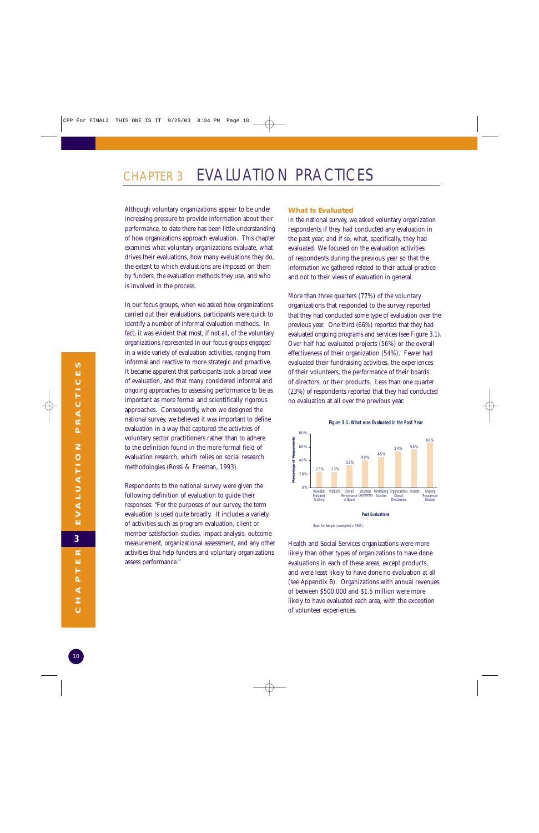## CHAPTER 3 EVALUATION PRACTICES

Although voluntary organizations appear to be under increasing pressure to provide information about their performance, to date there has been little understanding of how organizations approach evaluation. This chapter examines what voluntary organizations evaluate, what drives their evaluations, how many evaluations they do, the extent to which evaluations are imposed on them by funders, the evaluation methods they use, and who is involved in the process.

In our focus groups, when we asked how organizations carried out their evaluations, participants were quick to identify a number of informal evaluation methods. In fact, it was evident that most, if not all, of the voluntary organizations represented in our focus groups engaged in a wide variety of evaluation activities, ranging from informal and reactive to more strategic and proactive. It became apparent that participants took a broad view of evaluation, and that many considered informal and ongoing approaches to assessing performance to be as important as more formal and scientifically rigorous approaches. Consequently, when we designed the national survey, we believed it was important to define evaluation in a way that captured the activities of voluntary sector practitioners rather than to adhere to the definition found in the more formal field of evaluation research, which relies on social research methodologies (Rossi & Freeman, 1993).

Respondents to the national survey were given the following definition of evaluation to guide their responses: "For the purposes of our survey, the term evaluation is used quite broadly. It includes a variety of activities such as program evaluation, client or member satisfaction studies, impact analysis, outcome measurement, organizational assessment, and any other activities that help funders and voluntary organizations assess performance."

#### **What Is Evaluated**

In the national survey, we asked voluntary organization respondents if they had conducted any evaluation in the past year, and if so, what, specifically, they had evaluated. We focused on the evaluation activities of respondents during the previous year so that the information we gathered related to their actual practice and not to their views of evaluation in general.

More than three quarters (77%) of the voluntary organizations that responded to the survey reported that they had conducted some type of evaluation over the previous year. One third (66%) reported that they had evaluated ongoing programs and services (see Figure 3.1). Over half had evaluated projects (56%) or the overall effectiveness of their organization (54%). Fewer had evaluated their fundraising activities, the experiences of their volunteers, the performance of their boards of directors, or their products. Less than one quarter (23%) of respondents reported that they had conducted no evaluation at all over the previous year.





Health and Social Services organizations were more likely than other types of organizations to have done evaluations in each of these areas, except products, and were least likely to have done no evaluation at all (see Appendix B). Organizations with annual revenues of between \$500,000 and \$1.5 million were more likely to have evaluated each area, with the exception of volunteer experiences.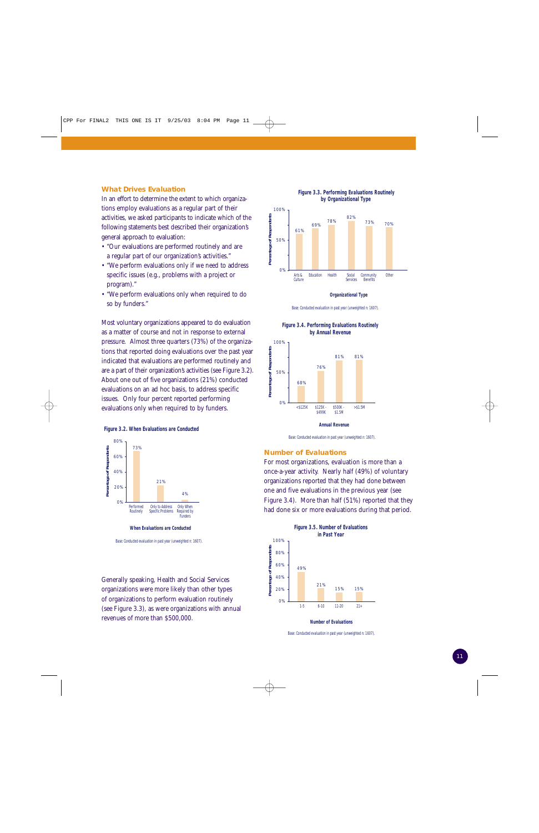#### **What Drives Evaluation**

In an effort to determine the extent to which organizations employ evaluations as a regular part of their activities, we asked participants to indicate which of the following statements best described their organization's general approach to evaluation:

- "Our evaluations are performed routinely and are a regular part of our organization's activities."
- "We perform evaluations only if we need to address specific issues (e.g., problems with a project or program)."
- "We perform evaluations only when required to do so by funders."

Most voluntary organizations appeared to do evaluation as a matter of course and not in response to external pressure. Almost three quarters (73%) of the organizations that reported doing evaluations over the past year indicated that evaluations are performed routinely and are a part of their organization's activities (see Figure 3.2). About one out of five organizations (21%) conducted evaluations on an ad hoc basis, to address specific issues. Only four percent reported performing evaluations only when required to by funders.



**Figure 3.2. When Evaluations are Conducted**

Generally speaking, Health and Social Services organizations were more likely than other types of organizations to perform evaluation routinely (see Figure 3.3), as were organizations with annual revenues of more than \$500,000.



#### **Organizational Type**

Base: Conducted evaluation in past year (unweighted n: 1607).



**Figure 3.4. Performing Evaluations Routinely by Annual Revenue** 

Base: Conducted evaluation in past year (unweighted n: 1607).

#### **Number of Evaluations**

For most organizations, evaluation is more than a once-a-year activity. Nearly half (49%) of voluntary organizations reported that they had done between one and five evaluations in the previous year (see Figure 3.4). More than half (51%) reported that they had done six or more evaluations during that period.



**Number of Evaluations**

Base: Conducted evaluation in past year (unweighted n: 1607).

Base: Conducted evaluation in past year (unweighted n: 1607).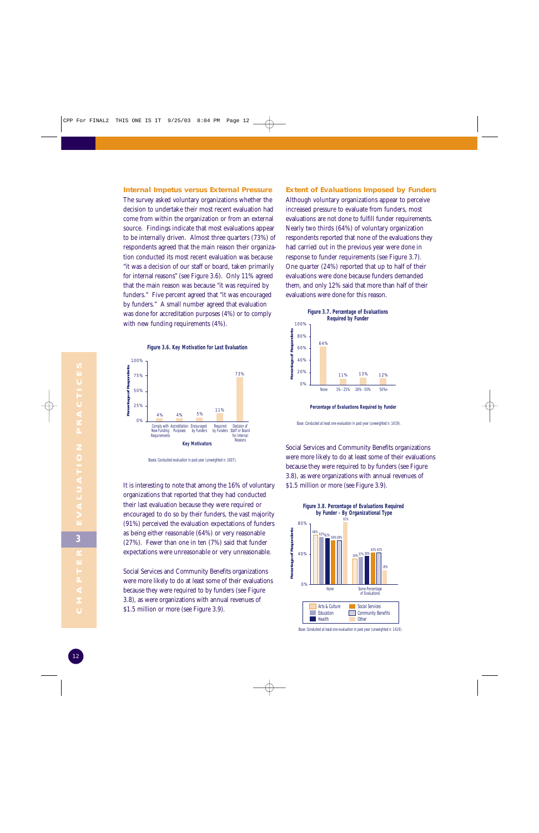**Internal Impetus versus External Pressure** The survey asked voluntary organizations whether the decision to undertake their most recent evaluation had come from within the organization or from an external source. Findings indicate that most evaluations appear to be internally driven. Almost three quarters (73%) of respondents agreed that the main reason their organization conducted its most recent evaluation was because "it was a decision of our staff or board, taken primarily for internal reasons" (see Figure 3.6). Only 11% agreed that the main reason was because "it was required by funders." Five percent agreed that "it was encouraged by funders." A small number agreed that evaluation was done for accreditation purposes (4%) or to comply with new funding requirements (4%).



Bases: Conducted evaluation in past year (unweighted n: 1607).

It is interesting to note that among the 16% of voluntary organizations that reported that they had conducted their last evaluation because they were required or encouraged to do so by their funders, the vast majority (91%) perceived the evaluation expectations of funders as being either reasonable (64%) or very reasonable (27%). Fewer than one in ten (7%) said that funder expectations were unreasonable or very unreasonable.

Social Services and Community Benefits organizations were more likely to do at least some of their evaluations because they were required to by funders (see Figure 3.8), as were organizations with annual revenues of \$1.5 million or more (see Figure 3.9).

#### **Extent of Evaluations Imposed by Funders**

Although voluntary organizations appear to perceive increased pressure to evaluate from funders, most evaluations are not done to fulfill funder requirements. Nearly two thirds (64%) of voluntary organization respondents reported that none of the evaluations they had carried out in the previous year were done in response to funder requirements (see Figure 3.7). One quarter (24%) reported that up to half of their evaluations were done because funders demanded them, and only 12% said that more than half of their evaluations were done for this reason.



**Percentage of Evaluations Required by Funder**

Base: Conducted at least one evaluation in past year (unweighted n: 1419).

Social Services and Community Benefits organizations were more likely to do at least some of their evaluations because they were required to by funders (see Figure 3.8), as were organizations with annual revenues of \$1.5 million or more (see Figure 3.9).



Base: Conducted at least one evaluation in past year (unweighted n: 1419).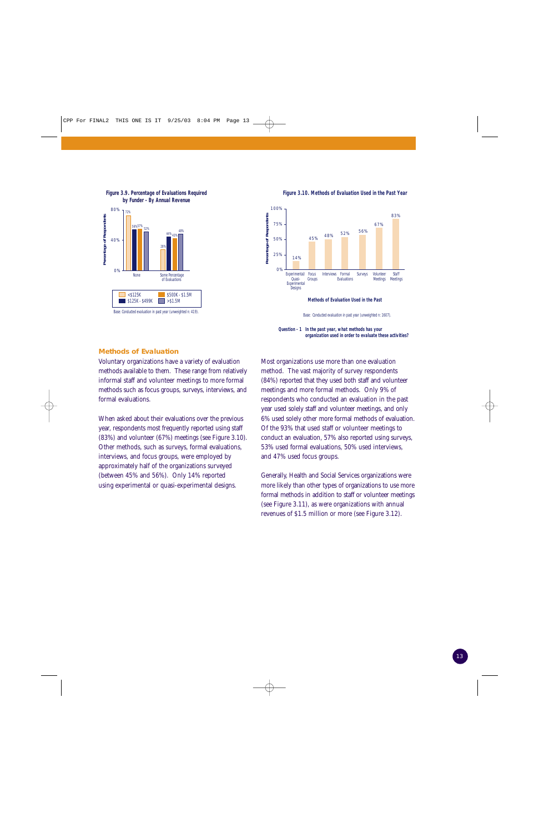

**Figure 3.9. Percentage of Evaluations Required by Funder - By Annual Revenue**

**Figure 3.10. Methods of Evaluation Used in the Past Year**



**Methods of Evaluation Used in the Past**

**Question - 1 In the past year, what methods has your organization used in order to evaluate these activities?**

#### **Methods of Evaluation**

Voluntary organizations have a variety of evaluation methods available to them. These range from relatively informal staff and volunteer meetings to more formal methods such as focus groups, surveys, interviews, and formal evaluations.

When asked about their evaluations over the previous year, respondents most frequently reported using staff (83%) and volunteer (67%) meetings (see Figure 3.10). Other methods, such as surveys, formal evaluations, interviews, and focus groups, were employed by approximately half of the organizations surveyed (between 45% and 56%). Only 14% reported using experimental or quasi-experimental designs.

Most organizations use more than one evaluation method. The vast majority of survey respondents (84%) reported that they used both staff and volunteer meetings and more formal methods. Only 9% of respondents who conducted an evaluation in the past year used solely staff and volunteer meetings, and only 6% used solely other more formal methods of evaluation. Of the 93% that used staff or volunteer meetings to conduct an evaluation, 57% also reported using surveys, 53% used formal evaluations, 50% used interviews, and 47% used focus groups.

Generally, Health and Social Services organizations were more likely than other types of organizations to use more formal methods in addition to staff or volunteer meetings (see Figure 3.11), as were organizations with annual revenues of \$1.5 million or more (see Figure 3.12).

Base: Conducted evaluation in past year (unweighted n: 1607).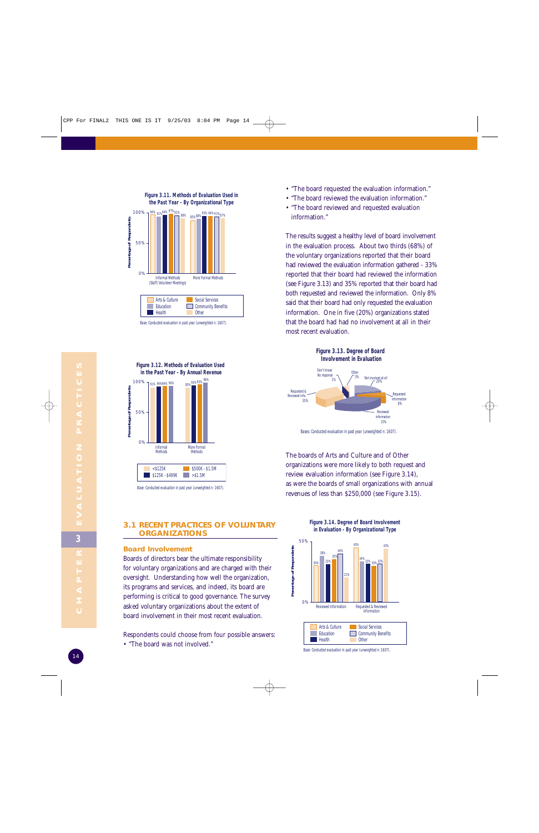



Base: Conducted evaluation in past year (unweighted n: 1607).



Base: Conducted evaluation in past year (unweighted n: 1607).

- "The board requested the evaluation information."
- "The board reviewed the evaluation information."
- "The board reviewed and requested evaluation information."

The results suggest a healthy level of board involvement in the evaluation process. About two thirds (68%) of the voluntary organizations reported that their board had reviewed the evaluation information gathered - 33% reported that their board had reviewed the information (see Figure 3.13) and 35% reported that their board had both requested and reviewed the information. Only 8% said that their board had only requested the evaluation information. One in five (20%) organizations stated that the board had had no involvement at all in their most recent evaluation.



Bases: Conducted evaluation in past year (unweighted n: 1607).

The boards of Arts and Culture and of Other organizations were more likely to both request and review evaluation information (see Figure 3.14), as were the boards of small organizations with annual revenues of less than \$250,000 (see Figure 3.15).

#### **3.1 RECENT PRACTICES OF VOLUNTARY ORGANIZATIONS**

#### **Board Involvement**

Boards of directors bear the ultimate responsibility for voluntary organizations and are charged with their oversight. Understanding how well the organization, its programs and services, and indeed, its board are performing is critical to good governance. The survey asked voluntary organizations about the extent of board involvement in their most recent evaluation.

Respondents could choose from four possible answers:

• "The board was not involved."

**Figure 3.14. Degree of Board Involvement in Evaluation - By Organizational Type**



Base: Conducted evaluation in past year (unweighted n: 1607).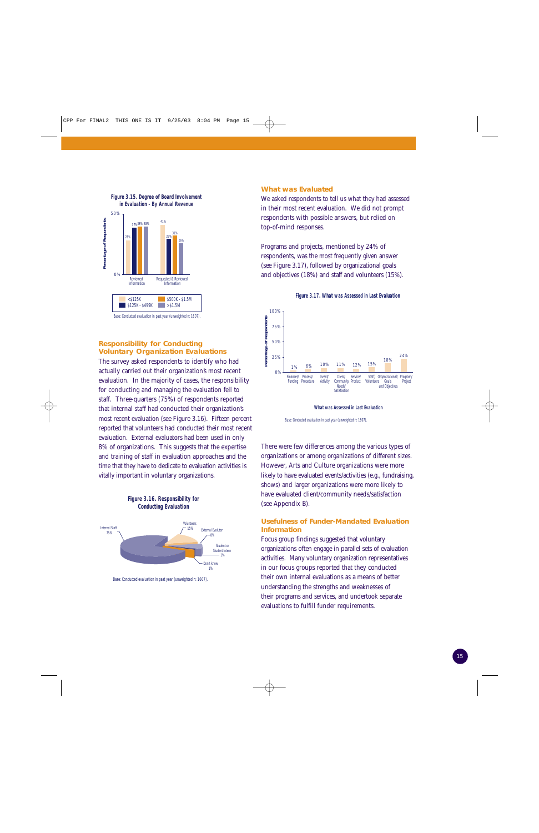

**Figure 3.15. Degree of Board Involvement**

#### Base: Conducted evaluation in past year (unweighted n: 1607).

#### **Responsibility for Conducting Voluntary Organization Evaluations**

The survey asked respondents to identify who had actually carried out their organization's most recent evaluation. In the majority of cases, the responsibility for conducting and managing the evaluation fell to staff. Three-quarters (75%) of respondents reported that internal staff had conducted their organization's most recent evaluation (see Figure 3.16). Fifteen percent reported that volunteers had conducted their most recent evaluation. External evaluators had been used in only 8% of organizations. This suggests that the expertise and training of staff in evaluation approaches and the time that they have to dedicate to evaluation activities is vitally important in voluntary organizations.



Base: Conducted evaluation in past year (unweighted n: 1607).

#### **What was Evaluated**

We asked respondents to tell us what they had assessed in their most recent evaluation. We did not prompt respondents with possible answers, but relied on top-of-mind responses.

Programs and projects, mentioned by 24% of respondents, was the most frequently given answer (see Figure 3.17), followed by organizational goals and objectives (18%) and staff and volunteers (15%).

**Figure 3.17. What was Assessed in Last Evaluation**



**What was Assessed in Last Evaluation**

Base: Conducted evaluation in past year (unweighted n: 1607).

There were few differences among the various types of organizations or among organizations of different sizes. However, Arts and Culture organizations were more likely to have evaluated events/activities (e.g., fundraising, shows) and larger organizations were more likely to have evaluated client/community needs/satisfaction (see Appendix B).

#### **Usefulness of Funder-Mandated Evaluation Information**

Focus group findings suggested that voluntary organizations often engage in parallel sets of evaluation activities. Many voluntary organization representatives in our focus groups reported that they conducted their own internal evaluations as a means of better understanding the strengths and weaknesses of their programs and services, and undertook separate evaluations to fulfill funder requirements.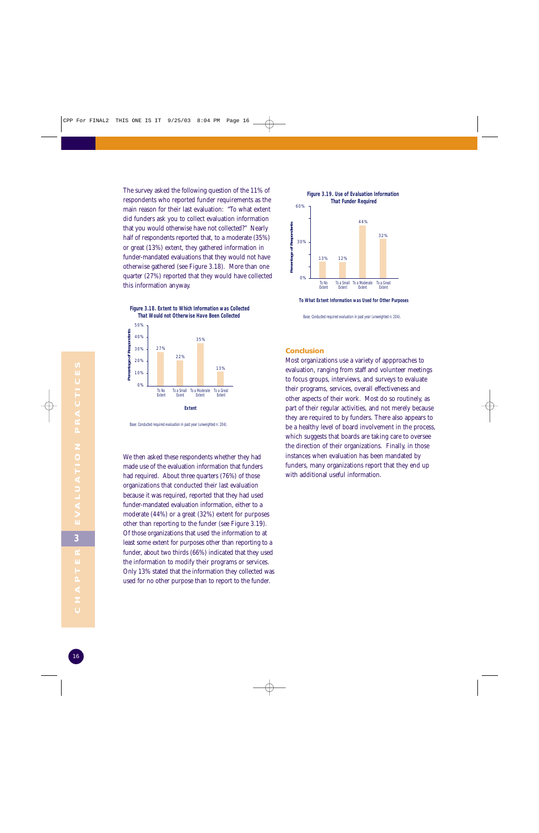The survey asked the following question of the 11% of respondents who reported funder requirements as the main reason for their last evaluation: "To what extent did funders ask you to collect evaluation information that you would otherwise have not collected?" Nearly half of respondents reported that, to a moderate (35%) or great (13%) extent, they gathered information in funder-mandated evaluations that they would not have otherwise gathered (see Figure 3.18). More than one quarter (27%) reported that they would have collected this information anyway.

**Figure 3.18. Extent to Which Information was Collected That Would not Otherwise Have Been Collected** 



Base: Conducted required evaluation in past year (unweighted n: 204).

We then asked these respondents whether they had made use of the evaluation information that funders had required. About three quarters (76%) of those organizations that conducted their last evaluation because it was required, reported that they had used funder-mandated evaluation information, either to a moderate (44%) or a great (32%) extent for purposes other than reporting to the funder (see Figure 3.19). Of those organizations that used the information to at least some extent for purposes other than reporting to a funder, about two thirds (66%) indicated that they used the information to modify their programs or services. Only 13% stated that the information they collected was used for no other purpose than to report to the funder.



**To What Extent Information was Used for Other Purposes** 

Base: Conducted required evaluation in past year (unweighted n: 204).

#### **Conclusion**

Most organizations use a variety of appproaches to evaluation, ranging from staff and volunteer meetings to focus groups, interviews, and surveys to evaluate their programs, services, overall effectiveness and other aspects of their work. Most do so routinely, as part of their regular activities, and not merely because they are required to by funders. There also appears to be a healthy level of board involvement in the process, which suggests that boards are taking care to oversee the direction of their organizations. Finally, in those instances when evaluation has been mandated by funders, many organizations report that they end up with additional useful information.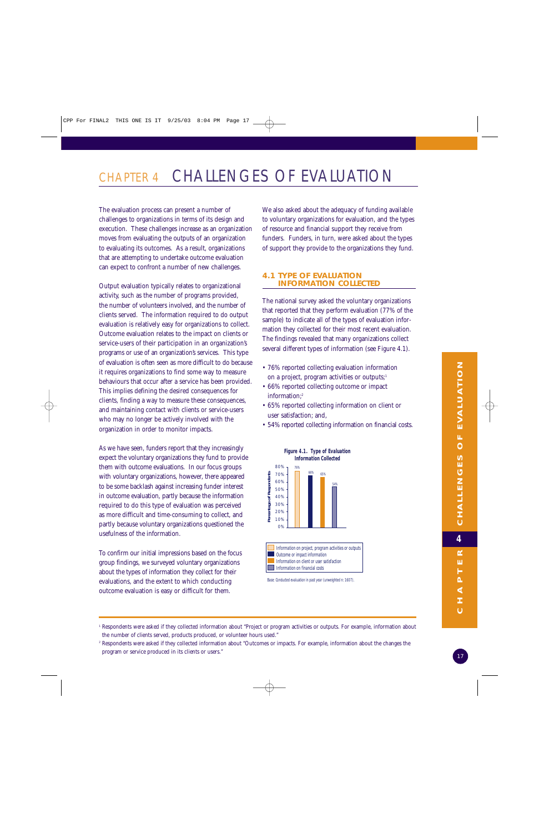## CHAPTER 4 CHALLENGES OF EVALUATION

The evaluation process can present a number of challenges to organizations in terms of its design and execution. These challenges increase as an organization moves from evaluating the outputs of an organization to evaluating its outcomes. As a result, organizations that are attempting to undertake outcome evaluation can expect to confront a number of new challenges.

Output evaluation typically relates to organizational activity, such as the number of programs provided, the number of volunteers involved, and the number of clients served. The information required to do output evaluation is relatively easy for organizations to collect. Outcome evaluation relates to the impact on clients or service-users of their participation in an organization's programs or use of an organization's services. This type of evaluation is often seen as more difficult to do because it requires organizations to find some way to measure behaviours that occur after a service has been provided. This implies defining the desired consequences for clients, finding a way to measure these consequences, and maintaining contact with clients or service-users who may no longer be actively involved with the organization in order to monitor impacts.

As we have seen, funders report that they increasingly expect the voluntary organizations they fund to provide them with outcome evaluations. In our focus groups with voluntary organizations, however, there appeared to be some backlash against increasing funder interest in outcome evaluation, partly because the information required to do this type of evaluation was perceived as more difficult and time-consuming to collect, and partly because voluntary organizations questioned the usefulness of the information.

To confirm our initial impressions based on the focus group findings, we surveyed voluntary organizations about the types of information they collect for their evaluations, and the extent to which conducting outcome evaluation is easy or difficult for them.

We also asked about the adequacy of funding available to voluntary organizations for evaluation, and the types of resource and financial support they receive from funders. Funders, in turn, were asked about the types of support they provide to the organizations they fund.

#### **4.1 TYPE OF EVALUATION INFORMATION COLLECTED**

The national survey asked the voluntary organizations that reported that they perform evaluation (77% of the sample) to indicate all of the types of evaluation information they collected for their most recent evaluation. The findings revealed that many organizations collect several different types of information (see Figure 4.1).

- 76% reported collecting evaluation information on a project, program activities or outputs;<sup>1</sup>
- 66% reported collecting outcome or impact information;2
- 65% reported collecting information on client or user satisfaction; and,
- 54% reported collecting information on financial costs.



Base: Conducted evaluation in past year (unweighted n: 1607).

<sup>1</sup> Respondents were asked if they collected information about "Project or program activities or outputs. For example, information about the number of clients served, products produced, or volunteer hours used."

<sup>2</sup> Respondents were asked if they collected information about "Outcomes or impacts. For example, information about the changes the program or service produced in its clients or users."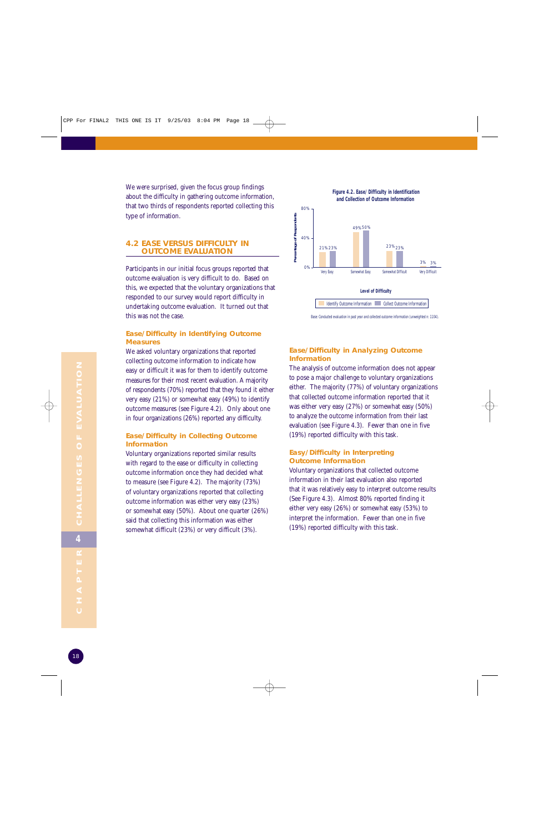We were surprised, given the focus group findings about the difficulty in gathering outcome information, that two thirds of respondents reported collecting this type of information.

#### **4.2 EASE VERSUS DIFFICULTY IN OUTCOME EVALUATION**

Participants in our initial focus groups reported that outcome evaluation is very difficult to do. Based on this, we expected that the voluntary organizations that responded to our survey would report difficulty in undertaking outcome evaluation. It turned out that this was not the case.

#### **Ease/Difficulty in Identifying Outcome Measures**

We asked voluntary organizations that reported collecting outcome information to indicate how easy or difficult it was for them to identify outcome measures for their most recent evaluation. A majority of respondents (70%) reported that they found it either very easy (21%) or somewhat easy (49%) to identify outcome measures (see Figure 4.2). Only about one in four organizations (26%) reported any difficulty.

#### **Ease/Difficulty in Collecting Outcome Information**

Voluntary organizations reported similar results with regard to the ease or difficulty in collecting outcome information once they had decided what to measure (see Figure 4.2). The majority (73%) of voluntary organizations reported that collecting outcome information was either very easy (23%) or somewhat easy (50%). About one quarter (26%) said that collecting this information was either somewhat difficult (23%) or very difficult (3%).





#### **Ease/Difficulty in Analyzing Outcome Information**

The analysis of outcome information does not appear to pose a major challenge to voluntary organizations either. The majority (77%) of voluntary organizations that collected outcome information reported that it was either very easy (27%) or somewhat easy (50%) to analyze the outcome information from their last evaluation (see Figure 4.3). Fewer than one in five (19%) reported difficulty with this task.

#### **Easy/Difficulty in Interpreting Outcome Information**

Voluntary organizations that collected outcome information in their last evaluation also reported that it was relatively easy to interpret outcome results (See Figure 4.3). Almost 80% reported finding it either very easy (26%) or somewhat easy (53%) to interpret the information. Fewer than one in five (19%) reported difficulty with this task.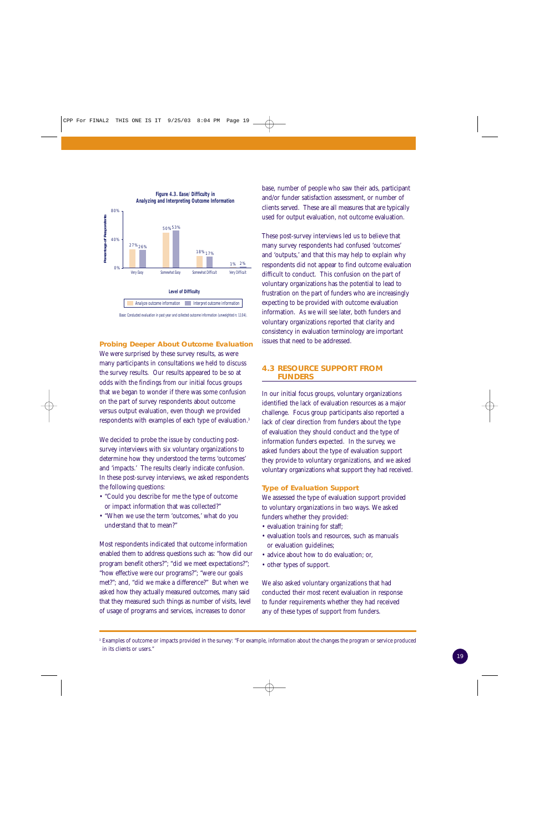

#### **Probing Deeper About Outcome Evaluation**

We were surprised by these survey results, as were many participants in consultations we held to discuss the survey results. Our results appeared to be so at odds with the findings from our initial focus groups that we began to wonder if there was some confusion on the part of survey respondents about outcome versus output evaluation, even though we provided respondents with examples of each type of evaluation.3

We decided to probe the issue by conducting postsurvey interviews with six voluntary organizations to determine how they understood the terms 'outcomes' and 'impacts.' The results clearly indicate confusion. In these post-survey interviews, we asked respondents the following questions:

- "Could you describe for me the type of outcome or impact information that was collected?"
- "When we use the term 'outcomes,' what do you understand that to mean?"

Most respondents indicated that outcome information enabled them to address questions such as: "how did our program benefit others?"; "did we meet expectations?"; "how effective were our programs?"; "were our goals met?"; and, "did we make a difference?" But when we asked how they actually measured outcomes, many said that they measured such things as number of visits, level of usage of programs and services, increases to donor

base, number of people who saw their ads, participant and/or funder satisfaction assessment, or number of clients served. These are all measures that are typically used for output evaluation, not outcome evaluation.

These post-survey interviews led us to believe that many survey respondents had confused 'outcomes' and 'outputs,' and that this may help to explain why respondents did not appear to find outcome evaluation difficult to conduct. This confusion on the part of voluntary organizations has the potential to lead to frustration on the part of funders who are increasingly expecting to be provided with outcome evaluation information. As we will see later, both funders and voluntary organizations reported that clarity and consistency in evaluation terminology are important issues that need to be addressed.

#### **4.3 RESOURCE SUPPORT FROM FUNDERS**

In our initial focus groups, voluntary organizations identified the lack of evaluation resources as a major challenge. Focus group participants also reported a lack of clear direction from funders about the type of evaluation they should conduct and the type of information funders expected. In the survey, we asked funders about the type of evaluation support they provide to voluntary organizations, and we asked voluntary organizations what support they had received.

#### **Type of Evaluation Support**

We assessed the type of evaluation support provided to voluntary organizations in two ways. We asked funders whether they provided:

- evaluation training for staff;
- evaluation tools and resources, such as manuals or evaluation guidelines;
- advice about how to do evaluation; or,
- other types of support.

We also asked voluntary organizations that had conducted their most recent evaluation in response to funder requirements whether they had received any of these types of support from funders.

<sup>&</sup>lt;sup>3</sup> Examples of outcome or impacts provided in the survey: "For example, information about the changes the program or service produced in its clients or users."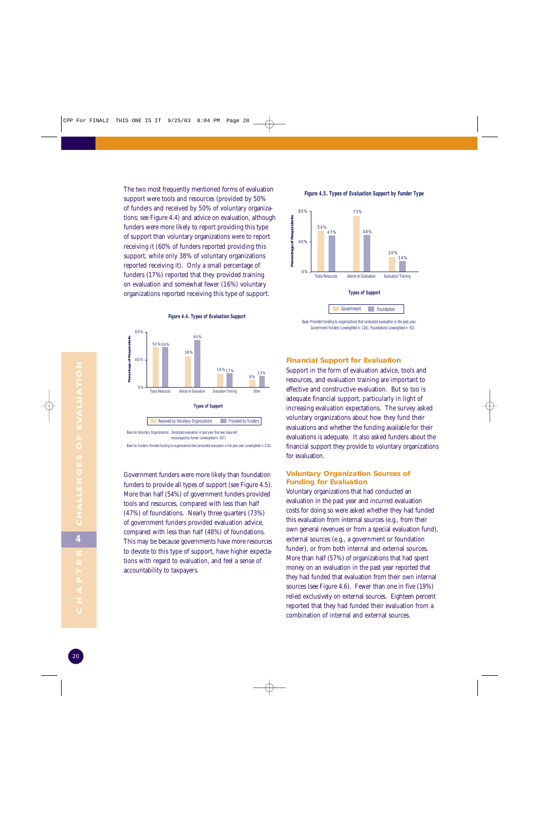The two most frequently mentioned forms of evaluation support were tools and resources (provided by 50% of funders and received by 50% of voluntary organizations; see Figure 4.4) and advice on evaluation, although funders were more likely to report providing this type of support than voluntary organizations were to report receiving it (60% of funders reported providing this support, while only 38% of voluntary organizations reported receiving it). Only a small percentage of funders (17%) reported that they provided training on evaluation and somewhat fewer (16%) voluntary organizations reported receiving this type of support.



Government funders were more likely than foundation funders to provide all types of support (see Figure 4.5). More than half (54%) of government funders provided tools and resources, compared with less than half (47%) of foundations. Nearly three quarters (73%) of government funders provided evaluation advice, compared with less than half (48%) of foundations. This may be because governments have more resources to devote to this type of support, have higher expectations with regard to evaluation, and feel a sense of

accountability to taxpayers.

**Figure 4.4. Types of Evaluation Support**

#### **Figure 4.5. Types of Evaluation Support by Funder Type**



Base: Provided funding to organizations that conducted evaluation in the past year. Government Funders (unweighted n: 126). Foundations (unweighted n: 92).

#### **Financial Support for Evaluation**

Support in the form of evaluation advice, tools and resources, and evaluation training are important to effective and constructive evaluation. But so too is adequate financial support, particularly in light of increasing evaluation expectations. The survey asked voluntary organizations about how they fund their evaluations and whether the funding available for their evaluations is adequate. It also asked funders about the financial support they provide to voluntary organizations for evaluation.

#### **Voluntary Organization Sources of Funding for Evaluation**

Voluntary organizations that had conducted an evaluation in the past year and incurred evaluation costs for doing so were asked whether they had funded this evaluation from internal sources (e.g., from their own general revenues or from a special evaluation fund), external sources (e.g., a government or foundation funder), or from both internal and external sources. More than half (57%) of organizations that had spent money on an evaluation in the past year reported that they had funded that evaluation from their own internal sources (see Figure 4.6). Fewer than one in five (19%) relied exclusively on external sources. Eighteen percent reported that they had funded their evaluation from a combination of internal and external sources.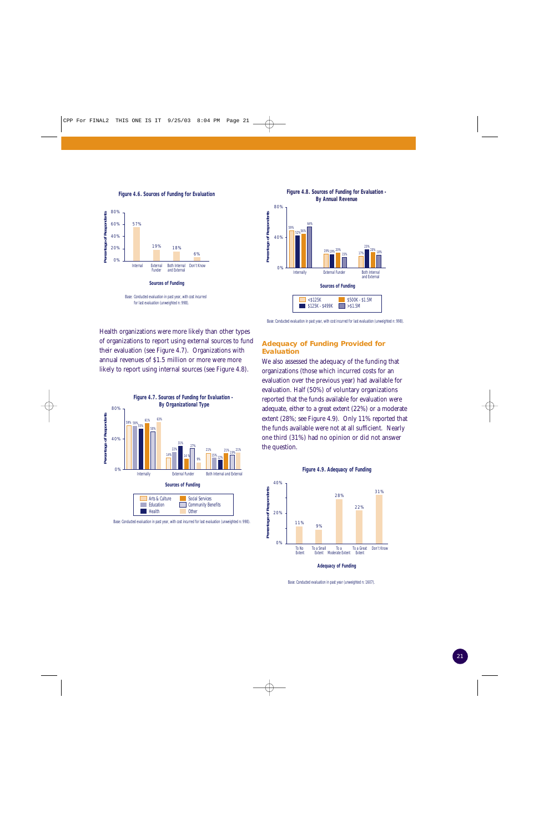**Figure 4.6. Sources of Funding for Evaluation**





Base: Conducted evaluation in past year, with cost incurred for last evaluation (unweighted n: 998).

Health organizations were more likely than other types of organizations to report using external sources to fund their evaluation (see Figure 4.7). Organizations with annual revenues of \$1.5 million or more were more likely to report using internal sources (see Figure 4.8).



Base: Conducted evaluation in past year, with cost incurred for last evaluation (unweighted n: 998).

#### **Adequacy of Funding Provided for Evaluation**

We also assessed the adequacy of the funding that organizations (those which incurred costs for an evaluation over the previous year) had available for evaluation. Half (50%) of voluntary organizations reported that the funds available for evaluation were adequate, either to a great extent (22%) or a moderate extent (28%; see Figure 4.9). Only 11% reported that the funds available were not at all sufficient. Nearly one third (31%) had no opinion or did not answer the question.





**Adequacy of Funding**

Base: Conducted evaluation in past year (unweighted n: 1607).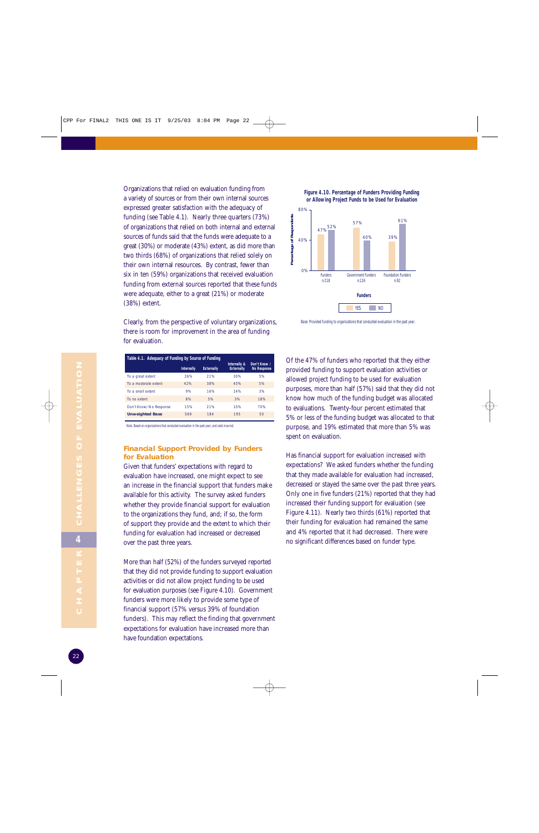Organizations that relied on evaluation funding from a variety of sources or from their own internal sources expressed greater satisfaction with the adequacy of funding (see Table 4.1). Nearly three quarters (73%) of organizations that relied on both internal and external sources of funds said that the funds were adequate to a great (30%) or moderate (43%) extent, as did more than two thirds (68%) of organizations that relied solely on their own internal resources. By contrast, fewer than six in ten (59%) organizations that received evaluation funding from external sources reported that these funds were adequate, either to a great (21%) or moderate (38%) extent.

Clearly, from the perspective of voluntary organizations, there is room for improvement in the area of funding for evaluation.

| Table 4.1. Adequacy of Funding by Source of Funding |                   |                   |                                   |                                    |  |
|-----------------------------------------------------|-------------------|-------------------|-----------------------------------|------------------------------------|--|
|                                                     | <b>Internally</b> | <b>Externally</b> | Internally &<br><b>Externally</b> | Don't Know /<br><b>No Response</b> |  |
| To a great extent                                   | 26%               | 21%               | 30%                               | 5%                                 |  |
| To a moderate extent                                | 42%               | 38%               | 43%                               | 5%                                 |  |
| To a small extent                                   | 9%                | 16%               | 14%                               | 3%                                 |  |
| To no extent                                        | 8%                | 5%                | 3%                                | 18%                                |  |
| Don't Know/No Response                              | 15%               | 21%               | 10%                               | 70%                                |  |
| <b>Unweighted Base</b>                              | 569               | 184               | 195                               | 50                                 |  |

Note. Based on organizations that conducted evaluation in the past year, and costs incurred.

#### **Financial Support Provided by Funders for Evaluation**

Given that funders' expectations with regard to evaluation have increased, one might expect to see an increase in the financial support that funders make available for this activity. The survey asked funders whether they provide financial support for evaluation to the organizations they fund, and; if so, the form of support they provide and the extent to which their funding for evaluation had increased or decreased over the past three years.

More than half (52%) of the funders surveyed reported that they did not provide funding to support evaluation activities or did not allow project funding to be used for evaluation purposes (see Figure 4.10). Government funders were more likely to provide some type of financial support (57% versus 39% of foundation funders). This may reflect the finding that government expectations for evaluation have increased more than have foundation expectations.





Base: Provided funding to organizations that conducted evaluation in the past year.

Of the 47% of funders who reported that they either provided funding to support evaluation activities or allowed project funding to be used for evaluation purposes, more than half (57%) said that they did not know how much of the funding budget was allocated to evaluations. Twenty-four percent estimated that 5% or less of the funding budget was allocated to that purpose, and 19% estimated that more than 5% was spent on evaluation.

Has financial support for evaluation increased with expectations? We asked funders whether the funding that they made available for evaluation had increased, decreased or stayed the same over the past three years. Only one in five funders (21%) reported that they had increased their funding support for evaluation (see Figure 4.11). Nearly two thirds (61%) reported that their funding for evaluation had remained the same and 4% reported that it had decreased. There were no significant differences based on funder type.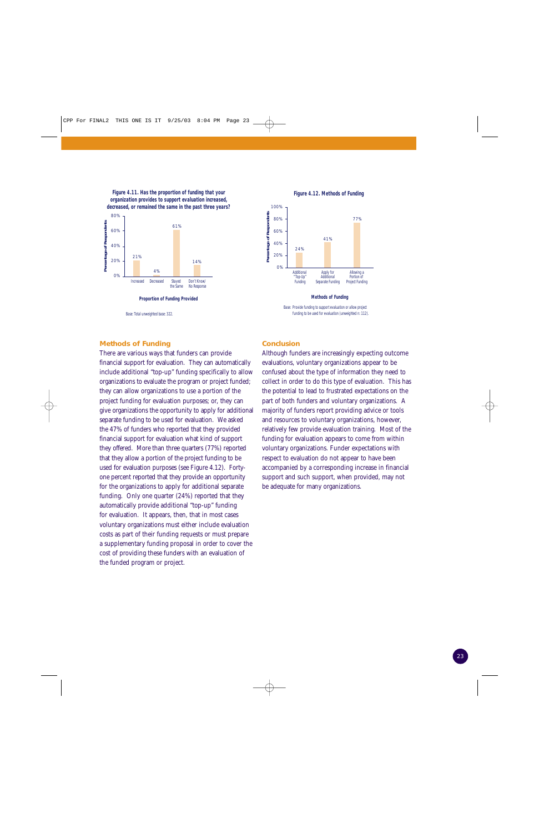**Figure 4.11. Has the proportion of funding that your organization provides to support evaluation increased, decreased, or remained the same in the past three years?**



Base: Total unweighted base: 322.

#### **Methods of Funding**

There are various ways that funders can provide financial support for evaluation. They can automatically include additional "top-up" funding specifically to allow organizations to evaluate the program or project funded; they can allow organizations to use a portion of the project funding for evaluation purposes; or, they can give organizations the opportunity to apply for additional separate funding to be used for evaluation. We asked the 47% of funders who reported that they provided financial support for evaluation what kind of support they offered. More than three quarters (77%) reported that they allow a portion of the project funding to be used for evaluation purposes (see Figure 4.12). Fortyone percent reported that they provide an opportunity for the organizations to apply for additional separate funding. Only one quarter (24%) reported that they automatically provide additional "top-up" funding for evaluation. It appears, then, that in most cases voluntary organizations must either include evaluation costs as part of their funding requests or must prepare a supplementary funding proposal in order to cover the cost of providing these funders with an evaluation of the funded program or project.

**Figure 4.12. Methods of Funding**



**Methods of Funding**

Base: Provide funding to support evaluation or allow project funding to be used for evaluation (unweighted n: 112).

#### **Conclusion**

Although funders are increasingly expecting outcome evaluations, voluntary organizations appear to be confused about the type of information they need to collect in order to do this type of evaluation. This has the potential to lead to frustrated expectations on the part of both funders and voluntary organizations. A majority of funders report providing advice or tools and resources to voluntary organizations, however, relatively few provide evaluation training. Most of the funding for evaluation appears to come from within voluntary organizations. Funder expectations with respect to evaluation do not appear to have been accompanied by a corresponding increase in financial support and such support, when provided, may not be adequate for many organizations.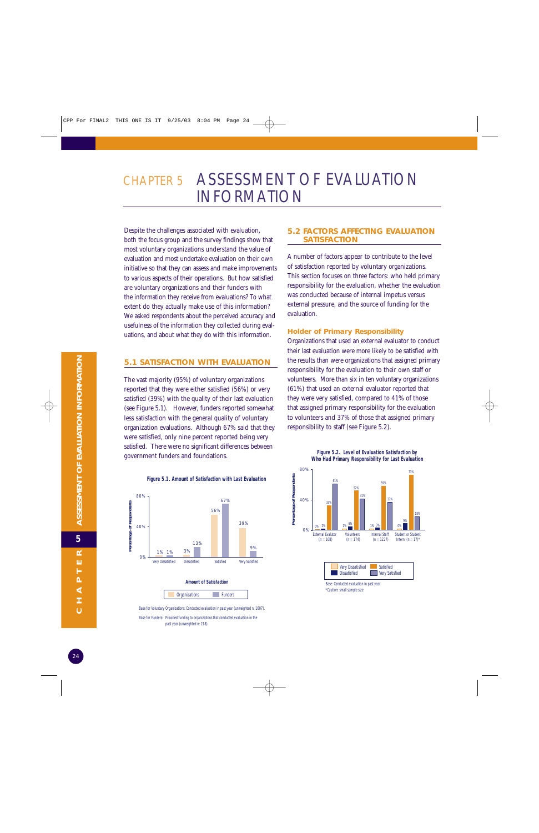## CHAPTER 5 ASSESSMENT OF EVALUATION INFORMATION

Despite the challenges associated with evaluation, both the focus group and the survey findings show that most voluntary organizations understand the value of evaluation and most undertake evaluation on their own initiative so that they can assess and make improvements to various aspects of their operations. But how satisfied are voluntary organizations and their funders with the information they receive from evaluations? To what extent do they actually make use of this information? We asked respondents about the perceived accuracy and usefulness of the information they collected during evaluations, and about what they do with this information.

#### **5.1 SATISFACTION WITH EVALUATION**

The vast majority (95%) of voluntary organizations reported that they were either satisfied (56%) or very satisfied (39%) with the quality of their last evaluation (see Figure 5.1). However, funders reported somewhat less satisfaction with the general quality of voluntary organization evaluations. Although 67% said that they were satisfied, only nine percent reported being very satisfied. There were no significant differences between government funders and foundations.

#### **Figure 5.1. Amount of Satisfaction with Last Evaluation**



Base for Voluntary Organizations: Conducted evaluation in past year (unweighted n: 1607). Base for Funders: Provided funding to organizations that conducted evaluation in the past year (unweighted n: 218).

#### **5.2 FACTORS AFFECTING EVALUATION SATISFACTION**

A number of factors appear to contribute to the level of satisfaction reported by voluntary organizations. This section focuses on three factors: who held primary responsibility for the evaluation, whether the evaluation was conducted because of internal impetus versus external pressure, and the source of funding for the evaluation.

#### **Holder of Primary Responsibility**

Organizations that used an external evaluator to conduct their last evaluation were more likely to be satisfied with the results than were organizations that assigned primary responsibility for the evaluation to their own staff or volunteers. More than six in ten voluntary organizations (61%) that used an external evaluator reported that they were very satisfied, compared to 41% of those that assigned primary responsibility for the evaluation to volunteers and 37% of those that assigned primary responsibility to staff (see Figure 5.2).



**Figure 5.2. Level of Evaluation Satisfaction by Who Had Primary Responsibility for Last Evaluation**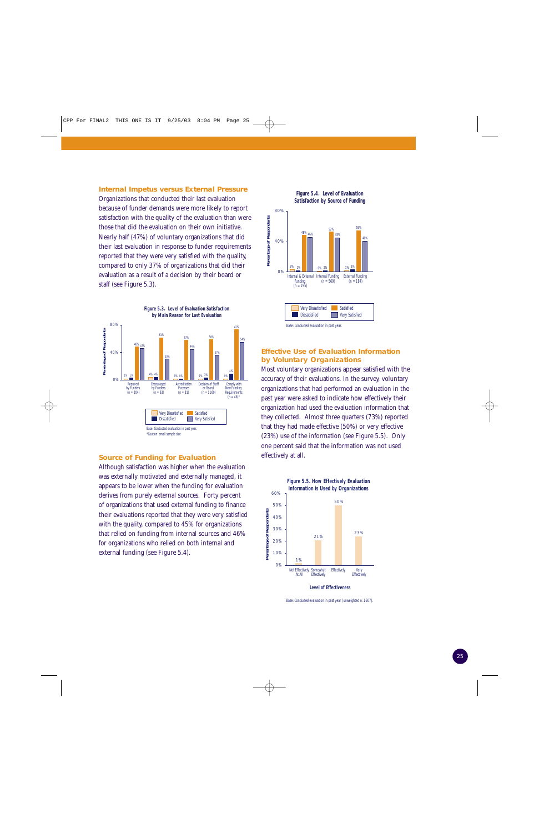#### **Internal Impetus versus External Pressure**

Organizations that conducted their last evaluation because of funder demands were more likely to report satisfaction with the quality of the evaluation than were those that did the evaluation on their own initiative. Nearly half (47%) of voluntary organizations that did their last evaluation in response to funder requirements reported that they were very satisfied with the quality, compared to only 37% of organizations that did their evaluation as a result of a decision by their board or staff (see Figure 5.3).



#### **Source of Funding for Evaluation**

Although satisfaction was higher when the evaluation was externally motivated and externally managed, it appears to be lower when the funding for evaluation derives from purely external sources. Forty percent of organizations that used external funding to finance their evaluations reported that they were very satisfied with the quality, compared to 45% for organizations that relied on funding from internal sources and 46% for organizations who relied on both internal and external funding (see Figure 5.4).





#### **Effective Use of Evaluation Information by Voluntary Organizations**

Most voluntary organizations appear satisfied with the accuracy of their evaluations. In the survey, voluntary organizations that had performed an evaluation in the past year were asked to indicate how effectively their organization had used the evaluation information that they collected. Almost three quarters (73%) reported that they had made effective (50%) or very effective (23%) use of the information (see Figure 5.5). Only one percent said that the information was not used effectively at all.



Base: Conducted evaluation in past year (unweighted n: 1607).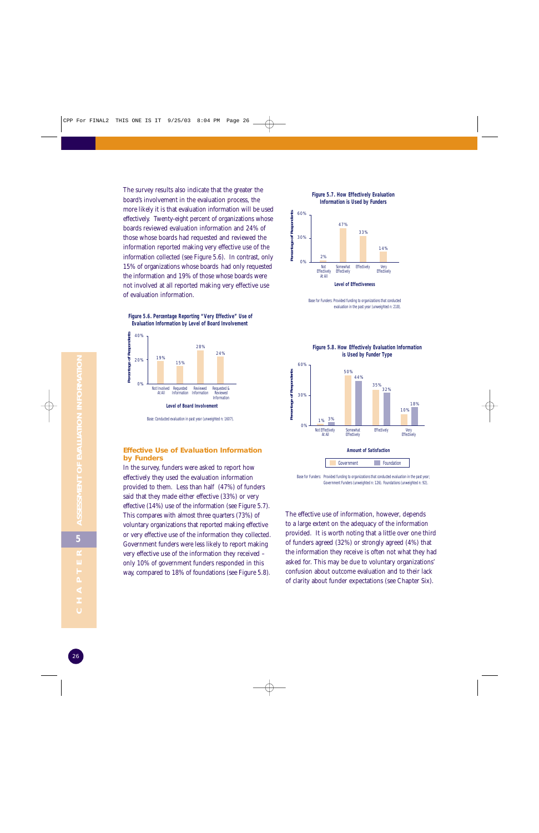The survey results also indicate that the greater the board's involvement in the evaluation process, the more likely it is that evaluation information will be used effectively. Twenty-eight percent of organizations whose boards reviewed evaluation information and 24% of those whose boards had requested and reviewed the information reported making very effective use of the information collected (see Figure 5.6). In contrast, only 15% of organizations whose boards had only requested the information and 19% of those whose boards were not involved at all reported making very effective use of evaluation information.

**Figure 5.6. Percentage Reporting "Very Effective" Use of Evaluation Information by Level of Board Involvement** 



#### **Effective Use of Evaluation Information by Funders**

In the survey, funders were asked to report how effectively they used the evaluation information provided to them. Less than half (47%) of funders said that they made either effective (33%) or very effective (14%) use of the information (see Figure 5.7). This compares with almost three quarters (73%) of voluntary organizations that reported making effective or very effective use of the information they collected. Government funders were less likely to report making very effective use of the information they received – only 10% of government funders responded in this way, compared to 18% of foundations (see Figure 5.8).

## **Figure 5.7. How Effectively Evaluation**





Base for Funders: Provided funding to organizations that conducted evaluation in the past year (unweighted n: 218).



Base for Funders: Provided funding to organizations that conducted evaluation in the past year: Government Funders (unweighted n: 126). Foundations (unweighted n: 92).

The effective use of information, however, depends to a large extent on the adequacy of the information provided. It is worth noting that a little over one third of funders agreed (32%) or strongly agreed (4%) that the information they receive is often not what they had asked for. This may be due to voluntary organizations' confusion about outcome evaluation and to their lack of clarity about funder expectations (see Chapter Six).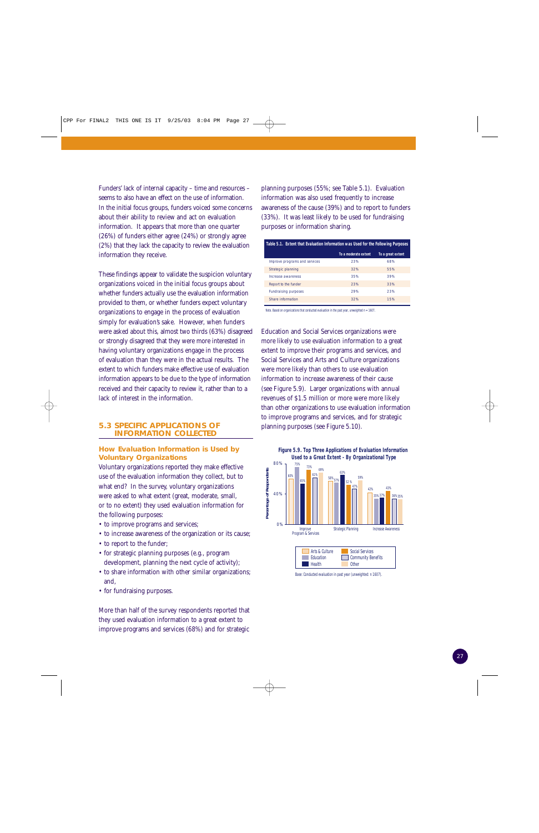Funders' lack of internal capacity – time and resources – seems to also have an effect on the use of information. In the initial focus groups, funders voiced some concerns about their ability to review and act on evaluation information. It appears that more than one quarter (26%) of funders either agree (24%) or strongly agree (2%) that they lack the capacity to review the evaluation information they receive.

These findings appear to validate the suspicion voluntary organizations voiced in the initial focus groups about whether funders actually use the evaluation information provided to them, or whether funders expect voluntary organizations to engage in the process of evaluation simply for evaluation's sake. However, when funders were asked about this, almost two thirds (63%) disagreed or strongly disagreed that they were more interested in having voluntary organizations engage in the process of evaluation than they were in the actual results. The extent to which funders make effective use of evaluation information appears to be due to the type of information received and their capacity to review it, rather than to a lack of interest in the information.

#### **5.3 SPECIFIC APPLICATIONS OF INFORMATION COLLECTED**

#### **How Evaluation Information is Used by Voluntary Organizations**

Voluntary organizations reported they make effective use of the evaluation information they collect, but to what end? In the survey, voluntary organizations were asked to what extent (great, moderate, small, or to no extent) they used evaluation information for the following purposes:

- to improve programs and services;
- to increase awareness of the organization or its cause;
- to report to the funder;
- for strategic planning purposes (e.g., program development, planning the next cycle of activity);
- to share information with other similar organizations; and,
- for fundraising purposes.

More than half of the survey respondents reported that they used evaluation information to a great extent to improve programs and services (68%) and for strategic

planning purposes (55%; see Table 5.1). Evaluation information was also used frequently to increase awareness of the cause (39%) and to report to funders (33%). It was least likely to be used for fundraising purposes or information sharing.

| Table 5.1. Extent that Evaluation Information was Used for the Following Purposes |                      |                   |  |  |
|-----------------------------------------------------------------------------------|----------------------|-------------------|--|--|
|                                                                                   | To a moderate extent | To a great extent |  |  |
| Improve programs and services                                                     | 23%                  | 68%               |  |  |
| Strategic planning                                                                | 32%                  | 55%               |  |  |
| Increase awareness                                                                | 35%                  | 39%               |  |  |
| Report to the funder                                                              | 23%                  | 33%               |  |  |
| <b>Fundraising purposes</b>                                                       | 29%                  | 23%               |  |  |
| Share information                                                                 | 32%                  | 15%               |  |  |

Note. Based on organizations that conducted evaluation in the past year, unweighted  $n = 1607$ .

Education and Social Services organizations were more likely to use evaluation information to a great extent to improve their programs and services, and Social Services and Arts and Culture organizations were more likely than others to use evaluation information to increase awareness of their cause (see Figure 5.9). Larger organizations with annual revenues of \$1.5 million or more were more likely than other organizations to use evaluation information to improve programs and services, and for strategic planning purposes (see Figure 5.10).



Base: Conducted evaluation in past year (unweighted: n 1607).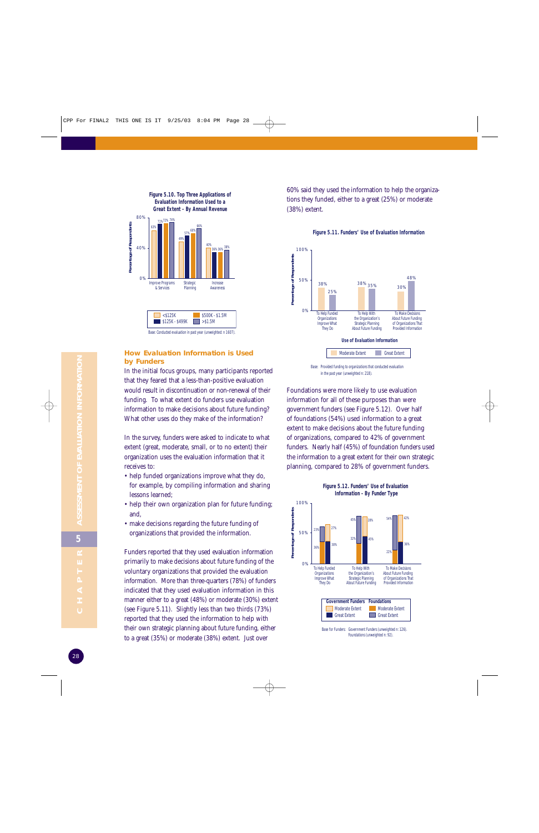

#### **How Evaluation Information is Used by Funders**

In the initial focus groups, many participants reported that they feared that a less-than-positive evaluation would result in discontinuation or non-renewal of their funding. To what extent do funders use evaluation information to make decisions about future funding? What other uses do they make of the information?

In the survey, funders were asked to indicate to what extent (great, moderate, small, or to no extent) their organization uses the evaluation information that it receives to:

- help funded organizations improve what they do, for example, by compiling information and sharing lessons learned;
- help their own organization plan for future funding; and,
- make decisions regarding the future funding of organizations that provided the information.

Funders reported that they used evaluation information primarily to make decisions about future funding of the voluntary organizations that provided the evaluation information. More than three-quarters (78%) of funders indicated that they used evaluation information in this manner either to a great (48%) or moderate (30%) extent (see Figure 5.11). Slightly less than two thirds (73%) reported that they used the information to help with their own strategic planning about future funding, either to a great (35%) or moderate (38%) extent. Just over

60% said they used the information to help the organizations they funded, either to a great (25%) or moderate (38%) extent.



#### **Figure 5.11. Funders' Use of Evaluation Information**



Foundations were more likely to use evaluation information for all of these purposes than were government funders (see Figure 5.12). Over half of foundations (54%) used information to a great extent to make decisions about the future funding of organizations, compared to 42% of government funders. Nearly half (45%) of foundation funders used the information to a great extent for their own strategic planning, compared to 28% of government funders.

**Figure 5.12. Funders' Use of Evaluation** 

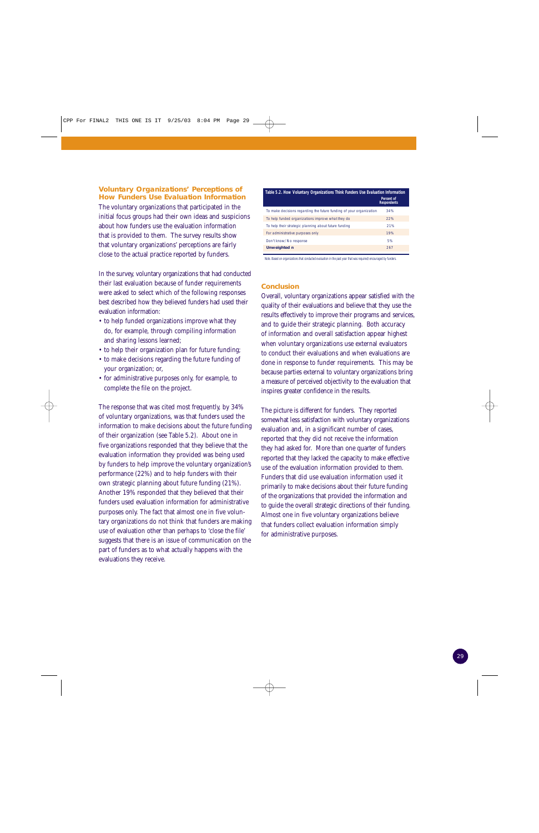#### **Voluntary Organizations' Perceptions of How Funders Use Evaluation Information**

The voluntary organizations that participated in the initial focus groups had their own ideas and suspicions about how funders use the evaluation information that is provided to them. The survey results show that voluntary organizations' perceptions are fairly close to the actual practice reported by funders.

In the survey, voluntary organizations that had conducted their last evaluation because of funder requirements were asked to select which of the following responses best described how they believed funders had used their evaluation information:

- to help funded organizations improve what they do, for example, through compiling information and sharing lessons learned;
- to help their organization plan for future funding;
- to make decisions regarding the future funding of your organization; or,
- for administrative purposes only, for example, to complete the file on the project.

The response that was cited most frequently, by 34% of voluntary organizations, was that funders used the information to make decisions about the future funding of their organization (see Table 5.2). About one in five organizations responded that they believe that the evaluation information they provided was being used by funders to help improve the voluntary organization's performance (22%) and to help funders with their own strategic planning about future funding (21%). Another 19% responded that they believed that their funders used evaluation information for administrative purposes only. The fact that almost one in five voluntary organizations do not think that funders are making use of evaluation other than perhaps to 'close the file' suggests that there is an issue of communication on the part of funders as to what actually happens with the evaluations they receive.

| Table 5.2. How Voluntary Organizations Think Funders Use Evaluation Information | Percent of<br><b>Respondents</b> |
|---------------------------------------------------------------------------------|----------------------------------|
| To make decisions regarding the future funding of your organization             | 34%                              |
| To help funded organizations improve what they do                               | 22%                              |
| To help their strategic planning about future funding                           | 21%                              |
| For administrative purposes only                                                | 19%                              |
| Don't know/No response                                                          | 5%                               |
| <b>Unweighted n</b>                                                             | 267                              |

Note. Based on organizations that conducted evaluation in the past year that was required/encouraged by funders.

#### **Conclusion**

Overall, voluntary organizations appear satisfied with the quality of their evaluations and believe that they use the results effectively to improve their programs and services, and to guide their strategic planning. Both accuracy of information and overall satisfaction appear highest when voluntary organizations use external evaluators to conduct their evaluations and when evaluations are done in response to funder requirements. This may be because parties external to voluntary organizations bring a measure of perceived objectivity to the evaluation that inspires greater confidence in the results.

The picture is different for funders. They reported somewhat less satisfaction with voluntary organizations evaluation and, in a significant number of cases, reported that they did not receive the information they had asked for. More than one quarter of funders reported that they lacked the capacity to make effective use of the evaluation information provided to them. Funders that did use evaluation information used it primarily to make decisions about their future funding of the organizations that provided the information and to guide the overall strategic directions of their funding. Almost one in five voluntary organizations believe that funders collect evaluation information simply for administrative purposes.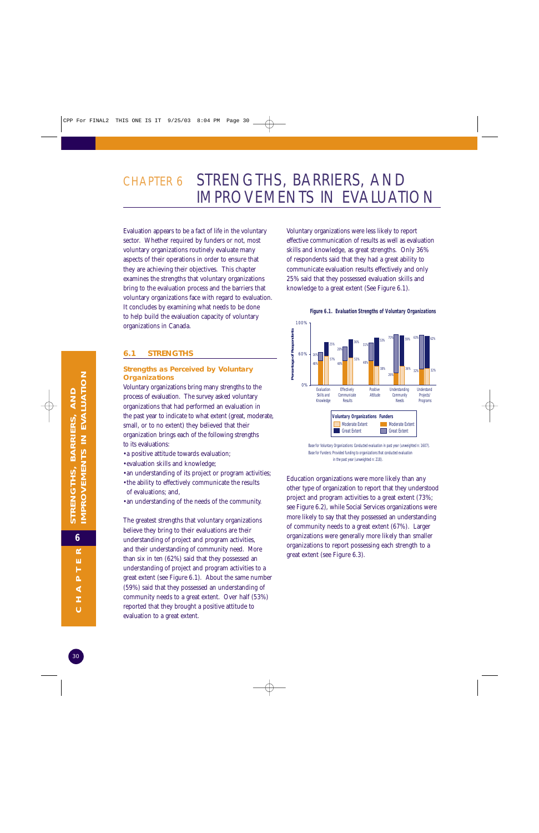## CHAPTER 6 STRENGTHS, BARRIERS, AND IMPROVEMENTS IN EVALUATION

Evaluation appears to be a fact of life in the voluntary sector. Whether required by funders or not, most voluntary organizations routinely evaluate many aspects of their operations in order to ensure that they are achieving their objectives. This chapter examines the strengths that voluntary organizations bring to the evaluation process and the barriers that voluntary organizations face with regard to evaluation. It concludes by examining what needs to be done to help build the evaluation capacity of voluntary organizations in Canada.

#### **6.1 STRENGTHS**

#### **Strengths as Perceived by Voluntary Organizations**

Voluntary organizations bring many strengths to the process of evaluation. The survey asked voluntary organizations that had performed an evaluation in the past year to indicate to what extent (great, moderate, small, or to no extent) they believed that their organization brings each of the following strengths to its evaluations:

- •a positive attitude towards evaluation;
- •evaluation skills and knowledge;
- •an understanding of its project or program activities;
- •the ability to effectively communicate the results of evaluations; and,
- •an understanding of the needs of the community.

The greatest strengths that voluntary organizations believe they bring to their evaluations are their understanding of project and program activities, and their understanding of community need. More than six in ten (62%) said that they possessed an understanding of project and program activities to a great extent (see Figure 6.1). About the same number (59%) said that they possessed an understanding of community needs to a great extent. Over half (53%) reported that they brought a positive attitude to evaluation to a great extent.

Voluntary organizations were less likely to report effective communication of results as well as evaluation skills and knowledge, as great strengths. Only 36% of respondents said that they had a great ability to communicate evaluation results effectively and only 25% said that they possessed evaluation skills and knowledge to a great extent (See Figure 6.1).



#### **Figure 6.1. Evaluation Strengths of Voluntary Organizations**

Base for Voluntary Organizations: Conducted evaluation in past year (unweighted n: 1607). Base for Funders: Provided funding to organizations that conducted evaluation in the past year (unweighted n: 218).

Education organizations were more likely than any other type of organization to report that they understood project and program activities to a great extent (73%; see Figure 6.2), while Social Services organizations were more likely to say that they possessed an understanding of community needs to a great extent (67%). Larger organizations were generally more likely than smaller organizations to report possessing each strength to a great extent (see Figure 6.3).

H لم<br>با  $\overline{\mathbf{A}}$  $\pm$  $\ddot{\circ}$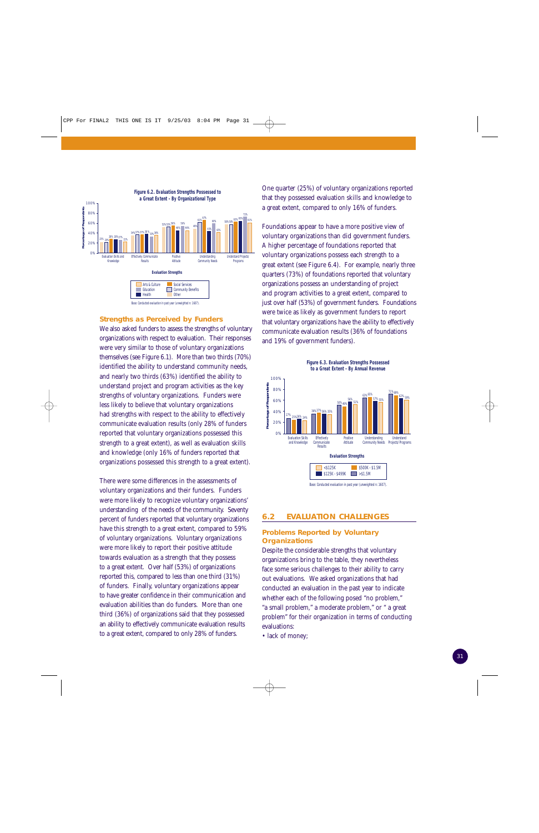

#### **Strengths as Perceived by Funders**

We also asked funders to assess the strengths of voluntary organizations with respect to evaluation. Their responses were very similar to those of voluntary organizations themselves (see Figure 6.1). More than two thirds (70%) identified the ability to understand community needs, and nearly two thirds (63%) identified the ability to understand project and program activities as the key strengths of voluntary organizations. Funders were less likely to believe that voluntary organizations had strengths with respect to the ability to effectively communicate evaluation results (only 28% of funders reported that voluntary organizations possessed this strength to a great extent), as well as evaluation skills and knowledge (only 16% of funders reported that organizations possessed this strength to a great extent).

There were some differences in the assessments of voluntary organizations and their funders. Funders were more likely to recognize voluntary organizations' understanding of the needs of the community. Seventy percent of funders reported that voluntary organizations have this strength to a great extent, compared to 59% of voluntary organizations. Voluntary organizations were more likely to report their positive attitude towards evaluation as a strength that they possess to a great extent. Over half (53%) of organizations reported this, compared to less than one third (31%) of funders. Finally, voluntary organizations appear to have greater confidence in their communication and evaluation abilities than do funders. More than one third (36%) of organizations said that they possessed an ability to effectively communicate evaluation results to a great extent, compared to only 28% of funders.

One quarter (25%) of voluntary organizations reported that they possessed evaluation skills and knowledge to a great extent, compared to only 16% of funders.

Foundations appear to have a more positive view of voluntary organizations than did government funders. A higher percentage of foundations reported that voluntary organizations possess each strength to a great extent (see Figure 6.4). For example, nearly three quarters (73%) of foundations reported that voluntary organizations possess an understanding of project and program activities to a great extent, compared to just over half (53%) of government funders. Foundations were twice as likely as government funders to report that voluntary organizations have the ability to effectively communicate evaluation results (36% of foundations and 19% of government funders).

63% 65% **Figure 6.3. Evaluation Strengths Possessed to a Great Extent - By Annual Revenue**



#### **6.2 EVALUATION CHALLENGES**

#### **Problems Reported by Voluntary Organizations**

Despite the considerable strengths that voluntary organizations bring to the table, they nevertheless face some serious challenges to their ability to carry out evaluations. We asked organizations that had conducted an evaluation in the past year to indicate whether each of the following posed "no problem," "a small problem," a moderate problem," or " a great problem" for their organization in terms of conducting evaluations:

• lack of money;

100% 80%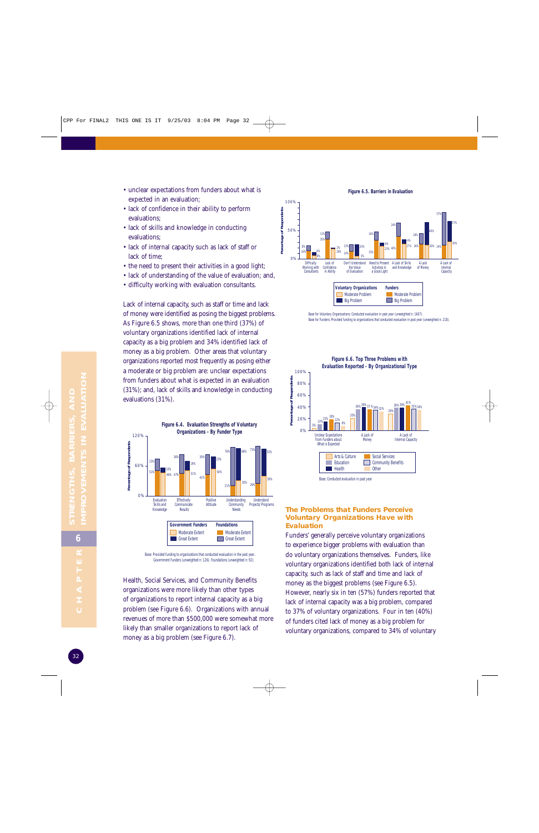- unclear expectations from funders about what is expected in an evaluation;
- lack of confidence in their ability to perform evaluations;
- lack of skills and knowledge in conducting evaluations;
- lack of internal capacity such as lack of staff or lack of time;
- the need to present their activities in a good light;
- lack of understanding of the value of evaluation; and,
- difficulty working with evaluation consultants.

Lack of internal capacity, such as staff or time and lack of money were identified as posing the biggest problems. As Figure 6.5 shows, more than one third (37%) of voluntary organizations identified lack of internal capacity as a big problem and 34% identified lack of money as a big problem. Other areas that voluntary organizations reported most frequently as posing either a moderate or big problem are: unclear expectations from funders about what is expected in an evaluation (31%); and, lack of skills and knowledge in conducting evaluations (31%).



Base: Provided funding to organizations that conducted evaluation in the past year. Government Funders (unweighted n: 126). Foundations (unweighted n: 92).

Health, Social Services, and Community Benefits organizations were more likely than other types of organizations to report internal capacity as a big problem (see Figure 6.6). Organizations with annual revenues of more than \$500,000 were somewhat more likely than smaller organizations to report lack of money as a big problem (see Figure 6.7).



Base for Voluntary Organizations: Conducted evaluation in past year (unweighted n: 1607). Base for Funders: Provided funding to organizations that conducted evaluation in past year (unweighted n: 218).



#### **The Problems that Funders Perceive Voluntary Organizations Have with Evaluation**

Funders' generally perceive voluntary organizations to experience bigger problems with evaluation than do voluntary organizations themselves. Funders, like voluntary organizations identified both lack of internal capacity, such as lack of staff and time and lack of money as the biggest problems (see Figure 6.5). However, nearly six in ten (57%) funders reported that lack of internal capacity was a big problem, compared to 37% of voluntary organizations. Four in ten (40%) of funders cited lack of money as a big problem for voluntary organizations, compared to 34% of voluntary

**Figure 6.5. Barriers in Evaluation**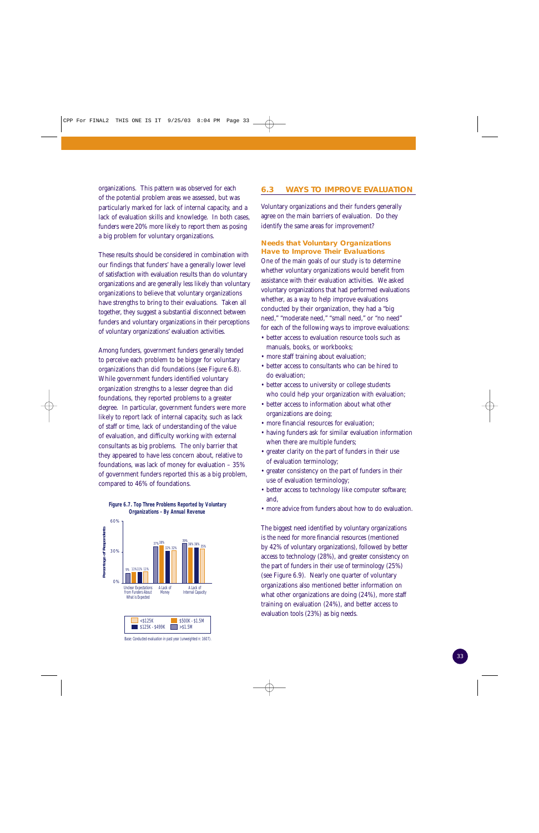organizations. This pattern was observed for each of the potential problem areas we assessed, but was particularly marked for lack of internal capacity, and a lack of evaluation skills and knowledge. In both cases, funders were 20% more likely to report them as posing a big problem for voluntary organizations.

These results should be considered in combination with our findings that funders' have a generally lower level of satisfaction with evaluation results than do voluntary organizations and are generally less likely than voluntary organizations to believe that voluntary organizations have strengths to bring to their evaluations. Taken all together, they suggest a substantial disconnect between funders and voluntary organizations in their perceptions of voluntary organizations' evaluation activities.

Among funders, government funders generally tended to perceive each problem to be bigger for voluntary organizations than did foundations (see Figure 6.8). While government funders identified voluntary organization strengths to a lesser degree than did foundations, they reported problems to a greater degree. In particular, government funders were more likely to report lack of internal capacity, such as lack of staff or time, lack of understanding of the value of evaluation, and difficulty working with external consultants as big problems. The only barrier that they appeared to have less concern about, relative to foundations, was lack of money for evaluation – 35% of government funders reported this as a big problem, compared to 46% of foundations.



Base: Conducted evaluation in past year (unweighted n: 1607).

#### **6.3 WAYS TO IMPROVE EVALUATION**

Voluntary organizations and their funders generally agree on the main barriers of evaluation. Do they identify the same areas for improvement?

#### **Needs that Voluntary Organizations Have to Improve Their Evaluations**

One of the main goals of our study is to determine whether voluntary organizations would benefit from assistance with their evaluation activities. We asked voluntary organizations that had performed evaluations whether, as a way to help improve evaluations conducted by their organization, they had a "big need," "moderate need," "small need," or "no need" for each of the following ways to improve evaluations:

- better access to evaluation resource tools such as manuals, books, or workbooks;
- more staff training about evaluation;
- better access to consultants who can be hired to do evaluation;
- better access to university or college students who could help your organization with evaluation;
- better access to information about what other organizations are doing;
- more financial resources for evaluation;
- having funders ask for similar evaluation information when there are multiple funders;
- greater clarity on the part of funders in their use of evaluation terminology;
- greater consistency on the part of funders in their use of evaluation terminology;
- better access to technology like computer software; and,
- more advice from funders about how to do evaluation.

The biggest need identified by voluntary organizations is the need for more financial resources (mentioned by 42% of voluntary organizations), followed by better access to technology (28%), and greater consistency on the part of funders in their use of terminology (25%) (see Figure 6.9). Nearly one quarter of voluntary organizations also mentioned better information on what other organizations are doing (24%), more staff training on evaluation (24%), and better access to evaluation tools (23%) as big needs.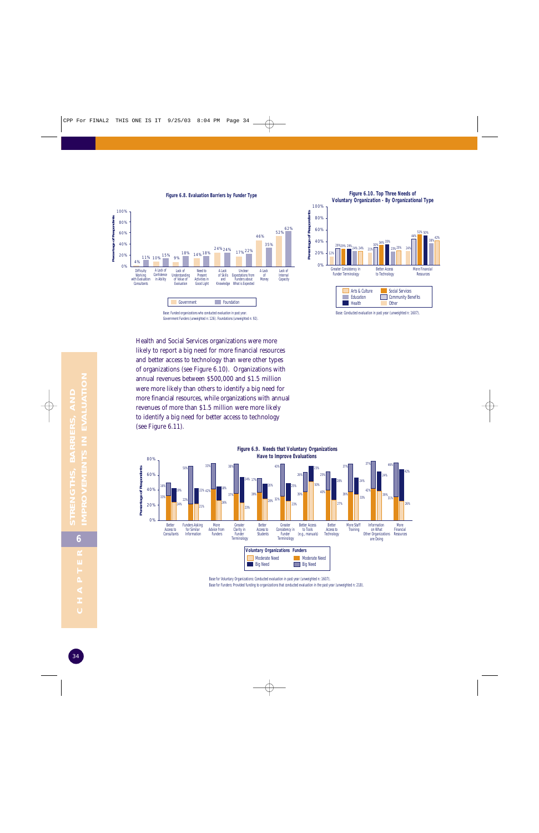

**Figure 6.10. Top Three Needs of Voluntary Organization - By Organizational Type**



Health and Social Services organizations were more likely to report a big need for more financial resources and better access to technology than were other types of organizations (see Figure 6.10). Organizations with annual revenues between \$500,000 and \$1.5 million were more likely than others to identify a big need for more financial resources, while organizations with annual revenues of more than \$1.5 million were more likely to identify a big need for better access to technology (see Figure 6.11).



Base for Voluntary Organizations: Conducted evaluation in past year (unweighted n: 1607). Base for Funders: Provided funding to organizations that conducted evaluation in the past year (unweighted n: 218).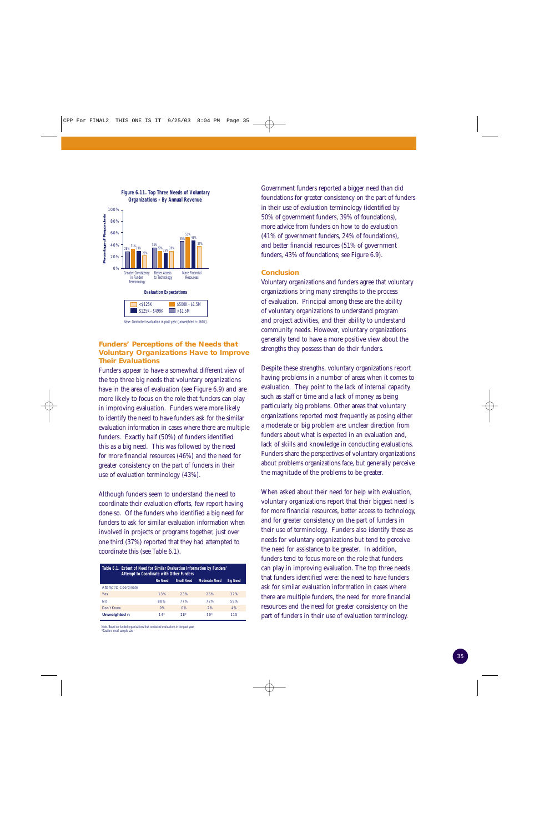

#### **Funders' Perceptions of the Needs that Voluntary Organizations Have to Improve Their Evaluations**

Funders appear to have a somewhat different view of the top three big needs that voluntary organizations have in the area of evaluation (see Figure 6.9) and are more likely to focus on the role that funders can play in improving evaluation. Funders were more likely to identify the need to have funders ask for the similar evaluation information in cases where there are multiple funders. Exactly half (50%) of funders identified this as a big need. This was followed by the need for more financial resources (46%) and the need for greater consistency on the part of funders in their use of evaluation terminology (43%).

Although funders seem to understand the need to coordinate their evaluation efforts, few report having done so. Of the funders who identified a big need for funders to ask for similar evaluation information when involved in projects or programs together, just over one third (37%) reported that they had attempted to coordinate this (see Table 6.1).

| Table 6.1. Extent of Need for Similar Evaluation Information by Funders'<br><b>Attempt to Coordinate with Other Funders</b> |       |       |       |     |  |  |  |  |
|-----------------------------------------------------------------------------------------------------------------------------|-------|-------|-------|-----|--|--|--|--|
| <b>Small Need</b><br><b>No Need</b><br><b>Moderate Need</b><br><b>Big Need</b>                                              |       |       |       |     |  |  |  |  |
| <b>Attempt to Coordinate</b>                                                                                                |       |       |       |     |  |  |  |  |
| Yes                                                                                                                         | 13%   | 23%   | 26%   | 37% |  |  |  |  |
| <b>No</b>                                                                                                                   | 88%   | 77%   | 72%   | 59% |  |  |  |  |
| Don't Know                                                                                                                  | O%    | O%    | 2%    | 4%  |  |  |  |  |
| Unweighted n                                                                                                                | $14*$ | $28*$ | $50*$ | 115 |  |  |  |  |

Note. Based on funded organizations that conducted evaluations in the past year. \*Caution: small sample si

Government funders reported a bigger need than did foundations for greater consistency on the part of funders in their use of evaluation terminology (identified by 50% of government funders, 39% of foundations), more advice from funders on how to do evaluation (41% of government funders, 24% of foundations), and better financial resources (51% of government funders, 43% of foundations; see Figure 6.9).

#### **Conclusion**

Voluntary organizations and funders agree that voluntary organizations bring many strengths to the process of evaluation. Principal among these are the ability of voluntary organizations to understand program and project activities, and their ability to understand community needs. However, voluntary organizations generally tend to have a more positive view about the strengths they possess than do their funders.

Despite these strengths, voluntary organizations report having problems in a number of areas when it comes to evaluation. They point to the lack of internal capacity, such as staff or time and a lack of money as being particularly big problems. Other areas that voluntary organizations reported most frequently as posing either a moderate or big problem are: unclear direction from funders about what is expected in an evaluation and, lack of skills and knowledge in conducting evaluations. Funders share the perspectives of voluntary organizations about problems organizations face, but generally perceive the magnitude of the problems to be greater.

When asked about their need for help with evaluation, voluntary organizations report that their biggest need is for more financial resources, better access to technology, and for greater consistency on the part of funders in their use of terminology. Funders also identify these as needs for voluntary organizations but tend to perceive the need for assistance to be greater. In addition, funders tend to focus more on the role that funders can play in improving evaluation. The top three needs that funders identified were: the need to have funders ask for similar evaluation information in cases where there are multiple funders, the need for more financial resources and the need for greater consistency on the part of funders in their use of evaluation terminology.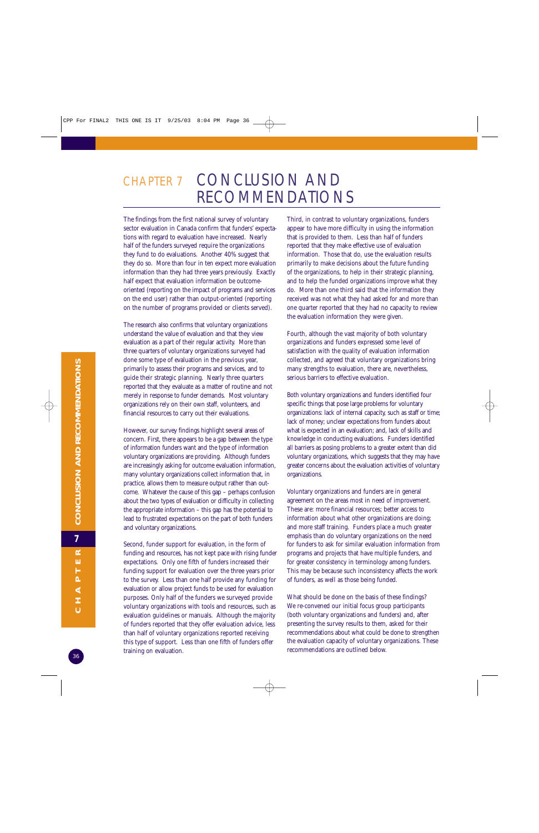## CHAPTER 7 CONCLUSION AND RECOMMENDATIONS

The findings from the first national survey of voluntary sector evaluation in Canada confirm that funders' expectations with regard to evaluation have increased. Nearly half of the funders surveyed require the organizations they fund to do evaluations. Another 40% suggest that they do so. More than four in ten expect more evaluation information than they had three years previously. Exactly half expect that evaluation information be outcomeoriented (reporting on the impact of programs and services on the end user) rather than output-oriented (reporting on the number of programs provided or clients served).

The research also confirms that voluntary organizations understand the value of evaluation and that they view evaluation as a part of their regular activity. More than three quarters of voluntary organizations surveyed had done some type of evaluation in the previous year, primarily to assess their programs and services, and to guide their strategic planning. Nearly three quarters reported that they evaluate as a matter of routine and not merely in response to funder demands. Most voluntary organizations rely on their own staff, volunteers, and financial resources to carry out their evaluations.

However, our survey findings highlight several areas of concern. First, there appears to be a gap between the type of information funders want and the type of information voluntary organizations are providing. Although funders are increasingly asking for outcome evaluation information, many voluntary organizations collect information that, in practice, allows them to measure output rather than outcome. Whatever the cause of this gap – perhaps confusion about the two types of evaluation or difficulty in collecting the appropriate information – this gap has the potential to lead to frustrated expectations on the part of both funders and voluntary organizations.

Second, funder support for evaluation, in the form of funding and resources, has not kept pace with rising funder expectations. Only one fifth of funders increased their funding support for evaluation over the three years prior to the survey. Less than one half provide any funding for evaluation or allow project funds to be used for evaluation purposes. Only half of the funders we surveyed provide voluntary organizations with tools and resources, such as evaluation guidelines or manuals. Although the majority of funders reported that they offer evaluation advice, less than half of voluntary organizations reported receiving this type of support. Less than one fifth of funders offer training on evaluation.

Third, in contrast to voluntary organizations, funders appear to have more difficulty in using the information that is provided to them. Less than half of funders reported that they make effective use of evaluation information. Those that do, use the evaluation results primarily to make decisions about the future funding of the organizations, to help in their strategic planning, and to help the funded organizations improve what they do. More than one third said that the information they received was not what they had asked for and more than one quarter reported that they had no capacity to review the evaluation information they were given.

Fourth, although the vast majority of both voluntary organizations and funders expressed some level of satisfaction with the quality of evaluation information collected, and agreed that voluntary organizations bring many strengths to evaluation, there are, nevertheless, serious barriers to effective evaluation.

Both voluntary organizations and funders identified four specific things that pose large problems for voluntary organizations: lack of internal capacity, such as staff or time; lack of money; unclear expectations from funders about what is expected in an evaluation; and, lack of skills and knowledge in conducting evaluations. Funders identified all barriers as posing problems to a greater extent than did voluntary organizations, which suggests that they may have greater concerns about the evaluation activities of voluntary organizations.

Voluntary organizations and funders are in general agreement on the areas most in need of improvement. These are: more financial resources; better access to information about what other organizations are doing; and more staff training. Funders place a much greater emphasis than do voluntary organizations on the need for funders to ask for similar evaluation information from programs and projects that have multiple funders, and for greater consistency in terminology among funders. This may be because such inconsistency affects the work of funders, as well as those being funded.

What should be done on the basis of these findings? We re-convened our initial focus group participants (both voluntary organizations and funders) and, after presenting the survey results to them, asked for their recommendations about what could be done to strengthen the evaluation capacity of voluntary organizations. These recommendations are outlined below.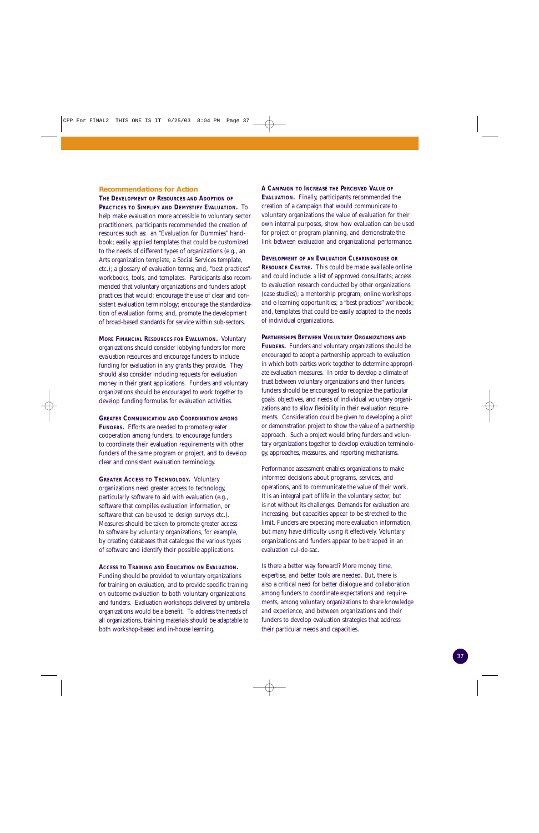#### **Recommendations for Action**

**THE DEVELOPMENT OF RESOURCES AND ADOPTION OF PRACTICES TO SIMPLIFY AND DEMYSTIFY EVALUATION.** To help make evaluation more accessible to voluntary sector practitioners, participants recommended the creation of resources such as: an "Evaluation for Dummies" handbook; easily applied templates that could be customized to the needs of different types of organizations (e.g., an Arts organization template, a Social Services template, etc.); a glossary of evaluation terms; and, "best practices" workbooks, tools, and templates. Participants also recommended that voluntary organizations and funders adopt practices that would: encourage the use of clear and consistent evaluation terminology; encourage the standardization of evaluation forms; and, promote the development of broad-based standards for service within sub-sectors.

**MORE FINANCIAL RESOURCES FOR EVALUATION.** Voluntary organizations should consider lobbying funders for more evaluation resources and encourage funders to include funding for evaluation in any grants they provide. They should also consider including requests for evaluation money in their grant applications. Funders and voluntary organizations should be encouraged to work together to develop funding formulas for evaluation activities.

**GREATER COMMUNICATION AND COORDINATION AMONG FUNDERS.** Efforts are needed to promote greater cooperation among funders, to encourage funders to coordinate their evaluation requirements with other funders of the same program or project, and to develop clear and consistent evaluation terminology.

**GREATER ACCESS TO TECHNOLOGY.** Voluntary organizations need greater access to technology, particularly software to aid with evaluation (e.g., software that compiles evaluation information, or software that can be used to design surveys etc.). Measures should be taken to promote greater access to software by voluntary organizations, for example, by creating databases that catalogue the various types of software and identify their possible applications.

#### **ACCESS TO TRAINING AND EDUCATION ON EVALUATION.**

Funding should be provided to voluntary organizations for training on evaluation, and to provide specific training on outcome evaluation to both voluntary organizations and funders. Evaluation workshops delivered by umbrella organizations would be a benefit. To address the needs of all organizations, training materials should be adaptable to both workshop-based and in-house learning.

**A CAMPAIGN TO INCREASE THE PERCEIVED VALUE OF EVALUATION.** Finally, participants recommended the creation of a campaign that would communicate to voluntary organizations the value of evaluation for their own internal purposes, show how evaluation can be used for project or program planning, and demonstrate the link between evaluation and organizational performance.

**DEVELOPMENT OF AN EVALUATION CLEARINGHOUSE OR RESOURCE CENTRE.** This could be made available online and could include: a list of approved consultants; access to evaluation research conducted by other organizations (case studies); a mentorship program; online workshops and e-learning opportunities; a "best practices" workbook; and, templates that could be easily adapted to the needs

of individual organizations.

**PARTNERSHIPS BETWEEN VOLUNTARY ORGANIZATIONS AND FUNDERS.** Funders and voluntary organizations should be encouraged to adopt a partnership approach to evaluation in which both parties work together to determine appropriate evaluation measures. In order to develop a climate of trust between voluntary organizations and their funders, funders should be encouraged to recognize the particular goals, objectives, and needs of individual voluntary organizations and to allow flexibility in their evaluation requirements. Consideration could be given to developing a pilot or demonstration project to show the value of a partnership approach. Such a project would bring funders and voluntary organizations together to develop evaluation terminology, approaches, measures, and reporting mechanisms.

Performance assessment enables organizations to make informed decisions about programs, services, and operations, and to communicate the value of their work. It is an integral part of life in the voluntary sector, but is not without its challenges. Demands for evaluation are increasing, but capacities appear to be stretched to the limit. Funders are expecting more evaluation information, but many have difficulty using it effectively. Voluntary organizations and funders appear to be trapped in an evaluation cul-de-sac.

Is there a better way forward? More money, time, expertise, and better tools are needed. But, there is also a critical need for better dialogue and collaboration among funders to coordinate expectations and requirements, among voluntary organizations to share knowledge and experience, and between organizations and their funders to develop evaluation strategies that address their particular needs and capacities.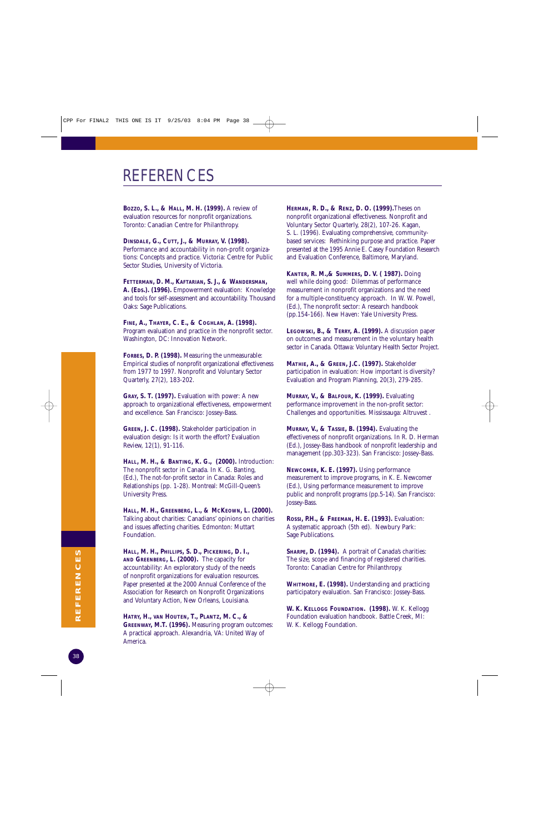## REFERENCES

**BOZZO, S. L., & HALL, M. H. (1999).** A review of evaluation resources for nonprofit organizations. Toronto: Canadian Centre for Philanthropy.

**DINSDALE, G., CUTT, J., & MURRAY, V. (1998).**

Performance and accountability in non-profit organizations: Concepts and practice. Victoria: Centre for Public Sector Studies, University of Victoria.

**FETTERMAN, D. M., KAFTARIAN, S. J., & WANDERSMAN, A. (EDS.). (1996).** Empowerment evaluation: Knowledge and tools for self-assessment and accountability. Thousand Oaks: Sage Publications.

**FINE, A., THAYER, C. E., & COGHLAN, A. (1998).** Program evaluation and practice in the nonprofit sector. Washington, DC: Innovation Network.

**FORBES, D. P. (1998).** Measuring the unmeasurable: Empirical studies of nonprofit organizational effectiveness from 1977 to 1997. Nonprofit and Voluntary Sector Quarterly, 27(2), 183-202.

**GRAY, S. T. (1997).** Evaluation with power: A new approach to organizational effectiveness, empowerment and excellence. San Francisco: Jossey-Bass.

**GREEN, J. C. (1998).** Stakeholder participation in evaluation design: Is it worth the effort? Evaluation Review, 12(1), 91-116.

**HALL, M. H., & BANTING, K. G., (2000).** Introduction: The nonprofit sector in Canada. In K. G. Banting, (Ed.), The not-for-profit sector in Canada: Roles and Relationships (pp. 1-28). Montreal: McGill-Queen's University Press.

**HALL, M. H., GREENBERG, L., & MCKEOWN, L. (2000).** Talking about charities: Canadians' opinions on charities and issues affecting charities. Edmonton: Muttart Foundation.

**HALL, M. H., PHILLIPS, S. D., PICKERING, D. I., AND GREENBERG, L. (2000).** The capacity for accountability: An exploratory study of the needs of nonprofit organizations for evaluation resources. Paper presented at the 2000 Annual Conference of the Association for Research on Nonprofit Organizations and Voluntary Action, New Orleans, Louisiana.

**HATRY, H., VAN HOUTEN, T., PLANTZ, M. C., & GREENWAY, M.T. (1996).** Measuring program outcomes: A practical approach. Alexandria, VA: United Way of America.

**HERMAN, R. D., & RENZ, D. O. (1999).**Theses on nonprofit organizational effectiveness. Nonprofit and Voluntary Sector Quarterly, 28(2), 107-26. Kagan, S. L. (1996). Evaluating comprehensive, communitybased services: Rethinking purpose and practice. Paper presented at the 1995 Annie E. Casey Foundation Research and Evaluation Conference, Baltimore, Maryland.

**KANTER, R. M.,& SUMMERS, D. V. ( 1987).** Doing well while doing good: Dilemmas of performance measurement in nonprofit organizations and the need for a multiple-constituency approach. In W. W. Powell, (Ed.), The nonprofit sector: A research handbook (pp.154-166). New Haven: Yale University Press.

**LEGOWSKI, B., & TERRY, A. (1999).** A discussion paper on outcomes and measurement in the voluntary health sector in Canada. Ottawa: Voluntary Health Sector Project.

**MATHIE, A., & GREEN, J.C. (1997).** Stakeholder participation in evaluation: How important is diversity? Evaluation and Program Planning, 20(3), 279-285.

**MURRAY, V., & BALFOUR, K. (1999).** Evaluating performance improvement in the non-profit sector: Challenges and opportunities. Mississauga: Altruvest .

**MURRAY, V., & TASSIE, B. (1994).** Evaluating the effectiveness of nonprofit organizations. In R. D. Herman (Ed.), Jossey-Bass handbook of nonprofit leadership and management (pp.303-323). San Francisco: Jossey-Bass.

**NEWCOMER, K. E. (1997).** Using performance measurement to improve programs, in K. E. Newcomer (Ed.), Using performance measurement to improve public and nonprofit programs (pp.5-14). San Francisco: Jossey-Bass.

**ROSSI, P.H., & FREEMAN, H. E. (1993).** Evaluation: A systematic approach (5th ed). Newbury Park: Sage Publications.

**SHARPE, D. (1994).** A portrait of Canada's charities: The size, scope and financing of registered charities. Toronto: Canadian Centre for Philanthropy.

**WHITMORE, E. (1998).** Understanding and practicing participatory evaluation. San Francisco: Jossey-Bass.

**W. K. KELLOGG FOUNDATION. (1998).** W. K. Kellogg Foundation evaluation handbook. Battle Creek, MI: W. K. Kellogg Foundation.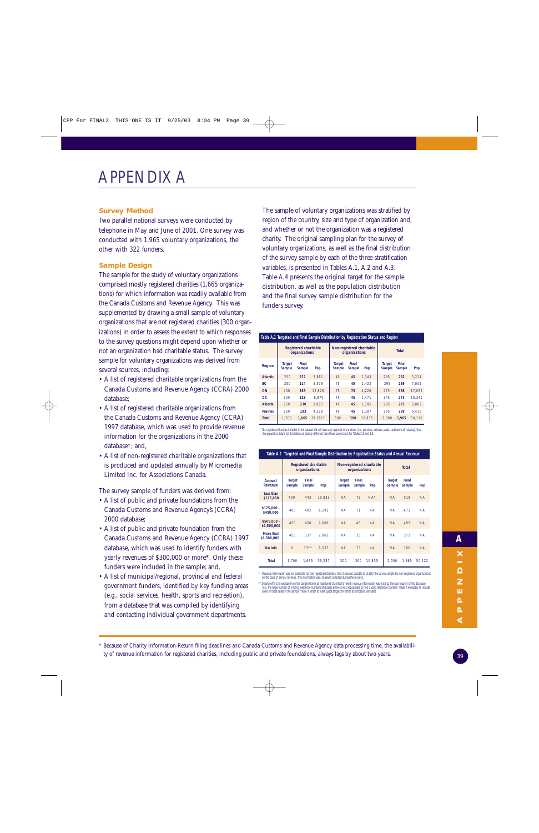#### **Survey Method**

Two parallel national surveys were conducted by telephone in May and June of 2001. One survey was conducted with 1,965 voluntary organizations, the other with 322 funders.

#### **Sample Design**

The sample for the study of voluntary organizations comprised mostly registered charities (1,665 organizations) for which information was readily available from the Canada Customs and Revenue Agency. This was supplemented by drawing a small sample of voluntary organizations that are not registered charities (300 organizations) in order to assess the extent to which responses to the survey questions might depend upon whether or not an organization had charitable status. The survey sample for voluntary organizations was derived from several sources, including:

- A list of registered charitable organizations from the Canada Customs and Revenue Agency (CCRA) 2000 database;
- A list of registered charitable organizations from the Canada Customs and Revenue Agency (CCRA) 1997 database, which was used to provide revenue information for the organizations in the 2000 database\*; and,
- A list of non-registered charitable organizations that is produced and updated annually by Micromedia Limited Inc. for Associations Canada.

The survey sample of funders was derived from:

- A list of public and private foundations from the Canada Customs and Revenue Agency's (CCRA) 2000 database;
- A list of public and private foundation from the Canada Customs and Revenue Agency (CCRA) 1997 database, which was used to identify funders with yearly revenues of \$300,000 or more\*. Only these funders were included in the sample; and,
- A list of municipal/regional, provincial and federal government funders, identified by key funding areas (e.g., social services, health, sports and recreation), from a database that was compiled by identifying and contacting individual government departments.

The sample of voluntary organizations was stratified by region of the country, size and type of organization and, and whether or not the organization was a registered charity. The original sampling plan for the survey of voluntary organizations, as well as the final distribution of the survey sample by each of the three stratification variables, is presented in Tables A.1, A.2 and A.3. Table A.4 presents the original target for the sample distribution, as well as the population distribution and the final survey sample distribution for the funders survey.

#### **Table A.1 Targeted and Final Sample Distribution by Registration Status and Region**

|                 | <b>Registered charitable</b><br>organizations |                 |         | Non-registered charitable<br>organizations |                 |        | <b>Total</b>            |                        |        |  |
|-----------------|-----------------------------------------------|-----------------|---------|--------------------------------------------|-----------------|--------|-------------------------|------------------------|--------|--|
| Region          | Target<br>Sample                              | Final<br>Sample | Pop     | <b>Target</b><br>Sample                    | Final<br>Sample | Pop    | <b>Target</b><br>Sample | Final<br><b>Sample</b> | Pop    |  |
| <b>Atlantic</b> | 250                                           | 237             | 3.881   | 45                                         | 45              | 1.343  | 295                     | 282                    | 5.224  |  |
| <b>BC</b>       | 250                                           | 214             | 5.579   | 45                                         | 45              | 1.422  | 295                     | 259                    | 7.001  |  |
| ON              | 400                                           | 563             | 12.826  | 75                                         | 75              | 4.226  | 475                     | 638                    | 17.052 |  |
| OC.             | 300                                           | 228             | 8.870   | 45                                         | 45              | 1.471  | 345                     | 273                    | 10.341 |  |
| <b>Alberta</b>  | 250                                           | 230             | 3.897   | 45                                         | 45              | 1.185  | 295                     | 275                    | 5.082  |  |
| <b>Prairies</b> | 250                                           | 193             | 4.228   | 45                                         | 45              | 1.187  | 295                     | 238                    | 5.415  |  |
| <b>Total</b>    | 1.700                                         | 1.665           | 39.281* | 300                                        | 300             | 10.835 | 2.000                   | 1.965                  | 50.116 |  |

\* Six registered charities included in the dataset did not have any regional information (i.e., province, address, postal code were all missing), thus<br>the population totals for this table are slightly different than these

|                             | Table A.2  Targeted and Final Sample Distribution by Registration Status and Annual Revenue |                                               |        |                         |                                            |           |                         |                 |           |  |  |
|-----------------------------|---------------------------------------------------------------------------------------------|-----------------------------------------------|--------|-------------------------|--------------------------------------------|-----------|-------------------------|-----------------|-----------|--|--|
|                             |                                                                                             | <b>Registered charitable</b><br>organizations |        |                         | Non-registered charitable<br>organizations |           |                         | <b>Total</b>    |           |  |  |
| Annual<br>Revenue           | <b>Target</b><br>Sample                                                                     | Final<br>Sample                               | Pop    | <b>Target</b><br>Sample | Final<br>Sample                            | Pop       | <b>Target</b><br>Sample | Final<br>Sample | Pop       |  |  |
| Less than<br>\$125,000      | 400                                                                                         | 443                                           | 19,833 | <b>NA</b>               | 76                                         | $NA*$     | <b>NA</b>               | 519             | <b>NA</b> |  |  |
| $$125,000 -$<br>\$499,000   | 400                                                                                         | 402                                           | 6.192  | <b>NA</b>               | 71                                         | <b>NA</b> | <b>NA</b>               | 473             | <b>NA</b> |  |  |
| $$500.000 -$<br>\$1,500,000 | 450                                                                                         | 450                                           | 2.660  | <b>NA</b>               | 45                                         | <b>NA</b> | <b>NA</b>               | 495             | <b>NA</b> |  |  |
| More than<br>\$1,500,000    | 450                                                                                         | 337                                           | 2.065  | <b>NA</b>               | 35                                         | <b>NA</b> | <b>NA</b>               | 372             | <b>NA</b> |  |  |
| No Info                     | $\overline{0}$                                                                              | $33***$                                       | 8.537  | <b>NA</b>               | 73                                         | <b>NA</b> | <b>NA</b>               | 106             | <b>NA</b> |  |  |
| <b>Total</b>                | 1.700                                                                                       | 1.665                                         | 39.287 | 300                     | 300                                        | 10.835    | 2.000                   | 1.965           | 50.122    |  |  |

Revenue information was not available for non-registered charities, thus it was not possible to stratify the survey sample for non-registered organizations on the basis of annual revenue. This information was, however, collected during the surveys.

\*\* Despite efforts to exclude from the sample frame all registered charities for which revenue information was missing, the poor quality of the database<br>(i.e., the large number of missing telephone numbers and cases where

\* Because of Charity Information Return filing deadlines and Canada Customs and Revenue Agency data processing time, the availability of revenue information for registered charities, including public and private foundations, always lags by about two years.

⋖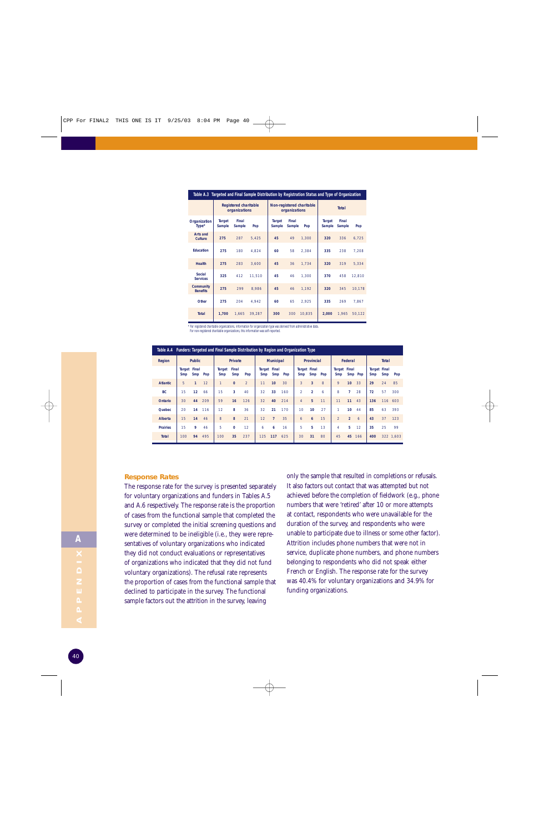| Table A.3 Targeted and Final Sample Distribution by Registration Status and Type of Organization |                                               |                 |        |                         |                 |                           |                         |                 |        |  |
|--------------------------------------------------------------------------------------------------|-----------------------------------------------|-----------------|--------|-------------------------|-----------------|---------------------------|-------------------------|-----------------|--------|--|
|                                                                                                  | <b>Registered charitable</b><br>organizations |                 |        |                         | organizations   | Non-registered charitable | <b>Total</b>            |                 |        |  |
| Organization<br>Type*                                                                            | <b>Target</b><br>Sample                       | Final<br>Sample | Pop    | <b>Target</b><br>Sample | Final<br>Sample | Pop                       | <b>Target</b><br>Sample | Final<br>Sample | Pop    |  |
| <b>Arts and</b><br>Culture                                                                       | 275                                           | 287             | 5.425  | 45                      | 49              | 1.300                     | 320                     | 336             | 6.725  |  |
| Education                                                                                        | 275                                           | 180             | 4.824  | 60                      | 58              | 2.384                     | 335                     | 238             | 7.208  |  |
| <b>Health</b>                                                                                    | 275                                           | 283             | 3.600  | 45                      | 36              | 1.734                     | 320                     | 319             | 5.334  |  |
| Social<br><b>Services</b>                                                                        | 325                                           | 412             | 11.510 | 45                      | 46              | 1.300                     | 370                     | 458             | 12.810 |  |
| <b>Community</b><br><b>Benefits</b>                                                              | 275                                           | 299             | 8.986  | 45                      | 46              | 1.192                     | 320                     | 345             | 10.178 |  |
| Other                                                                                            | 275                                           | 204             | 4,942  | 60                      | 65              | 2.925                     | 335                     | 269             | 7.867  |  |
| <b>Total</b>                                                                                     | 1,700                                         | 1.665           | 39.287 | 300                     | 300             | 10.835                    | 2.000                   | 1.965           | 50,122 |  |

\* For registered charitable organizations, information for organization type was derived from administrative data. For non-registered charitable organizations, this information was self-reported.

| For non-registered charitable organizations, this information was self-reported. |  |
|----------------------------------------------------------------------------------|--|
|----------------------------------------------------------------------------------|--|

|                 | Table A.4 Funders: Targeted and Final Sample Distribution by Region and Organization Type |                 |     |                      |                |                |                            |                  |     |                |                            |     |                |                 |         |     |                            |           |
|-----------------|-------------------------------------------------------------------------------------------|-----------------|-----|----------------------|----------------|----------------|----------------------------|------------------|-----|----------------|----------------------------|-----|----------------|-----------------|---------|-----|----------------------------|-----------|
| Region          |                                                                                           | <b>Public</b>   |     |                      | <b>Private</b> |                |                            | <b>Municipal</b> |     |                | <b>Provincial</b>          |     |                | Federal         |         |     | <b>Total</b>               |           |
|                 | Target<br>Smp                                                                             | Final<br>Smp    | Pop | Target<br><b>Smp</b> | Final<br>Smp   | Pop            | <b>Target Final</b><br>Smp | Smp              | Pop | Smp            | <b>Target Final</b><br>Smp | Pop | Target<br>Smp  | Final           | Smp Pop | Smp | <b>Target Final</b><br>Smp | Pop       |
| <b>Atlantic</b> | 5                                                                                         | $\mathbf{1}$    | 12  | $\mathbf{1}$         | $\Omega$       | $\overline{2}$ | 11                         | 10               | 30  | 3              | 3                          | 8   | 9              | 10 <sup>1</sup> | 33      | 29  | 24                         | 85        |
| <b>BC</b>       | 15                                                                                        | 12 <sup>2</sup> | 66  | 15                   | 3              | 40             | 32                         | 33               | 160 | $\mathcal{P}$  | $\overline{2}$             | 6   | 8              | 7               | 28      | 72  | 57                         | 300       |
| <b>Ontario</b>  | 30                                                                                        | 44              | 209 | 59                   | 16             | 126            | 32                         | 40               | 214 | $\overline{4}$ | 5                          | 11  | 11             | 11              | 43      | 136 |                            | 116 603   |
| Quebec          | 20                                                                                        | 14              | 116 | 12                   | 8              | 36             | 32                         | 21               | 170 | 10             | 10                         | 27  | 1              | 10 <sup>°</sup> | 44      | 85  | 63                         | 393       |
| Alberta         | 15                                                                                        | 14              | 46  | 8                    | 8              | 21             | 12                         | $\overline{7}$   | 35  | 6              | 6                          | 15  | $\overline{2}$ | $\overline{2}$  | 6       | 43  | 37                         | 123       |
| <b>Prairies</b> | 15                                                                                        | 9               | 46  | 5                    | $\Omega$       | 12             | 6                          | 6                | 16  | 5              | 5                          | 13  | 4              | 5               | 12      | 35  | 25                         | 99        |
| <b>Total</b>    | 100                                                                                       | 94              | 495 | 100                  | 35             | 237            | 125                        | 117              | 625 | 30             | 31                         | 80  | 45             |                 | 45 166  | 400 |                            | 322 1.603 |

#### **Response Rates**

The response rate for the survey is presented separately for voluntary organizations and funders in Tables A.5 and A.6 respectively. The response rate is the proportion of cases from the functional sample that completed the survey or completed the initial screening questions and were determined to be ineligible (i.e., they were representatives of voluntary organizations who indicated they did not conduct evaluations or representatives of organizations who indicated that they did not fund voluntary organizations). The refusal rate represents the proportion of cases from the functional sample that declined to participate in the survey. The functional sample factors out the attrition in the survey, leaving

only the sample that resulted in completions or refusals. It also factors out contact that was attempted but not achieved before the completion of fieldwork (e.g., phone numbers that were 'retired' after 10 or more attempts at contact, respondents who were unavailable for the duration of the survey, and respondents who were unable to participate due to illness or some other factor). Attrition includes phone numbers that were not in service, duplicate phone numbers, and phone numbers belonging to respondents who did not speak either French or English. The response rate for the survey was 40.4% for voluntary organizations and 34.9% for funding organizations.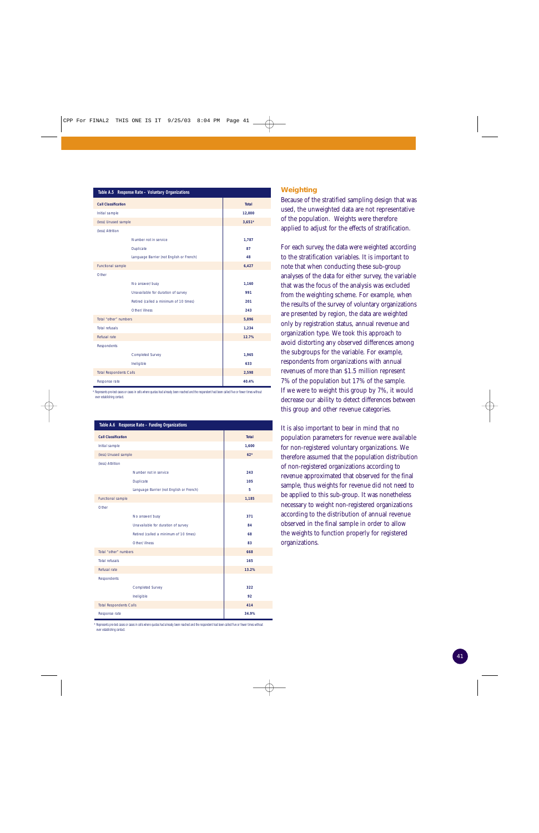| Table A.5 Response Rate - Voluntary Organizations |                                          |          |  |  |  |  |  |  |
|---------------------------------------------------|------------------------------------------|----------|--|--|--|--|--|--|
| <b>Call Classification</b>                        | Total                                    |          |  |  |  |  |  |  |
| Initial sample                                    |                                          | 12,000   |  |  |  |  |  |  |
| (less) Unused sample                              |                                          | $3.651*$ |  |  |  |  |  |  |
| (less) Attrition                                  |                                          |          |  |  |  |  |  |  |
|                                                   | Number not in service                    | 1,787    |  |  |  |  |  |  |
|                                                   | <b>Duplicate</b>                         | 87       |  |  |  |  |  |  |
|                                                   | Language Barrier (not English or French) | 48       |  |  |  |  |  |  |
| Functional sample                                 |                                          | 6,427    |  |  |  |  |  |  |
| Other                                             |                                          |          |  |  |  |  |  |  |
|                                                   | No answer/busy                           | 1,160    |  |  |  |  |  |  |
|                                                   | Unavailable for duration of survey       | 991      |  |  |  |  |  |  |
|                                                   | Retired (called a minimum of 10 times)   | 201      |  |  |  |  |  |  |
|                                                   | Other/illness                            | 243      |  |  |  |  |  |  |
| Total "other" numbers                             |                                          | 5,896    |  |  |  |  |  |  |
| <b>Total refusals</b>                             |                                          | 1,234    |  |  |  |  |  |  |
| Refusal rate                                      |                                          | 12.7%    |  |  |  |  |  |  |
| <b>Respondents</b>                                |                                          |          |  |  |  |  |  |  |
|                                                   | <b>Completed Survey</b>                  | 1,965    |  |  |  |  |  |  |
|                                                   | Ineligible                               | 633      |  |  |  |  |  |  |
| <b>Total Respondents Calls</b>                    |                                          | 2,598    |  |  |  |  |  |  |
| Response rate                                     |                                          | 40.4%    |  |  |  |  |  |  |

\* Represents pre-test cases or cases in cells where quotas had already been reached and the respondent had been called five or fewer times without ever establishing contact.

| Table A.6 Response Rate - Funding Organizations |                                          |              |  |  |  |  |  |
|-------------------------------------------------|------------------------------------------|--------------|--|--|--|--|--|
| <b>Call Classification</b>                      |                                          | <b>Total</b> |  |  |  |  |  |
| Initial sample                                  |                                          | 1,600        |  |  |  |  |  |
| (less) Unused sample                            |                                          | $62*$        |  |  |  |  |  |
| (less) Attrition                                |                                          |              |  |  |  |  |  |
|                                                 | Number not in service                    | 243          |  |  |  |  |  |
|                                                 | <b>Duplicate</b>                         | 105          |  |  |  |  |  |
|                                                 | Language Barrier (not English or French) | 5            |  |  |  |  |  |
| Functional sample                               |                                          | 1,185        |  |  |  |  |  |
| Other                                           |                                          |              |  |  |  |  |  |
|                                                 | No answer/busy                           | 371          |  |  |  |  |  |
|                                                 | Unavailable for duration of survey       | 84           |  |  |  |  |  |
|                                                 | Retired (called a minimum of 10 times)   | 68           |  |  |  |  |  |
|                                                 | Other/illness                            | 83           |  |  |  |  |  |
| Total "other" numbers                           |                                          | 668          |  |  |  |  |  |
| <b>Total refusals</b>                           |                                          | 165          |  |  |  |  |  |
| Refusal rate                                    |                                          | 13.2%        |  |  |  |  |  |
| Respondents                                     |                                          |              |  |  |  |  |  |
|                                                 | <b>Completed Survey</b>                  | 322          |  |  |  |  |  |
|                                                 | Ineligible                               | 92           |  |  |  |  |  |
| <b>Total Respondents Calls</b>                  |                                          | 414          |  |  |  |  |  |
| Response rate                                   |                                          | 34.9%        |  |  |  |  |  |

\* Represents pre-test cases or cases in cells where quotas had already been reached and the respondent had been called five or fewer times withou ever establishing contact.

#### **Weighting**

Because of the stratified sampling design that was used, the unweighted data are not representative of the population. Weights were therefore applied to adjust for the effects of stratification.

For each survey, the data were weighted according to the stratification variables. It is important to note that when conducting these sub-group analyses of the data for either survey, the variable that was the focus of the analysis was excluded from the weighting scheme. For example, when the results of the survey of voluntary organizations are presented by region, the data are weighted only by registration status, annual revenue and organization type. We took this approach to avoid distorting any observed differences among the subgroups for the variable. For example, respondents from organizations with annual revenues of more than \$1.5 million represent 7% of the population but 17% of the sample. If we were to weight this group by 7%, it would decrease our ability to detect differences between this group and other revenue categories.

It is also important to bear in mind that no population parameters for revenue were available for non-registered voluntary organizations. We therefore assumed that the population distribution of non-registered organizations according to revenue approximated that observed for the final sample, thus weights for revenue did not need to be applied to this sub-group. It was nonetheless necessary to weight non-registered organizations according to the distribution of annual revenue observed in the final sample in order to allow the weights to function properly for registered organizations.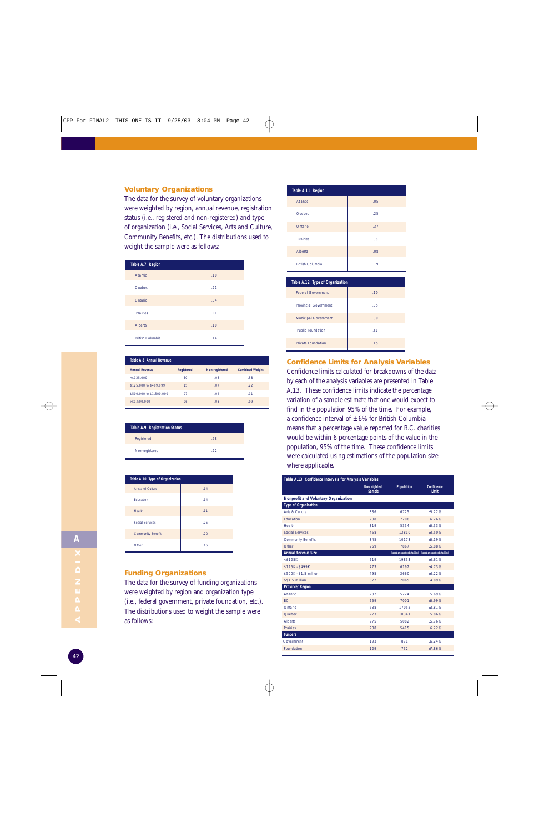#### **Voluntary Organizations**

The data for the survey of voluntary organizations were weighted by region, annual revenue, registration status (i.e., registered and non-registered) and type of organization (i.e., Social Services, Arts and Culture, Community Benefits, etc.). The distributions used to weight the sample were as follows:

| Table A.7 Region        |     |  |  |  |  |  |  |  |  |
|-------------------------|-----|--|--|--|--|--|--|--|--|
| <b>Atlantic</b>         | .10 |  |  |  |  |  |  |  |  |
| Quebec                  | .21 |  |  |  |  |  |  |  |  |
| Ontario                 | .34 |  |  |  |  |  |  |  |  |
| <b>Prairies</b>         | .11 |  |  |  |  |  |  |  |  |
| Alberta                 | .10 |  |  |  |  |  |  |  |  |
| <b>British Columbia</b> | .14 |  |  |  |  |  |  |  |  |

| Table A.8 Annual Revenue |                   |                |                        |  |  |  |  |  |  |  |
|--------------------------|-------------------|----------------|------------------------|--|--|--|--|--|--|--|
| <b>Annual Revenue</b>    | <b>Registered</b> | Non-registered | <b>Combined Weight</b> |  |  |  |  |  |  |  |
| $<$ \$125.000            | .50               | .08            | .58                    |  |  |  |  |  |  |  |
| \$125,000 to \$499,999   | .15               | .07            | 22                     |  |  |  |  |  |  |  |
| \$500,000 to \$1,500,000 | .07               | .04            | .11                    |  |  |  |  |  |  |  |
| > \$1.500.000            | 06                | .03            | .09                    |  |  |  |  |  |  |  |

| Table A.9 Registration Status |     |
|-------------------------------|-----|
| Registered                    | .78 |
| Non-registered                | .22 |

| Table A.10 Type of Organization |     |  |  |  |  |  |  |  |
|---------------------------------|-----|--|--|--|--|--|--|--|
| Arts and Culture                | .14 |  |  |  |  |  |  |  |
| <b>Education</b>                | .14 |  |  |  |  |  |  |  |
| Health                          | .11 |  |  |  |  |  |  |  |
| <b>Social Services</b>          | .25 |  |  |  |  |  |  |  |
| <b>Community Benefit</b>        | .20 |  |  |  |  |  |  |  |
| Other                           | .16 |  |  |  |  |  |  |  |

#### **Funding Organizations**

The data for the survey of funding organizations were weighted by region and organization type (i.e., federal government, private foundation, etc.). The distributions used to weight the sample were as follows:



| Table A.12 Type of Organization |     |
|---------------------------------|-----|
| <b>Federal Government</b>       | .10 |
| <b>Provincial Government</b>    | .05 |
| <b>Municipal Government</b>     | .39 |
| <b>Public Foundation</b>        | .31 |
| <b>Private Foundation</b>       | .15 |

**Confidence Limits for Analysis Variables** Confidence limits calculated for breakdowns of the data by each of the analysis variables are presented in Table A.13. These confidence limits indicate the percentage variation of a sample estimate that one would expect to find in the population 95% of the time. For example, a confidence interval of  $\pm$  6% for British Columbia means that a percentage value reported for B.C. charities would be within 6 percentage points of the value in the population, 95% of the time. These confidence limits were calculated using estimations of the population size where applicable.

| Table A.13 Confidence Intervals for Analysis Variables |                                    |                                 |                                 |
|--------------------------------------------------------|------------------------------------|---------------------------------|---------------------------------|
|                                                        | <b>Unweighted</b><br><b>Sample</b> | <b>Population</b>               | <b>Confidence</b><br>Limit      |
| Nonprofit and Voluntary Organization                   |                                    |                                 |                                 |
| <b>Type of Organization</b>                            |                                    |                                 |                                 |
| Arts & Culture                                         | 336                                | 6725                            | $+5.22%$                        |
| <b>Education</b>                                       | 238                                | 7208                            | ±6.26%                          |
| Health                                                 | 319                                | 5334                            | ±5.33%                          |
| <b>Social Services</b>                                 | 458                                | 12810                           | ±4.50%                          |
| <b>Community Benefits</b>                              | 345                                | 10178                           | $+5.19%$                        |
| Other                                                  | 269                                | 7867                            | $+5.88%$                        |
| <b>Annual Revenue Size</b>                             |                                    | (based on registered charities) | (based on registered charities) |
| $<$ \$125K                                             | 519                                | 19833                           | $+4.61%$                        |
| \$125K - \$499K                                        | 473                                | 6192                            | $+4.73%$                        |
| \$500K - \$1.5 million                                 | 495                                | 2660                            | $+4.22%$                        |
| $> $1.5$ million                                       | 372                                | 2065                            | ±4.89%                          |
| <b>Province/Region</b>                                 |                                    |                                 |                                 |
| <b>Atlantic</b>                                        | 282                                | 5224                            | $+5.69%$                        |
| BC.                                                    | 259                                | 7001                            | $+5.99%$                        |
| Ontario                                                | 638                                | 17052                           | $+3.81%$                        |
| Quebec                                                 | 273                                | 10341                           | $+5.86%$                        |
| Alberta                                                | 275                                | 5082                            | $+5.76%$                        |
| <b>Prairies</b>                                        | 238                                | 5415                            | ±6.22%                          |
| <b>Funders</b>                                         |                                    |                                 |                                 |
| Government                                             | 193                                | 871                             | $+6.24%$                        |
| Foundation                                             | 129                                | 732                             | $+7.86%$                        |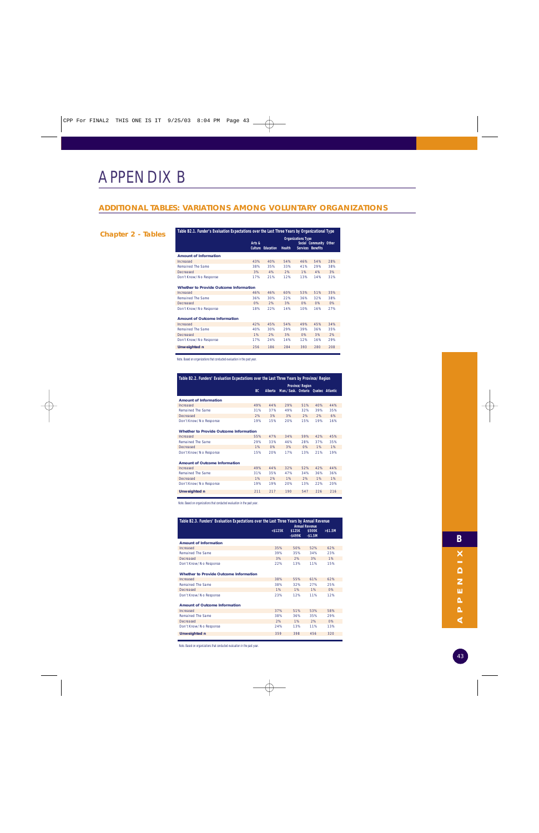## APPENDIX B

#### **ADDITIONAL TABLES: VARIATIONS AMONG VOLUNTARY ORGANIZATIONS**

#### **Chapter 2 - Tables**

| Table B2.1. Funder's Evaluation Expectations over the Last Three Years by Organizational Type |                |                  |               |                           |                          |     |  |  |
|-----------------------------------------------------------------------------------------------|----------------|------------------|---------------|---------------------------|--------------------------|-----|--|--|
|                                                                                               |                |                  |               | <b>Organizations Type</b> |                          |     |  |  |
|                                                                                               | Arts &         |                  |               |                           | Social Community Other   |     |  |  |
|                                                                                               | <b>Culture</b> | <b>Education</b> | <b>Health</b> |                           | <b>Services Benefits</b> |     |  |  |
| <b>Amount of Information</b>                                                                  |                |                  |               |                           |                          |     |  |  |
| Increased                                                                                     | 43%            | 40%              | 54%           | 46%                       | 54%                      | 28% |  |  |
| <b>Remained The Same</b>                                                                      | 38%            | 35%              | 33%           | 41%                       | 29%                      | 38% |  |  |
| Decreased                                                                                     | 3%             | 4%               | 2%            | 1%                        | 4%                       | 3%  |  |  |
| Don't Know/No Response                                                                        | 17%            | 21%              | 12%           | 13%                       | 14%                      | 31% |  |  |
|                                                                                               |                |                  |               |                           |                          |     |  |  |
| <b>Whether to Provide Outcome Information</b>                                                 |                |                  |               |                           |                          |     |  |  |
| Increased                                                                                     | 46%            | 46%              | 60%           | 53%                       | 51%                      | 35% |  |  |
| <b>Remained The Same</b>                                                                      | 36%            | 30%              | 22%           | 36%                       | 32%                      | 38% |  |  |
| <b>Decreased</b>                                                                              | 0%             | 2%               | 3%            | 0%                        | 0%                       | 0%  |  |  |
| Don't Know/No Response                                                                        | 18%            | 22%              | 14%           | 10%                       | 16%                      | 27% |  |  |
|                                                                                               |                |                  |               |                           |                          |     |  |  |
| <b>Amount of Outcome Information</b>                                                          |                |                  |               |                           |                          |     |  |  |
| Increased                                                                                     | 42%            | 45%              | 54%           | 49%                       | 45%                      | 34% |  |  |
| <b>Remained The Same</b>                                                                      | 40%            | 30%              | 29%           | 39%                       | 36%                      | 35% |  |  |
| <b>Decreased</b>                                                                              | 1%             | 2%               | 3%            | 0%                        | 3%                       | 2%  |  |  |
| Don't Know/No Response                                                                        | 17%            | 24%              | 14%           | 12%                       | 16%                      | 29% |  |  |
| <b>Unweighted n</b>                                                                           | 256            | 186              | 284           | 393                       | 280                      | 208 |  |  |
|                                                                                               |                |                  |               |                           |                          |     |  |  |

T,

Note. Based on organizations that conducted evaluation in the past year.

| Table B2.2. Funders' Evaluation Expectations over the Last Three Years by Province/Region |                 |         |                                    |     |     |     |  |  |
|-------------------------------------------------------------------------------------------|-----------------|---------|------------------------------------|-----|-----|-----|--|--|
|                                                                                           | Province/Region |         |                                    |     |     |     |  |  |
|                                                                                           | BC.             | Alberta | Man./Sask. Ontario Quebec Atlantic |     |     |     |  |  |
| <b>Amount of Information</b>                                                              |                 |         |                                    |     |     |     |  |  |
| Increased                                                                                 | 49%             | 44%     | 29%                                | 51% | 40% | 44% |  |  |
| Remained The Same                                                                         | 31%             | 37%     | 49%                                | 32% | 39% | 35% |  |  |
| Decreased                                                                                 | 2%              | 3%      | 3%                                 | 2%  | 2%  | 6%  |  |  |
| Don't Know/No Response                                                                    | 19%             | 15%     | 20%                                | 15% | 19% | 16% |  |  |
| <b>Whether to Provide Outcome Information</b>                                             |                 |         |                                    |     |     |     |  |  |
| Increased                                                                                 | 55%             | 47%     | 34%                                | 59% | 42% | 45% |  |  |
| Remained The Same                                                                         | 29%             | 33%     | 46%                                | 28% | 37% | 35% |  |  |
| Decreased                                                                                 | 1%              | 0%      | 3%                                 | O%  | 1%  | 1%  |  |  |
| Don't Know/No Response                                                                    | 15%             | 20%     | 17%                                | 13% | 21% | 19% |  |  |
| <b>Amount of Outcome Information</b>                                                      |                 |         |                                    |     |     |     |  |  |
| Increased                                                                                 | 49%             | 44%     | 32%                                | 52% | 42% | 44% |  |  |
| Remained The Same                                                                         | 31%             | 35%     | 47%                                | 34% | 36% | 36% |  |  |
| Decreased                                                                                 | 1%              | 2%      | 1%                                 | 2%  | 1%  | 1%  |  |  |
| Don't Know/No Response                                                                    | 19%             | 19%     | 20%                                | 13% | 22% | 20% |  |  |
| <b>Unweighted n</b>                                                                       | 211             | 217     | 190                                | 547 | 226 | 216 |  |  |

Note. Based on organizations that conducted evaluation in the past year.

| Table B2.3. Funders' Evaluation Expectations over the Last Three Years by Annual Revenue<br><b>Annual Revenue</b> |            |                   |                    |            |  |  |  |
|-------------------------------------------------------------------------------------------------------------------|------------|-------------------|--------------------|------------|--|--|--|
|                                                                                                                   | $<$ \$125K | \$125K<br>-\$499K | \$500K<br>$-$1.5M$ | $>$ \$1.5M |  |  |  |
| <b>Amount of Information</b>                                                                                      |            |                   |                    |            |  |  |  |
| Increased                                                                                                         | 35%        | 50%               | 52%                | 62%        |  |  |  |
| Remained The Same                                                                                                 | 39%        | 35%               | 34%                | 23%        |  |  |  |
| Decreased                                                                                                         | 3%         | 2%                | 3%                 | 1%         |  |  |  |
| Don't Know/No Response                                                                                            | 22%        | 13%               | 11%                | 15%        |  |  |  |
| Whether to Provide Outcome Information                                                                            |            |                   |                    |            |  |  |  |
| Increased                                                                                                         | 38%        | 55%               | 61%                | 62%        |  |  |  |
| Remained The Same                                                                                                 | 38%        | 32%               | 27%                | 25%        |  |  |  |
| Decreased                                                                                                         | 1%         | 1%                | 1%                 | O%         |  |  |  |
| Don't Know/No Response                                                                                            | 23%        | 12%               | 11%                | 12%        |  |  |  |
| <b>Amount of Outcome Information</b>                                                                              |            |                   |                    |            |  |  |  |
| Increased                                                                                                         | 37%        | 51%               | 53%                | 58%        |  |  |  |
| Remained The Same                                                                                                 | 38%        | 36%               | 35%                | 29%        |  |  |  |
| Decreased                                                                                                         | 2%         | 1%                | 2%                 | O%         |  |  |  |
| Don't Know/No Response                                                                                            | 24%        | 13%               | 11%                | 13%        |  |  |  |
| <b>Unweighted n</b>                                                                                               | 359        | 398               | 456                | 320        |  |  |  |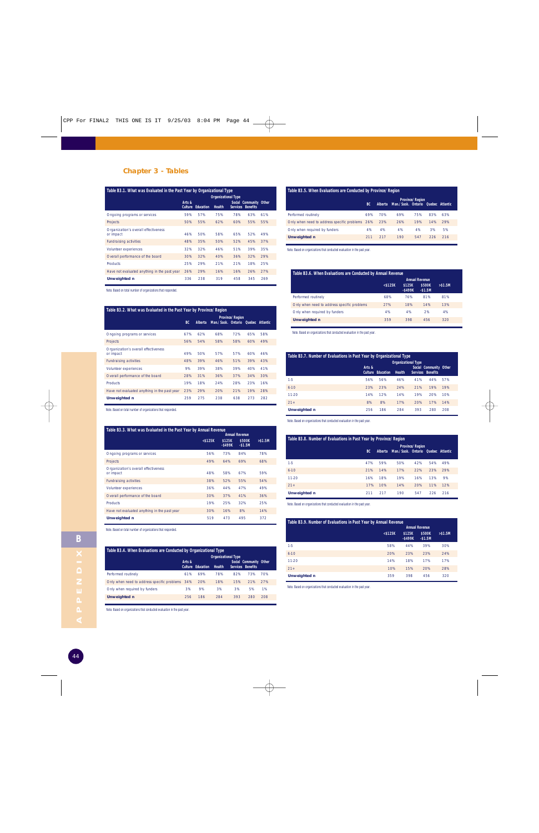#### **Chapter 3 - Tables**

| Table B3.1. What was Evaluated in the Past Year by Organizational Type<br><b>Organizational Type</b> |                          |                  |        |     |                                             |     |
|------------------------------------------------------------------------------------------------------|--------------------------|------------------|--------|-----|---------------------------------------------|-----|
|                                                                                                      | Arts &<br><b>Culture</b> | <b>Education</b> | Health |     | Social Community Other<br>Services Benefits |     |
| Ongoing programs or services                                                                         | 59%                      | 57%              | 75%    | 78% | 63%                                         | 61% |
| <b>Projects</b>                                                                                      | 50%                      | 55%              | 62%    | 60% | 55%                                         | 55% |
| Organization's overall effectiveness<br>or impact                                                    | 46%                      | 50%              | 58%    | 65% | 52%                                         | 49% |
| <b>Fundraising activities</b>                                                                        | 48%                      | 35%              | 50%    | 52% | 45%                                         | 37% |
| Volunteer experiences                                                                                | 32%                      | 32%              | 46%    | 51% | 39%                                         | 35% |
| Overall performance of the board                                                                     | 30%                      | 32%              | 40%    | 36% | 32%                                         | 29% |
| <b>Products</b>                                                                                      | 25%                      | 29%              | 21%    | 21% | 18%                                         | 25% |
| Have not evaluated anything in the past year                                                         | 26%                      | 29%              | 16%    | 16% | 26%                                         | 27% |
| <b>Unweighted n</b>                                                                                  | 336                      | 238              | 319    | 458 | 345                                         | 269 |

Note. Based on total number of organizations that responded.

#### **Table B3.2. What was Evaluated in the Past Year by Province/Region**

|                                                   |           |         |                                    | <b>Province/Region</b> |     |     |  |
|---------------------------------------------------|-----------|---------|------------------------------------|------------------------|-----|-----|--|
|                                                   | <b>BC</b> | Alberta | Man./Sask. Ontario Quebec Atlantic |                        |     |     |  |
| Ongoing programs or services                      | 67%       | 62%     | 68%                                | 72%                    | 65% | 58% |  |
| Projects                                          | 56%       | 54%     | 58%                                | 58%                    | 60% | 49% |  |
| Organization's overall effectiveness<br>or impact | 49%       | 50%     | 57%                                | 57%                    | 60% | 46% |  |
| <b>Fundraising activities</b>                     | 48%       | 39%     | 46%                                | 51%                    | 39% | 43% |  |
| Volunteer experiences                             | 9%        | 39%     | 38%                                | 39%                    | 40% | 41% |  |
| Overall performance of the board                  | 28%       | 31%     | 36%                                | 37%                    | 34% | 30% |  |
| <b>Products</b>                                   | 19%       | 18%     | 24%                                | 28%                    | 23% | 16% |  |
| Have not evaluated anything in the past year      | 23%       | 29%     | 20%                                | 21%                    | 19% | 28% |  |
| <b>Unweighted n</b>                               | 259       | 275     | 238                                | 638                    | 273 | 282 |  |

Note. Based on total number of organizations that responded.

| Table B3.3. What was Evaluated in the Past Year by Annual Revenue<br><b>Annual Revenue</b> |               |                      |                    |          |  |  |  |  |
|--------------------------------------------------------------------------------------------|---------------|----------------------|--------------------|----------|--|--|--|--|
|                                                                                            | $<$ \$125 $K$ | \$125K<br>$-$ \$499K | \$500K<br>$-$1.5M$ | > \$1.5M |  |  |  |  |
| Ongoing programs or services                                                               | 56%           | 73%                  | 84%                | 78%      |  |  |  |  |
| Projects                                                                                   | 49%           | 64%                  | 69%                | 68%      |  |  |  |  |
| Organization's overall effectiveness<br>or impact                                          | 48%           | 58%                  | 67%                | 59%      |  |  |  |  |
| <b>Fundraising activities</b>                                                              | 38%           | 52%                  | 55%                | 54%      |  |  |  |  |
| Volunteer experiences                                                                      | 36%           | 44%                  | 47%                | 49%      |  |  |  |  |
| Overall performance of the board                                                           | 30%           | 37%                  | 41%                | 36%      |  |  |  |  |
| <b>Products</b>                                                                            | 19%           | 25%                  | 32%                | 25%      |  |  |  |  |
| Have not evaluated anything in the past year                                               | 30%           | 16%                  | 8%                 | 14%      |  |  |  |  |
| Unweighted n                                                                               | 519           | 473                  | 495                | 372      |  |  |  |  |

Note. Based on total number of organizations that responded.

| Table B3.4. When Evaluations are Conducted by Organizational Type |        |                          |               |     |                                             |     |  |  |
|-------------------------------------------------------------------|--------|--------------------------|---------------|-----|---------------------------------------------|-----|--|--|
|                                                                   |        |                          |               |     |                                             |     |  |  |
|                                                                   | Arts & | <b>Culture Education</b> | <b>Health</b> |     | Social Community Other<br>Services Benefits |     |  |  |
| Performed routinely                                               | 61%    | 69%                      | 78%           | 82% | 73%                                         | 70% |  |  |
| Only when need to address specific problems 34%                   |        | 20%                      | 18%           | 15% | 21%                                         | 27% |  |  |
| Only when required by funders                                     | 3%     | 9%                       | 3%            | 3%  | 5%                                          | 1%  |  |  |
| <b>Unweighted n</b>                                               | 256    | 186                      | 284           | 393 | 280                                         | 208 |  |  |

Note. Based on organizations that conducted evaluation in the past year.

#### **Table B3.5. When Evaluations are Conducted by Province/Region**

|                                                 | BC. | <b>Alberta</b> | Man./Sask. Ontario Quebec Atlantic | <b>Province/Region</b> |     |     |  |
|-------------------------------------------------|-----|----------------|------------------------------------|------------------------|-----|-----|--|
| Performed routinely                             | 69% | 70%            | 69%                                | 75%                    | 83% | 63% |  |
| Only when need to address specific problems 26% |     | 23%            | 26%                                | 19%                    | 14% | 29% |  |
| Only when required by funders                   | 4%  | 4%             | 4%                                 | 4%                     | 3%  | 5%  |  |
| <b>Unweighted n</b>                             | 211 | 217            | 190                                | 547                    | 226 | 216 |  |
|                                                 |     |                |                                    |                        |     |     |  |

Note. Based on organizations that conducted evaluation in the past year.

| Table B3.6. When Evaluations are Conducted by Annual Revenue |                      |                    |                       |  |  |  |  |  |
|--------------------------------------------------------------|----------------------|--------------------|-----------------------|--|--|--|--|--|
|                                                              |                      |                    |                       |  |  |  |  |  |
| $<$ \$125K                                                   | \$125K<br>$-$ \$499K | \$500K<br>$-$1.5M$ | > \$1.5M              |  |  |  |  |  |
| 68%                                                          | 76%                  | 81%                | 81%                   |  |  |  |  |  |
| 27%                                                          | 18%                  | 14%                | 13%                   |  |  |  |  |  |
| 4%                                                           | 4%                   | 2%                 | 4%                    |  |  |  |  |  |
| 359                                                          | 398                  | 456                | 320                   |  |  |  |  |  |
|                                                              |                      |                    | <b>Annual Revenue</b> |  |  |  |  |  |

Note. Based on organizations that conducted evaluation in the past year.

| Table B3.7. Number of Evaluations in Past Year by Organizational Type<br><b>Organizational Type</b> |        |                          |               |     |                                                    |     |  |  |
|-----------------------------------------------------------------------------------------------------|--------|--------------------------|---------------|-----|----------------------------------------------------|-----|--|--|
|                                                                                                     | Arts & | <b>Culture Education</b> | <b>Health</b> |     | Social Community Other<br><b>Services Benefits</b> |     |  |  |
| $1-5$                                                                                               | 56%    | 56%                      | 46%           | 41% | 44%                                                | 57% |  |  |
| $6 - 10$                                                                                            | 23%    | 23%                      | 24%           | 21% | 19%                                                | 19% |  |  |
| 11-20                                                                                               | 14%    | 12%                      | 14%           | 19% | 20%                                                | 10% |  |  |
| $21+$                                                                                               | 8%     | 8%                       | 17%           | 20% | 17%                                                | 14% |  |  |
| <b>Unweighted n</b>                                                                                 | 256    | 186                      | 284           | 393 | 280                                                | 208 |  |  |

Note. Based on organizations that conducted evaluation in the past year.

| Table B3.8. Number of Evaluations in Past Year by Province/Region |                                                                                             |     |     |     |     |     |  |  |
|-------------------------------------------------------------------|---------------------------------------------------------------------------------------------|-----|-----|-----|-----|-----|--|--|
|                                                                   | <b>Province/Region</b><br>Man./Sask. Ontario Quebec Atlantic<br><b>BC</b><br><b>Alberta</b> |     |     |     |     |     |  |  |
| $1-5$                                                             | 47%                                                                                         | 59% | 50% | 42% | 54% | 49% |  |  |
| $6 - 10$                                                          | 21%                                                                                         | 14% | 17% | 22% | 23% | 29% |  |  |
| 11-20                                                             | 16%                                                                                         | 18% | 19% | 16% | 13% | 9%  |  |  |
| $21+$                                                             | 17%                                                                                         | 10% | 14% | 20% | 11% | 12% |  |  |
| <b>Unweighted n</b>                                               | 211                                                                                         | 217 | 190 | 547 | 226 | 216 |  |  |

Note. Based on organizations that conducted evaluation in the past year.

| Table B3.9. Number of Evaluations in Past Year by Annual Revenue |                       |                      |                    |          |  |  |  |  |  |
|------------------------------------------------------------------|-----------------------|----------------------|--------------------|----------|--|--|--|--|--|
|                                                                  | <b>Annual Revenue</b> |                      |                    |          |  |  |  |  |  |
|                                                                  | $<$ \$125K            | \$125K<br>$-$ \$499K | \$500K<br>$-$1.5M$ | > \$1.5M |  |  |  |  |  |
| $1-5$                                                            | 58%                   | 44%                  | 39%                | 30%      |  |  |  |  |  |
| $6 - 10$                                                         | 20%                   | 23%                  | 23%                | 24%      |  |  |  |  |  |
| 11-20                                                            | 14%                   | 18%                  | 17%                | 17%      |  |  |  |  |  |
| $21+$                                                            | 10%                   | 15%                  | 20%                | 28%      |  |  |  |  |  |
| <b>Unweighted n</b>                                              | 359                   | 398                  | 456                | 320      |  |  |  |  |  |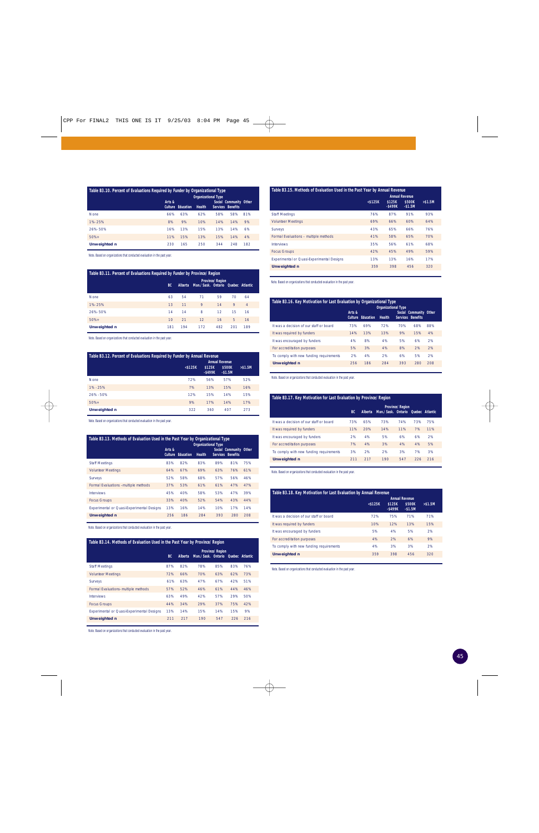| Table B3.10. Percent of Evaluations Required by Funder by Organizational Type<br><b>Organizational Type</b> |                          |           |               |     |                                             |     |  |  |  |
|-------------------------------------------------------------------------------------------------------------|--------------------------|-----------|---------------|-----|---------------------------------------------|-----|--|--|--|
|                                                                                                             | Arts &<br><b>Culture</b> | Education | <b>Health</b> |     | Social Community Other<br>Services Benefits |     |  |  |  |
| <b>None</b>                                                                                                 | 66%                      | 63%       | 62%           | 58% | 58%                                         | 81% |  |  |  |
| 1%-25%                                                                                                      | 8%                       | 9%        | 10%           | 14% | 14%                                         | 9%  |  |  |  |
| 26%-50%                                                                                                     | 16%                      | 13%       | 15%           | 13% | 14%                                         | 6%  |  |  |  |
| $50% +$                                                                                                     | 11%                      | 15%       | 13%           | 15% | 14%                                         | 4%  |  |  |  |
| <b>Unweighted n</b>                                                                                         | 230                      | 165       | 250           | 344 | 248                                         | 182 |  |  |  |

Note. Based on organizations that conducted evaluation in the past year.

| Table B3.11. Percent of Evaluations Required by Funder by Province/Region |           |                                                                                |     |     |     |                |  |  |  |
|---------------------------------------------------------------------------|-----------|--------------------------------------------------------------------------------|-----|-----|-----|----------------|--|--|--|
|                                                                           | <b>BC</b> | <b>Province/Region</b><br>Man./Sask. Ontario Quebec Atlantic<br><b>Alberta</b> |     |     |     |                |  |  |  |
| <b>None</b>                                                               | 63        | 54                                                                             | 71  | 59  | 70  | 64             |  |  |  |
| 1%-25%                                                                    | 13        | 11                                                                             | 9   | 14  | 9   | $\overline{4}$ |  |  |  |
| 26%-50%                                                                   | 14        | 14                                                                             | 8   | 12  | 15  | 16             |  |  |  |
| $50% +$                                                                   | 10        | 21                                                                             | 12  | 16  | 5   | 16             |  |  |  |
| <b>Unweighted n</b>                                                       | 181       | 194                                                                            | 172 | 482 | 201 | 189            |  |  |  |

Note. Based on organizations that conducted evaluation in the past year.

| Table B3.12. Percent of Evaluations Required by Funder by Annual Revenue<br><b>Annual Revenue</b> |               |                      |                    |            |  |  |  |  |  |
|---------------------------------------------------------------------------------------------------|---------------|----------------------|--------------------|------------|--|--|--|--|--|
|                                                                                                   | $<$ \$125 $K$ | \$125K<br>$-$ \$499K | \$500K<br>$-$1.5M$ | $>$ \$1.5M |  |  |  |  |  |
| <b>None</b>                                                                                       | 72%           | 56%                  | 57%                | 52%        |  |  |  |  |  |
| $1\% - 25\%$                                                                                      | 7%            | 13%                  | 15%                | 16%        |  |  |  |  |  |
| $26\% - 50\%$                                                                                     | 12%           | 15%                  | 14%                | 15%        |  |  |  |  |  |
| $50%+$                                                                                            | 9%            | 17%                  | 14%                | 17%        |  |  |  |  |  |
| <b>Unweighted n</b>                                                                               | 322           | 360                  | 407                | 273        |  |  |  |  |  |

Note. Based on organizations that conducted evaluation in the past year.

| Table B3.13. Methods of Evaluation Used in the Past Year by Organizational Type<br><b>Organizational Type</b> |                          |           |               |                 |                                           |     |  |  |  |
|---------------------------------------------------------------------------------------------------------------|--------------------------|-----------|---------------|-----------------|-------------------------------------------|-----|--|--|--|
|                                                                                                               | Arts &<br><b>Culture</b> | Education | <b>Health</b> | <b>Services</b> | Social Community Other<br><b>Benefits</b> |     |  |  |  |
| <b>Staff Meetings</b>                                                                                         | 83%                      | 82%       | 83%           | 89%             | 81%                                       | 75% |  |  |  |
| <b>Volunteer Meetings</b>                                                                                     | 64%                      | 67%       | 69%           | 63%             | 76%                                       | 61% |  |  |  |
| <b>Surveys</b>                                                                                                | 52%                      | 58%       | 68%           | 57%             | 56%                                       | 46% |  |  |  |
| Formal Evaluations -multiple methods                                                                          | 37%                      | 53%       | 61%           | 61%             | 47%                                       | 47% |  |  |  |
| <b>Interviews</b>                                                                                             | 45%                      | 40%       | 58%           | 53%             | 47%                                       | 39% |  |  |  |
| <b>Focus Groups</b>                                                                                           | 33%                      | 40%       | 52%           | 54%             | 43%                                       | 44% |  |  |  |
| <b>Experimental or Quasi-Experimental Designs</b>                                                             | 13%                      | 16%       | 14%           | 10%             | 17%                                       | 14% |  |  |  |
| <b>Unweighted n</b>                                                                                           | 256                      | 186       | 284           | 393             | 280                                       | 208 |  |  |  |

Note. Based on organizations that conducted evaluation in the past year.

| Table B3.14. Methods of Evaluation Used in the Past Year by Province/Region |                                                                                                           |     |     |     |     |     |  |  |
|-----------------------------------------------------------------------------|-----------------------------------------------------------------------------------------------------------|-----|-----|-----|-----|-----|--|--|
|                                                                             | <b>Province/Region</b><br>Man./Sask. Ontario<br>BC.<br><b>Alberta</b><br><b>Ouebec</b><br><b>Atlantic</b> |     |     |     |     |     |  |  |
| <b>Staff Meetings</b>                                                       | 87%                                                                                                       | 82% | 78% | 85% | 83% | 76% |  |  |
| <b>Volunteer Meetings</b>                                                   | 72%                                                                                                       | 66% | 70% | 63% | 62% | 73% |  |  |
| <b>Surveys</b>                                                              | 61%                                                                                                       | 63% | 47% | 67% | 42% | 51% |  |  |
| Formal Evaluations- multiple methods                                        | 57%                                                                                                       | 52% | 46% | 61% | 44% | 46% |  |  |
| <b>Interviews</b>                                                           | 63%                                                                                                       | 49% | 42% | 57% | 29% | 50% |  |  |
| <b>Focus Groups</b>                                                         | 44%                                                                                                       | 34% | 29% | 37% | 75% | 42% |  |  |
| <b>Experimental or Quasi-Experimental Designs</b>                           | 13%                                                                                                       | 14% | 15% | 14% | 15% | 9%  |  |  |
| <b>Unweighted n</b>                                                         | 211                                                                                                       | 217 | 190 | 547 | 226 | 216 |  |  |

Note. Based on organizations that conducted evaluation in the past year.

| Table B3.15. Methods of Evaluation Used in the Past Year by Annual Revenue<br><b>Annual Revenue</b> |               |                      |           |     |  |  |  |  |  |  |
|-----------------------------------------------------------------------------------------------------|---------------|----------------------|-----------|-----|--|--|--|--|--|--|
|                                                                                                     | $<$ \$125 $K$ | \$500K               | $> $1.5M$ |     |  |  |  |  |  |  |
|                                                                                                     |               | \$125K<br>$-$ \$499K | $-$1.5M$  |     |  |  |  |  |  |  |
| <b>Staff Meetings</b>                                                                               | 76%           | 87%                  | 91%       | 93% |  |  |  |  |  |  |
| <b>Volunteer Meetings</b>                                                                           | 69%           | 66%                  | 60%       | 64% |  |  |  |  |  |  |
| Surveys                                                                                             | 43%           | 65%                  | 66%       | 76% |  |  |  |  |  |  |
| Formal Evaluations - multiple methods                                                               | 41%           | 58%                  | 65%       | 70% |  |  |  |  |  |  |
| Interviews                                                                                          | 35%           | 56%                  | 61%       | 68% |  |  |  |  |  |  |
| <b>Focus Groups</b>                                                                                 | 42%           | 45%                  | 49%       | 59% |  |  |  |  |  |  |
| <b>Experimental or Quasi-Experimental Designs</b>                                                   | 13%           | 13%                  | 16%       | 17% |  |  |  |  |  |  |
| <b>Unweighted n</b>                                                                                 | 359           | 398                  | 456       | 320 |  |  |  |  |  |  |

Note. Based on organizations that conducted evaluation in the past year.

| Table B3.16. Key Motivation for Last Evaluation by Organizational Type<br><b>Organizational Type</b> |                          |           |               |     |                                             |     |  |  |  |
|------------------------------------------------------------------------------------------------------|--------------------------|-----------|---------------|-----|---------------------------------------------|-----|--|--|--|
|                                                                                                      | Arts &<br><b>Culture</b> | Education | <b>Health</b> |     | Social Community Other<br>Services Benefits |     |  |  |  |
| It was a decision of our staff or board                                                              | 73%                      | 69%       | 72%           | 70% | 68%                                         | 88% |  |  |  |
| It was required by funders                                                                           | 14%                      | 13%       | 13%           | 9%  | 15%                                         | 4%  |  |  |  |
| It was encouraged by funders                                                                         | 4%                       | 8%        | 4%            | 5%  | 6%                                          | 2%  |  |  |  |
| For accreditation purposes                                                                           | 5%                       | 3%        | 4%            | 8%  | 2%                                          | 2%  |  |  |  |
| To comply with new funding requirements                                                              | 2%                       | 4%        | 2%            | 6%  | 5%                                          | 2%  |  |  |  |
| <b>Unweighted n</b>                                                                                  | 256                      | 186       | 284           | 393 | 280                                         | 208 |  |  |  |

Note. Based on organizations that conducted evaluation in the past year.

#### **Table B3.17. Key Motivation for Last Evaluation by Province/Region**

|                                         | BC. | <b>Alberta</b> | Man./Sask. Ontario Quebec Atlantic | <b>Province/Region</b> |     |     |
|-----------------------------------------|-----|----------------|------------------------------------|------------------------|-----|-----|
| It was a decision of our staff or board | 73% | 65%            | 73%                                | 74%                    | 73% | 75% |
| It was required by funders              | 11% | 20%            | 14%                                | 11%                    | 7%  | 11% |
| It was encouraged by funders            | 2%  | 4%             | 5%                                 | 6%                     | 6%  | 2%  |
| For accreditation purposes              | 7%  | 4%             | 3%                                 | 4%                     | 4%  | 5%  |
| To comply with new funding requirements | 3%  | 2%             | 2%                                 | 3%                     | 7%  | 3%  |
| <b>Unweighted n</b>                     | 211 | 217            | 190                                | 547                    | 226 | 216 |

Note. Based on organizations that conducted evaluation in the past year.

| Table B3.18. Key Motivation for Last Evaluation by Annual Revenue |                       |                      |                    |          |  |  |  |  |  |
|-------------------------------------------------------------------|-----------------------|----------------------|--------------------|----------|--|--|--|--|--|
|                                                                   | <b>Annual Revenue</b> |                      |                    |          |  |  |  |  |  |
|                                                                   | $<$ \$125 $K$         | \$125K<br>$-$ \$499K | \$500K<br>$-$1.5M$ | > \$1.5M |  |  |  |  |  |
| It was a decision of our staff or board                           | 72%                   | 75%                  | 71%                | 71%      |  |  |  |  |  |
| It was required by funders                                        | 10%                   | 12%                  | 13%                | 15%      |  |  |  |  |  |
| It was encouraged by funders                                      | 5%                    | 4%                   | 5%                 | 2%       |  |  |  |  |  |
| For accreditation purposes                                        | 4%                    | 2%                   | 6%                 | 9%       |  |  |  |  |  |
| To comply with new funding requirements                           | 4%                    | 3%                   | 3%                 | 2%       |  |  |  |  |  |
| <b>Unweighted n</b>                                               | 359                   | 398                  | 456                | 320      |  |  |  |  |  |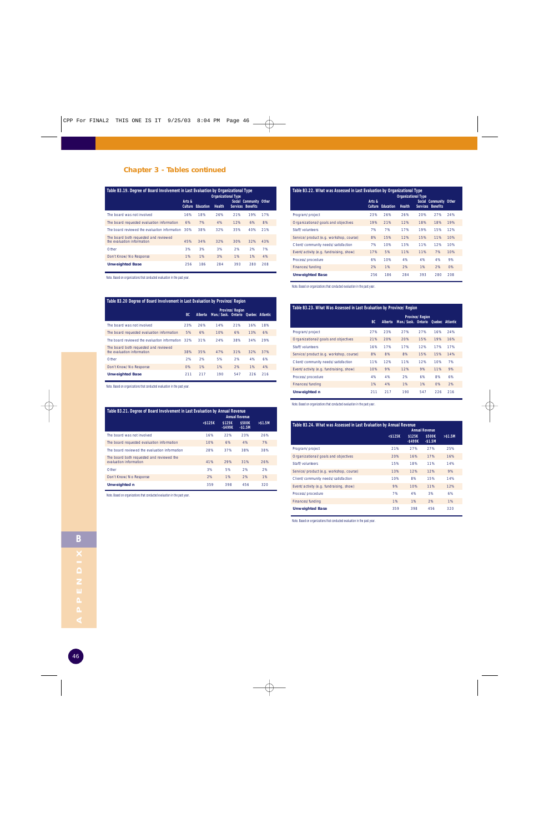#### **Chapter 3 - Tables continued**

| Table B3.19. Degree of Board Involvement in Last Evaluation by Organizational Type<br><b>Organizational Type</b> |                          |           |        |     |                                             |     |  |  |
|------------------------------------------------------------------------------------------------------------------|--------------------------|-----------|--------|-----|---------------------------------------------|-----|--|--|
|                                                                                                                  | Arts &<br><b>Culture</b> | Education | Health |     | Social Community Other<br>Services Benefits |     |  |  |
| The board was not involved                                                                                       | 16%                      | 18%       | 26%    | 21% | 19%                                         | 17% |  |  |
| The board requested evaluation information                                                                       | 6%                       | 7%        | 4%     | 12% | 6%                                          | 8%  |  |  |
| The board reviewed the evaluation information                                                                    | 30%                      | 38%       | 32%    | 35% | 40%                                         | 21% |  |  |
| The board both requested and reviewed<br>the evaluation information                                              | 45%                      | 34%       | 32%    | 30% | 32%                                         | 43% |  |  |
| Other                                                                                                            | 3%                       | 3%        | 3%     | 2%  | 2%                                          | 7%  |  |  |
| Don't Know/No Response                                                                                           | 1%                       | 1%        | 3%     | 1%  | 1%                                          | 4%  |  |  |
| <b>Unweighted Base</b>                                                                                           | 256                      | 186       | 284    | 393 | 280                                         | 208 |  |  |

Note. Based on organizations that conducted evaluation in the past year.

#### **Table B3.20 Degree of Board Involvement in Last Evaluation by Province/Region**

|                                                                     | BC. | Alberta | Man./Sask. Ontario Ouebec Atlantic | <b>Province/Region</b> |     |     |
|---------------------------------------------------------------------|-----|---------|------------------------------------|------------------------|-----|-----|
| The board was not involved                                          | 23% | 26%     | 14%                                | 21%                    | 16% | 18% |
| The board requested evaluation information                          | 5%  | 6%      | 10%                                | 6%                     | 13% | 6%  |
| The board reviewed the evaluation information                       | 32% | 31%     | 24%                                | 38%                    | 34% | 29% |
| The board both requested and reviewed<br>the evaluation information | 38% | 35%     | 47%                                | 31%                    | 32% | 37% |
| Other                                                               | 2%  | 2%      | 5%                                 | 2%                     | 4%  | 6%  |
| Don't Know/No Response                                              | 0%  | 1%      | 1%                                 | 2%                     | 1%  | 4%  |
| <b>Unweighted Base</b>                                              | 211 | 217     | 190                                | 547                    | 226 | 216 |

Note. Based on organizations that conducted evaluation in the past year.

| Table B3.21. Degree of Board Involvement in Last Evaluation by Annual Revenue<br><b>Annual Revenue</b> |               |                      |                    |          |  |  |  |  |
|--------------------------------------------------------------------------------------------------------|---------------|----------------------|--------------------|----------|--|--|--|--|
|                                                                                                        | $<$ \$125 $K$ | \$125K<br>$-$ \$499K | \$500K<br>$-$1.5M$ | > \$1.5M |  |  |  |  |
| The board was not involved                                                                             | 16%           | 22%                  | 23%                | 26%      |  |  |  |  |
| The board requested evaluation information                                                             | 10%           | 6%                   | 4%                 | 7%       |  |  |  |  |
| The board reviewed the evaluation information                                                          | 28%           | 37%                  | 38%                | 38%      |  |  |  |  |
| The board both requested and reviewed the<br>evaluation information                                    | 41%           | 29%                  | 31%                | 26%      |  |  |  |  |
| Other                                                                                                  | 3%            | 5%                   | 2%                 | 2%       |  |  |  |  |
| Don't Know/No Response                                                                                 | 2%            | 1%                   | 2%                 | 1%       |  |  |  |  |
| <b>Unweighted n</b>                                                                                    | 359           | 398                  | 456                | 320      |  |  |  |  |

Note. Based on organizations that conducted evaluation in the past year.

#### **Table B3.22. What was Assessed in Last Evaluation by Organizational Type**

|                                         |                          |           | <b>Organizational Type</b> |                 |                                           |     |  |
|-----------------------------------------|--------------------------|-----------|----------------------------|-----------------|-------------------------------------------|-----|--|
|                                         | Arts &<br><b>Culture</b> | Education | <b>Health</b>              | <b>Services</b> | Social Community Other<br><b>Benefits</b> |     |  |
| Program/project                         | 23%                      | 26%       | 26%                        | 20%             | 27%                                       | 24% |  |
| Organizational/goals and objectives     | 19%                      | 21%       | 12%                        | 18%             | 18%                                       | 19% |  |
| Staff/volunteers                        | 7%                       | 7%        | 17%                        | 19%             | 15%                                       | 12% |  |
| Service/product (e.g. workshop, course) | 8%                       | 15%       | 12%                        | 15%             | 11%                                       | 10% |  |
| Client/community needs/satisfaction     | 7%                       | 10%       | 13%                        | 11%             | 12%                                       | 10% |  |
| Event/activity (e.g. fundraising, show) | 17%                      | 5%        | 11%                        | 11%             | 7%                                        | 10% |  |
| Process/procedure                       | 6%                       | 10%       | 4%                         | 4%              | 4%                                        | 9%  |  |
| Finances/funding                        | 2%                       | 1%        | 2%                         | 1%              | 2%                                        | 0%  |  |
| <b>Unweighted Base</b>                  | 256                      | 186       | 284                        | 393             | 280                                       | 208 |  |

Note. Based on organizations that conducted evaluation in the past year.

#### **Table B3.23. What Was Assessed in Last Evaluation by Province/Region**

|                                         | BC. | <b>Alberta</b> | Man./Sask. Ontario Quebec Atlantic | <b>Province/Region</b> |     |     |
|-----------------------------------------|-----|----------------|------------------------------------|------------------------|-----|-----|
| Program/project                         | 27% | 23%            | 27%                                | 27%                    | 16% | 24% |
| Organizational/goals and objectives     | 21% | 20%            | 20%                                | 15%                    | 19% | 16% |
| Staff/volunteers                        | 16% | 17%            | 17%                                | 12%                    | 17% | 17% |
| Service/product (e.g. workshop, course) | 8%  | 8%             | 8%                                 | 15%                    | 15% | 14% |
| Client/community needs/satisfaction     | 11% | 12%            | 11%                                | 12%                    | 10% | 7%  |
| Event/activity (e.g. fundraising, show) | 10% | 9%             | 12%                                | 9%                     | 11% | 9%  |
| Process/procedure                       | 4%  | 4%             | 2%                                 | 6%                     | 8%  | 6%  |
| Finances/funding                        | 1%  | 4%             | 1%                                 | 1%                     | O%  | 2%  |
| <b>Unweighted n</b>                     | 211 | 217            | 190                                | 547                    | 226 | 216 |

Note. Based on organizations that conducted evaluation in the past year.

| Table B3.24. What was Assessed in Last Evaluation by Annual Revenue | <b>Annual Revenue</b> |                      |                    |            |  |  |  |
|---------------------------------------------------------------------|-----------------------|----------------------|--------------------|------------|--|--|--|
|                                                                     | $<$ \$125 $K$         | \$125K<br>$-$ \$499K | \$500K<br>$-$1.5M$ | $>$ \$1.5M |  |  |  |
| Program/project                                                     | 21%                   | 27%                  | 27%                | 25%        |  |  |  |
| Organizational/goals and objectives                                 | 20%                   | 16%                  | 17%                | 16%        |  |  |  |
| Staff/volunteers                                                    | 15%                   | 18%                  | 11%                | 14%        |  |  |  |
| Service/product (e.g. workshop, course)                             | 13%                   | 12%                  | 12%                | 9%         |  |  |  |
| Client/community needs/satisfaction                                 | 10%                   | 8%                   | 15%                | 14%        |  |  |  |
| Event/activity (e.g. fundraising, show)                             | 9%                    | 10%                  | 11%                | 12%        |  |  |  |
| Process/procedure                                                   | 7%                    | 4%                   | 3%                 | 6%         |  |  |  |
| Finances/funding                                                    | 1%                    | 1%                   | 2%                 | 1%         |  |  |  |
| <b>Unweighted Base</b>                                              | 359                   | 398                  | 456                | 320        |  |  |  |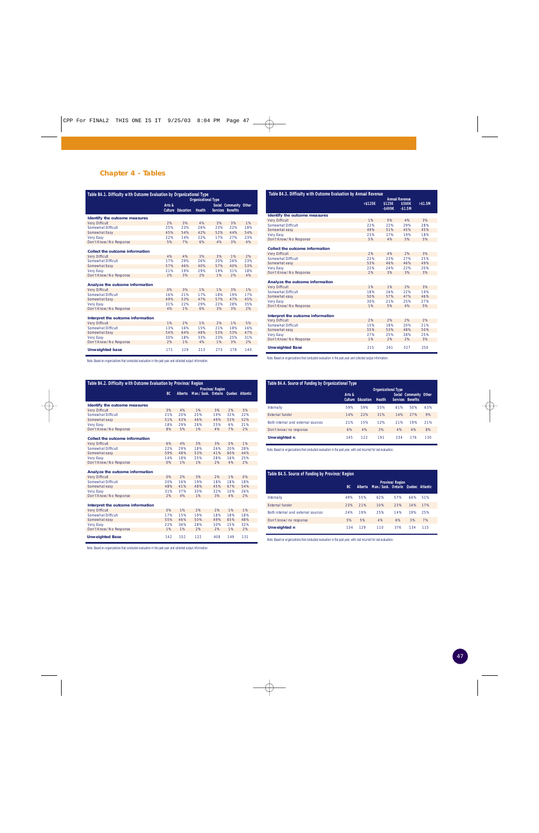#### **Chapter 4 - Tables**

|                                   | Table B4.1. Difficulty with Outcome Evaluation by Organizational Type<br><b>Organizational Type</b> |                          |               |     |                                                    |     |
|-----------------------------------|-----------------------------------------------------------------------------------------------------|--------------------------|---------------|-----|----------------------------------------------------|-----|
|                                   | Arts &                                                                                              | <b>Culture Education</b> | <b>Health</b> |     | Social Community Other<br><b>Services Benefits</b> |     |
| Identify the outcome measures     |                                                                                                     |                          |               |     |                                                    |     |
| <b>Very Difficult</b>             | 2%                                                                                                  | 3%                       | 4%            | 3%  | 3%                                                 | 1%  |
| Somewhat Difficult                | 25%                                                                                                 | 23%                      | 26%           | 23% | 22%                                                | 18% |
| Somewhat Easy                     | 45%                                                                                                 | 54%                      | 42%           | 52% | 44%                                                | 54% |
| <b>Very Easy</b>                  | 22%                                                                                                 | 14%                      | 22%           | 17% | 27%                                                | 23% |
| Don't Know/No Response            | 5%                                                                                                  | 7%                       | 6%            | 4%  | 3%                                                 | 4%  |
| Collect the outcome information   |                                                                                                     |                          |               |     |                                                    |     |
| <b>Very Difficult</b>             | 4%                                                                                                  | 4%                       | 3%            | 3%  | 1%                                                 | 2%  |
| Somewhat Difficult                | 17%                                                                                                 | 29%                      | 26%           | 20% | 26%                                                | 23% |
| Somewhat Easy                     | 57%                                                                                                 | 46%                      | 40%           | 57% | 40%                                                | 53% |
| <b>Very Easy</b>                  | 21%                                                                                                 | 19%                      | 29%           | 19% | 31%                                                | 18% |
| Don't Know/No Response            | 2%                                                                                                  | 3%                       | 2%            | 1%  | 2%                                                 | 4%  |
| Analyze the outcome information   |                                                                                                     |                          |               |     |                                                    |     |
| <b>Very Difficult</b>             | O%                                                                                                  | 3%                       | 1%            | 1%  | 3%                                                 | 1%  |
| Somewhat Difficult                | 16%                                                                                                 | 21%                      | 17%           | 18% | 19%                                                | 17% |
| Somewhat Easy                     | 49%                                                                                                 | 53%                      | 47%           | 57% | 47%                                                | 45% |
| <b>Very Easy</b>                  | 31%                                                                                                 | 22%                      | 29%           | 22% | 28%                                                | 35% |
| Don't Know/No Response            | 4%                                                                                                  | 1%                       | 6%            | 3%  | 3%                                                 | 2%  |
| Interpret the outcome information |                                                                                                     |                          |               |     |                                                    |     |
| <b>Very Difficult</b>             | 1%                                                                                                  | 2%                       | 1%            | 2%  | 1%                                                 | 5%  |
| Somewhat Difficult                | 13%                                                                                                 | 16%                      | 15%           | 21% | 18%                                                | 16% |
| Somewhat Easy                     | 54%                                                                                                 | 64%                      | 48%           | 53% | 53%                                                | 47% |
| <b>Very Easy</b>                  | 30%                                                                                                 | 18%                      | 33%           | 23% | 25%                                                | 31% |
| Don't Know/No Response            | 2%                                                                                                  | 1%                       | 4%            | 1%  | 3%                                                 | 2%  |
| <b>Unweighted base</b>            | 171                                                                                                 | 129                      | 213           | 273 | 178                                                | 140 |

Note. Based on organizations that conducted evaluation in the past year and collected output information.

| Table B4.2. Difficulty with Outcome Evaluation by Province/Region |           |                |                                    |                        |     |     |  |
|-------------------------------------------------------------------|-----------|----------------|------------------------------------|------------------------|-----|-----|--|
|                                                                   | <b>BC</b> | <b>Alberta</b> | Man./Sask. Ontario Quebec Atlantic | <b>Province/Region</b> |     |     |  |
|                                                                   |           |                |                                    |                        |     |     |  |
| Identify the outcome measures                                     |           |                |                                    |                        |     |     |  |
| <b>Very Difficult</b>                                             | 3%        | 4%             | 1%                                 | 3%                     | 2%  | 3%  |  |
| Somewhat Difficult                                                | 21%       | 20%            | 25%                                | 19%                    | 32% | 22% |  |
| Somewhat easy                                                     | 51%       | 43%            | 46%                                | 49%                    | 53% | 52% |  |
| <b>Very Easy</b>                                                  | 18%       | 29%            | 28%                                | 25%                    | 6%  | 21% |  |
| Don't Know/No Response                                            | 8%        | 5%             | 1%                                 | 4%                     | 7%  | 2%  |  |
|                                                                   |           |                |                                    |                        |     |     |  |
| Collect the outcome information                                   |           |                |                                    |                        |     |     |  |
| <b>Very Difficult</b>                                             | 6%        | 4%             | 3%                                 | 3%                     | 0%  | 1%  |  |
| <b>Somewhat Difficult</b>                                         | 22%       | 29%            | 18%                                | 26%                    | 20% | 28% |  |
| Somewhat easy                                                     | 59%       | 48%            | 53%                                | 41%                    | 60% | 44% |  |
| <b>Very Easy</b>                                                  | 14%       | 18%            | 25%                                | 28%                    | 16% | 25% |  |
| Don't Know/No Response                                            | 0%        | 1%             | 1%                                 | 2%                     | 4%  | 2%  |  |
| Analyze the outcome information                                   |           |                |                                    |                        |     |     |  |
| <b>Very Difficult</b>                                             | O%        | 2%             | 3%                                 | 2%                     | 1%  | O%  |  |
| Somewhat Difficult                                                | 20%       | 16%            | 19%                                | 18%                    | 18% | 18% |  |
| Somewhat easy                                                     | 48%       | 41%            | 48%                                | 45%                    | 67% | 54% |  |
| <b>Very Easy</b>                                                  | 31%       | 37%            | 30%                                | 32%                    | 10% | 26% |  |
| Don't Know/No Response                                            | 2%        | 4%             | 1%                                 | 3%                     | 4%  | 2%  |  |
|                                                                   |           |                |                                    |                        |     |     |  |
| Interpret the outcome information                                 |           |                |                                    |                        |     |     |  |
| <b>Very Difficult</b>                                             | 5%        | 1%             | 2%                                 | 2%                     | 1%  | 1%  |  |
| Somewhat Difficult                                                | 17%       | 15%            | 19%                                | 18%                    | 18% | 18% |  |
| Somewhat easy                                                     | 55%       | 46%            | 50%                                | 49%                    | 65% | 48% |  |
| <b>Very Easy</b>                                                  | 22%       | 36%            | 28%                                | 30%                    | 15% | 32% |  |
| Don't Know/No Response                                            | 1%        | 1%             | 2%                                 | 2%                     | 1%  | 2%  |  |
| <b>Unweighted Base</b>                                            | 142       | 152            | 122                                | 408                    | 149 | 131 |  |
|                                                                   |           |                |                                    |                        |     |     |  |

Note. Based on organizations that conducted evaluation in the past year and collected output information.

| Table B4.3. Difficulty with Outcome Evaluation by Annual Revenue |               |            |                       |           |  |  |  |  |
|------------------------------------------------------------------|---------------|------------|-----------------------|-----------|--|--|--|--|
|                                                                  |               |            | <b>Annual Revenue</b> |           |  |  |  |  |
|                                                                  | $<$ \$125 $K$ | \$125K     | \$500K                | $> $1.5M$ |  |  |  |  |
|                                                                  |               | $-$ \$499K | $-$1.5M$              |           |  |  |  |  |
| Identify the outcome measures                                    |               |            |                       |           |  |  |  |  |
| <b>Very Difficult</b>                                            | 1%            | 5%         | 4%                    | 3%        |  |  |  |  |
| Somewhat Difficult                                               | 22%           | 22%        | 29%                   | 28%       |  |  |  |  |
| Somewhat easy                                                    | 49%           | 51%        | 45%                   | 45%       |  |  |  |  |
| <b>Very Easy</b>                                                 | 23%           | 17%        | 19%                   | 18%       |  |  |  |  |
| Don't Know/No Response                                           | 5%            | 4%         | 5%                    | 5%        |  |  |  |  |
|                                                                  |               |            |                       |           |  |  |  |  |
| Collect the outcome information                                  |               |            |                       |           |  |  |  |  |
| <b>Very Difficult</b>                                            | 2%            | 4%         | 2%                    | 3%        |  |  |  |  |
| Somewhat Difficult                                               | 22%           | 23%        | 27%                   | 25%       |  |  |  |  |
| Somewhat easy                                                    | 53%           | 46%        | 46%                   | 49%       |  |  |  |  |
| <b>Very Easy</b>                                                 | 22%           | 24%        | 22%                   | 20%       |  |  |  |  |
| Don't Know/No Response                                           | 2%            | 3%         | 3%                    | 3%        |  |  |  |  |
| Analyze the outcome information                                  |               |            |                       |           |  |  |  |  |
| <b>Very Difficult</b>                                            | 1%            | 1%         | 2%                    | 3%        |  |  |  |  |
| Somewhat Difficult                                               | 18%           | 16%        | 22%                   | 19%       |  |  |  |  |
| Somewhat easy                                                    | 50%           | 57%        | 47%                   | 46%       |  |  |  |  |
| <b>Very Easy</b>                                                 | 30%           | 21%        | 25%                   | 27%       |  |  |  |  |
| Don't Know/No Response                                           | 1%            | 5%         | 4%                    | 5%        |  |  |  |  |
|                                                                  |               |            |                       |           |  |  |  |  |
| Interpret the outcome information                                |               |            |                       |           |  |  |  |  |
| <b>Very Difficult</b>                                            | 2%            | 2%         | 2%                    | 2%        |  |  |  |  |
| Somewhat Difficult                                               | 15%           | 18%        | 20%                   | 21%       |  |  |  |  |
| Somewhat easy                                                    | 55%           | 53%        | 48%                   | 50%       |  |  |  |  |
| <b>Very Easy</b>                                                 | 27%           | 25%        | 28%                   | 25%       |  |  |  |  |
| Don't Know/No Response                                           | 1%            | 2%         | 2%                    | 3%        |  |  |  |  |
| <b>Unweighted Base</b>                                           | 215           | 261        | 327                   | 250       |  |  |  |  |

Note. Based on organizations that conducted evaluation in the past year and collected output information.

| Table B4.4. Source of Funding by Organizational Type |                          |           |                            |     |                                                    |     |
|------------------------------------------------------|--------------------------|-----------|----------------------------|-----|----------------------------------------------------|-----|
|                                                      |                          |           | <b>Organizational Type</b> |     |                                                    |     |
|                                                      | Arts &<br><b>Culture</b> | Education | <b>Health</b>              |     | Social Community Other<br><b>Services Benefits</b> |     |
| Internally                                           | 59%                      | 59%       | 55%                        | 61% | 50%                                                | 63% |
| <b>External funder</b>                               | 14%                      | 22%       | 31%                        | 14% | 27%                                                | 9%  |
| Both internal and external sources                   | 21%                      | 15%       | 12%                        | 21% | 19%                                                | 21% |
| Don't know/no response                               | 6%                       | 4%        | 3%                         | 4%  | 4%                                                 | 8%  |
| <b>Unweighted n</b>                                  | 145                      | 122       | 191                        | 234 | 176                                                | 130 |

Note. Based on organizations that conducted evaluation in the past year, with cost incurred for last evaluation.

f,

| Table B4.5. Source of Funding by Province/Region |     |                                                                         |     |     |     |     |  |  |
|--------------------------------------------------|-----|-------------------------------------------------------------------------|-----|-----|-----|-----|--|--|
|                                                  | BC. | <b>Province/Region</b><br>Man./Sask. Ontario Quebec Atlantic<br>Alberta |     |     |     |     |  |  |
| Internally                                       | 49% | 55%                                                                     | 62% | 57% | 64% | 51% |  |  |
| <b>External funder</b>                           | 23% | 21%                                                                     | 10% | 23% | 14% | 17% |  |  |
| Both internal and external sources               | 24% | 19%                                                                     | 25% | 14% | 19% | 25% |  |  |
| Don't know/no response                           | 5%  | 5%                                                                      | 4%  | 6%  | 3%  | 7%  |  |  |
| <b>Unweighted n</b>                              | 134 | 129                                                                     | 110 | 376 | 134 | 115 |  |  |

Note. Based on organizations that conducted evaluation in the past year, with cost incurred for last evaluation.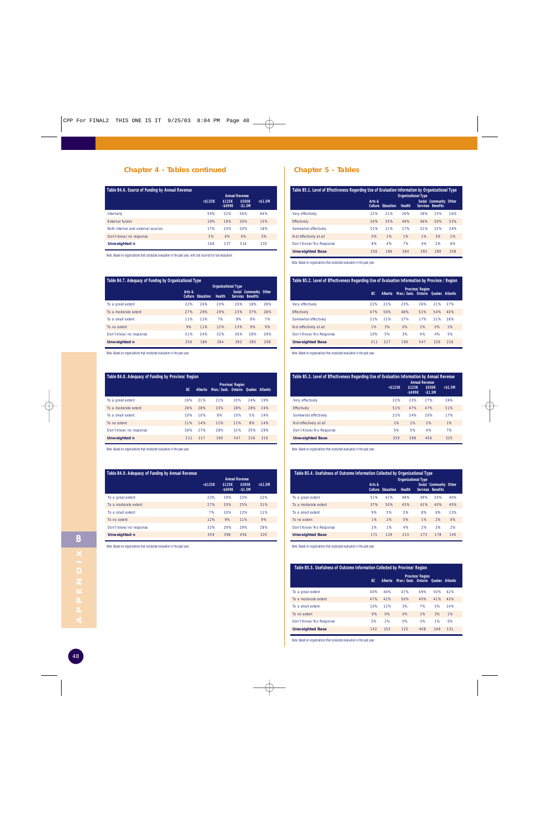#### **Chapter 4 - Tables continued Chapter 5 - Tables**

| Table B4.6. Source of Funding by Annual Revenue |                                                                                                   |     |     |     |  |
|-------------------------------------------------|---------------------------------------------------------------------------------------------------|-----|-----|-----|--|
|                                                 | <b>Annual Revenue</b><br>\$500K<br>$<$ \$125 $K$<br>\$125K<br>$> $1.5M$<br>$-$ \$499K<br>$-$1.5M$ |     |     |     |  |
| Internally                                      | 59%                                                                                               | 52% | 56% | 64% |  |
| <b>External funder</b>                          | 19%                                                                                               | 19% | 20% | 15% |  |
| Both internal and external sources              | 17%                                                                                               | 23% | 20% | 18% |  |
| Don't know/no response                          | 5%                                                                                                | 6%  | 4%  | 3%  |  |
| <b>Unweighted n</b>                             | 168                                                                                               | 237 | 316 | 230 |  |

Note. Based on organizations that conducted evaluation in the past year, with cost incurred for last evaluation.

#### **Table B4.7. Adequacy of Funding by Organizational Type**

|                        |        |                          | <b>Organizational Type</b> |     |                                             |     |
|------------------------|--------|--------------------------|----------------------------|-----|---------------------------------------------|-----|
|                        | Arts & | <b>Culture Education</b> | <b>Health</b>              |     | Social Community Other<br>Services Benefits |     |
| To a great extent      | 22%    | 26%                      | 20%                        | 20% | 18%                                         | 28% |
| To a moderate extent   | 27%    | 29%                      | 29%                        | 23% | 37%                                         | 28% |
| To a small extent      | 11%    | 12%                      | 7%                         | 9%  | 9%                                          | 7%  |
| To no extent           | 9%     | 11%                      | 12%                        | 13% | 9%                                          | 9%  |
| Don't know/no response | 31%    | 24%                      | 32%                        | 36% | 28%                                         | 29% |
| <b>Unweighted n</b>    | 256    | 186                      | 284                        | 393 | 280                                         | 208 |

Note. Based on organizations that conducted evaluation in the past year.

#### **Table B4.8. Adequacy of Funding by Province/Region**

|                        | <b>Province/Region</b> |         |                                    |     |     |     |  |
|------------------------|------------------------|---------|------------------------------------|-----|-----|-----|--|
|                        | BC.                    | Alberta | Man./Sask. Ontario Quebec Atlantic |     |     |     |  |
| To a great extent      | 26%                    | 21%     | 21%                                | 20% | 24% | 19% |  |
| To a moderate extent   | 26%                    | 28%     | 33%                                | 28% | 28% | 24% |  |
| To a small extent      | 10%                    | 10%     | 8%                                 | 10% | 5%  | 14% |  |
| To no extent           | 11%                    | 14%     | 11%                                | 11% | 8%  | 14% |  |
| Don't know/no response | 26%                    | 27%     | 28%                                | 31% | 35% | 29% |  |
| <b>Unweighted n</b>    | 211                    | 217     | 190                                | 547 | 226 | 216 |  |

Note. Based on organizations that conducted evaluation in the past year.

#### **Table B4.9. Adequacy of Funding by Annual Revenue**

|                        | <b>Annual Revenue</b> |                      |                    |           |  |  |  |
|------------------------|-----------------------|----------------------|--------------------|-----------|--|--|--|
|                        | $<$ \$125 $K$         | \$125K<br>$-$ \$499K | \$500K<br>$-$1.5M$ | $> $1.5M$ |  |  |  |
| To a great extent      | 23%                   | 19%                  | 23%                | 22%       |  |  |  |
| To a moderate extent   | 27%                   | 33%                  | 25%                | 31%       |  |  |  |
| To a small extent      | 7%                    | 10%                  | 13%                | 11%       |  |  |  |
| To no extent           | 12%                   | 9%                   | 11%                | 9%        |  |  |  |
| Don't know/no response | 32%                   | 29%                  | 29%                | 28%       |  |  |  |
| <b>Unweighted n</b>    | 359                   | 398                  | 456                | 320       |  |  |  |
|                        |                       |                      |                    |           |  |  |  |

Note. Based on organizations that conducted evaluation in the past year.

| Table B5.1. Level of Effectiveness Regarding Use of Evaluation Information by Organizational Type<br><b>Organizational Type</b> |                          |           |               |     |                                             |     |  |
|---------------------------------------------------------------------------------------------------------------------------------|--------------------------|-----------|---------------|-----|---------------------------------------------|-----|--|
|                                                                                                                                 | Arts &<br><b>Culture</b> | Education | <b>Health</b> |     | Social Community Other<br>Services Benefits |     |  |
| Very effectively                                                                                                                | 22%                      | 21%       | 26%           | 28% | 23%                                         | 16% |  |
| Effectively                                                                                                                     | 50%                      | 55%       | 49%           | 46% | 50%                                         | 53% |  |
| Somewhat effectively                                                                                                            | 21%                      | 21%       | 17%           | 21% | 22%                                         | 24% |  |
| Not effectively at all                                                                                                          | O%                       | 1%        | 1%            | 1%  | 3%                                          | 1%  |  |
| Don't Know/No Response                                                                                                          | 8%                       | 4%        | 7%            | 4%  | 2%                                          | 6%  |  |
| <b>Unweighted Base</b>                                                                                                          | 256                      | 186       | 284           | 393 | 280                                         | 208 |  |

Note. Based on organizations that conducted evaluation in the past year.

| Table B5.2. Level of Effectiveness Regarding Use of Evaluation Information by Province / Region |                                                                                      |     |     |     |     |     |  |  |  |
|-------------------------------------------------------------------------------------------------|--------------------------------------------------------------------------------------|-----|-----|-----|-----|-----|--|--|--|
|                                                                                                 | <b>Province/Region</b><br>Man./Sask. Ontario Quebec Atlantic<br><b>BC</b><br>Alberta |     |     |     |     |     |  |  |  |
| Very effectively                                                                                | 22%                                                                                  | 21% | 23% | 26% | 21% | 27% |  |  |  |
| <b>Effectively</b>                                                                              | 47%                                                                                  | 50% | 48% | 51% | 54% | 40% |  |  |  |
| Somewhat effectively                                                                            | 21%                                                                                  | 21% | 27% | 17% | 21% | 28% |  |  |  |
| Not effectively at all                                                                          | 1%                                                                                   | 3%  | O%  | 2%  | O%  | 1%  |  |  |  |
| Don't Know/No Response                                                                          | 10%                                                                                  | 5%  | 3%  | 4%  | 4%  | 5%  |  |  |  |
| <b>Unweighted Base</b>                                                                          | 211                                                                                  | 217 | 190 | 547 | 226 | 216 |  |  |  |

Note. Based on organizations that conducted evaluation in the past year.

| Table B5.3. Level of Effectiveness Regarding Use of Evaluation Information by Annual Revenue<br><b>Annual Revenue</b> |            |                      |                    |          |  |  |  |
|-----------------------------------------------------------------------------------------------------------------------|------------|----------------------|--------------------|----------|--|--|--|
|                                                                                                                       | $<$ \$125K | \$125K<br>$-$ \$499K | \$500K<br>$-$1.5M$ | > \$1.5M |  |  |  |
| Very effectively                                                                                                      | 22%        | 23%                  | 27%                | 26%      |  |  |  |
| <b>Effectively</b>                                                                                                    | 51%        | 47%                  | 47%                | 51%      |  |  |  |
| Somewhat effectively                                                                                                  | 22%        | 24%                  | 20%                | 17%      |  |  |  |
| Not effectively at all                                                                                                | 1%         | 1%                   | 2%                 | 1%       |  |  |  |
| Don't Know/No Response                                                                                                | 5%         | 5%                   | 4%                 | 7%       |  |  |  |
| <b>Unweighted Base</b>                                                                                                | 359        | 398                  | 456                | 320      |  |  |  |

Note. Based on organizations that conducted evaluation in the past year.

| Table B5.4. Usefulness of Outcome Information Collected by Organizational Type<br><b>Organizational Type</b> |        |                          |               |     |                                                    |     |  |  |
|--------------------------------------------------------------------------------------------------------------|--------|--------------------------|---------------|-----|----------------------------------------------------|-----|--|--|
|                                                                                                              | Arts & | <b>Culture Education</b> | <b>Health</b> |     | Social Community Other<br><b>Services Benefits</b> |     |  |  |
| To a great extent                                                                                            | 51%    | 41%                      | 48%           | 49% | 50%                                                | 40% |  |  |
| To a moderate extent                                                                                         | 37%    | 50%                      | 43%           | 41% | 40%                                                | 45% |  |  |
| To a small extent                                                                                            | 9%     | 5%                       | 5%            | 8%  | 6%                                                 | 13% |  |  |
| To no extent                                                                                                 | 1%     | 2%                       | O%            | 1%  | 2%                                                 | O%  |  |  |
| Don't Know/No Response                                                                                       | 2%     | 1%                       | 4%            | 2%  | 2%                                                 | 2%  |  |  |
| <b>Unweighted Base</b>                                                                                       | 171    | 129                      | 213           | 273 | 178                                                | 140 |  |  |

Note. Based on organizations that conducted evaluation in the past year.

#### **Table B5.5. Usefulness of Outcome Information Collected by Province/Region**

|                        | BC. | Alberta | Man./Sask. Ontario Quebec Atlantic | <b>Province/Region</b> |     |     |  |
|------------------------|-----|---------|------------------------------------|------------------------|-----|-----|--|
| To a great extent      | 40% | 46%     | 47%                                | 49%                    | 50% | 42% |  |
| To a moderate extent   | 47% | 41%     | 50%                                | 40%                    | 41% | 43% |  |
| To a small extent      | 10% | 11%     | 3%                                 | 7%                     | 5%  | 14% |  |
| To no extent           | 0%  | O%      | 0%                                 | 1%                     | 3%  | 1%  |  |
| Don't Know/No Response | 3%  | 2%      | 0%                                 | 3%                     | 1%  | 0%  |  |
| <b>Unweighted Base</b> | 142 | 152     | 122                                | 408                    | 149 | 131 |  |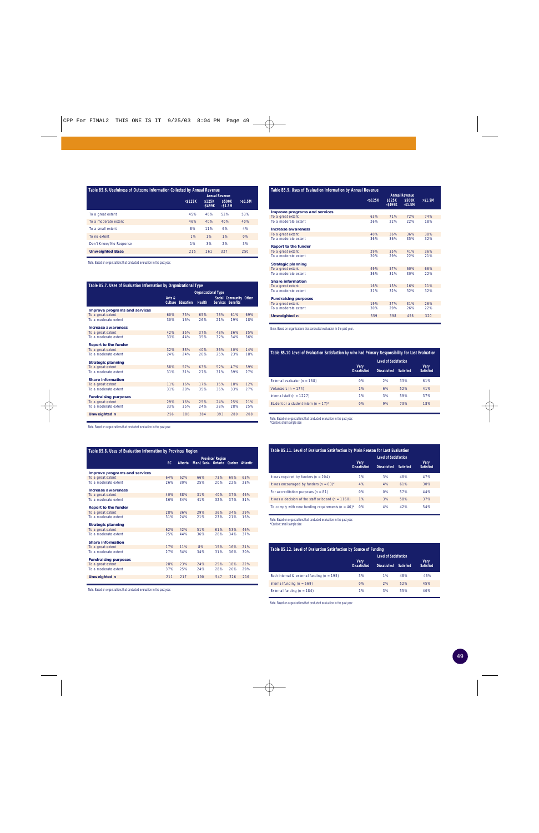| Table B5.6. Usefulness of Outcome Information Collected by Annual Revenue |                                                            |            |          |          |  |  |  |
|---------------------------------------------------------------------------|------------------------------------------------------------|------------|----------|----------|--|--|--|
|                                                                           | <b>Annual Revenue</b><br>$<$ \$125 $K$<br>\$125K<br>\$500K |            |          |          |  |  |  |
|                                                                           |                                                            | $-$ \$499K | $-$1.5M$ | > \$1.5M |  |  |  |
| To a great extent                                                         | 45%                                                        | 46%        | 52%      | 53%      |  |  |  |
| To a moderate extent                                                      | 46%                                                        | 40%        | 40%      | 40%      |  |  |  |
| To a small extent                                                         | 8%                                                         | 11%        | 6%       | 4%       |  |  |  |
| To no extent                                                              | 1%                                                         | 1%         | 1%       | O%       |  |  |  |
| Don't Know/No Response                                                    | 1%                                                         | 3%         | 2%       | 3%       |  |  |  |
| <b>Unweighted Base</b>                                                    | 215                                                        | 261        | 327      | 250      |  |  |  |

Note. Based on organizations that conducted evaluation in the past year.

| Table B5.7. Uses of Evaluation Information by Organizational Type |                            |                  |               |     |                                             |     |
|-------------------------------------------------------------------|----------------------------|------------------|---------------|-----|---------------------------------------------|-----|
|                                                                   | <b>Organizational Type</b> |                  |               |     |                                             |     |
|                                                                   | Arts &<br><b>Culture</b>   | <b>Education</b> | <b>Health</b> |     | Social Community Other<br>Services Benefits |     |
| Improve programs and services                                     |                            |                  |               |     |                                             |     |
| To a great extent                                                 | 60%                        | 75%              | 65%           | 73% | 61%                                         | 69% |
| To a moderate extent                                              | 30%                        | 16%              | 26%           | 21% | 29%                                         | 18% |
| Increase awareness                                                |                            |                  |               |     |                                             |     |
| To a great extent                                                 | 42%                        | 35%              | 37%           | 43% | 36%                                         | 35% |
| To a moderate extent                                              | 33%                        | 44%              | 35%           | 32% | 34%                                         | 36% |
| <b>Report to the funder</b>                                       |                            |                  |               |     |                                             |     |
| To a great extent                                                 | 32%                        | 33%              | 40%           | 36% | 40%                                         | 14% |
| To a moderate extent                                              | 24%                        | 24%              | 20%           | 25% | 23%                                         | 18% |
| <b>Strategic planning</b>                                         |                            |                  |               |     |                                             |     |
| To a great extent                                                 | 58%                        | 57%              | 63%           | 52% | 47%                                         | 59% |
| To a moderate extent                                              | 31%                        | 31%              | 27%           | 31% | 39%                                         | 27% |
| <b>Share information</b>                                          |                            |                  |               |     |                                             |     |
| To a great extent                                                 | 11%                        | 16%              | 17%           | 15% | 18%                                         | 12% |
| To a moderate extent                                              | 31%                        | 28%              | 35%           | 36% | 33%                                         | 27% |
| <b>Fundraising purposes</b>                                       |                            |                  |               |     |                                             |     |
| To a great extent                                                 | 29%                        | 16%              | 25%           | 24% | 25%                                         | 21% |
| To a moderate extent                                              | 33%                        | 35%              | 24%           | 28% | 28%                                         | 25% |
| <b>Unweighted n</b>                                               | 256                        | 186              | 284           | 393 | 280                                         | 208 |
|                                                                   |                            |                  |               |     |                                             |     |

Note. Based on organizations that conducted evaluation in the past year.

| Table B5.8. Uses of Evaluation Information by Province/Region |                        |                |                           |     |     |                 |
|---------------------------------------------------------------|------------------------|----------------|---------------------------|-----|-----|-----------------|
|                                                               | <b>Province/Region</b> |                |                           |     |     |                 |
|                                                               | <b>BC</b>              | <b>Alberta</b> | Man./Sask. Ontario Ouebec |     |     | <b>Atlantic</b> |
| Improve programs and services                                 |                        |                |                           |     |     |                 |
| To a great extent                                             | 64%                    | 62%            | 66%                       | 73% | 69% | 63%             |
| To a moderate extent                                          | 26%                    | 30%            | 25%                       | 20% | 22% | 28%             |
| Increase awareness                                            |                        |                |                           |     |     |                 |
| To a great extent                                             | 40%                    | 38%            | 31%                       | 40% | 37% | 46%             |
| To a moderate extent                                          | 36%                    | 34%            | 41%                       | 32% | 37% | 31%             |
| <b>Report to the funder</b>                                   |                        |                |                           |     |     |                 |
| To a great extent                                             | 28%                    | 36%            | 29%                       | 36% | 34% | 29%             |
| To a moderate extent                                          | 31%                    | 24%            | 21%                       | 23% | 21% | 16%             |
| <b>Strategic planning</b>                                     |                        |                |                           |     |     |                 |
| To a great extent                                             | 62%                    | 42%            | 51%                       | 61% | 53% | 46%             |
| To a moderate extent                                          | 25%                    | 44%            | 36%                       | 26% | 34% | 37%             |
| <b>Share information</b>                                      |                        |                |                           |     |     |                 |
| To a great extent                                             | 17%                    | 11%            | 8%                        | 15% | 16% | 21%             |
| To a moderate extent                                          | 27%                    | 34%            | 34%                       | 31% | 36% | 30%             |
| <b>Fundraising purposes</b>                                   |                        |                |                           |     |     |                 |
| To a great extent                                             | 28%                    | 23%            | 24%                       | 25% | 18% | 22%             |
| To a moderate extent                                          | 37%                    | 25%            | 24%                       | 28% | 26% | 29%             |
| <b>Unweighted n</b>                                           | 211                    | 217            | 190                       | 547 | 226 | 216             |

Note. Based on organizations that conducted evaluation in the past year.

| Table B5.9. Uses of Evaluation Information by Annual Revenue |               |            |                       |           |
|--------------------------------------------------------------|---------------|------------|-----------------------|-----------|
|                                                              |               |            | <b>Annual Revenue</b> |           |
|                                                              | $<$ \$125 $K$ | \$125K     | \$500K                | $> $1.5M$ |
|                                                              |               | $-$ \$499K | $-$1.5M$              |           |
| Improve programs and services                                |               |            |                       |           |
| To a great extent                                            | 63%           | 71%        | 72%                   | 74%       |
| To a moderate extent                                         | 26%           | 22%        | 22%                   | 18%       |
| Increase awareness                                           |               |            |                       |           |
| To a great extent                                            | 40%           | 36%        | 36%                   | 38%       |
| To a moderate extent                                         | 36%           | 36%        | 35%                   | 32%       |
| <b>Report to the funder</b>                                  |               |            |                       |           |
| To a great extent                                            | 29%           | 35%        | 41%                   | 36%       |
| To a moderate extent                                         | 20%           | 29%        | 22%                   | 21%       |
| <b>Strategic planning</b>                                    |               |            |                       |           |
| To a great extent                                            | 49%           | 57%        | 60%                   | 66%       |
| To a moderate extent                                         | 36%           | 31%        | 30%                   | 22%       |
| <b>Share information</b>                                     |               |            |                       |           |
| To a great extent                                            | 16%           | 13%        | 16%                   | 11%       |
| To a moderate extent                                         | 31%           | 32%        | 32%                   | 32%       |
| <b>Fundraising purposes</b>                                  |               |            |                       |           |
| To a great extent                                            | 19%           | 27%        | 31%                   | 26%       |
| To a moderate extent                                         | 30%           | 29%        | 26%                   | 22%       |
| <b>Unweighted n</b>                                          | 359           | 398        | 456                   | 320       |

Note. Based on organizations that conducted evaluation in the past year.

| Table B5.10 Level of Evaluation Satisfaction by who had Primary Responsibility for Last Evaluation |                                    |                     |                  |                          |  |  |  |  |  |
|----------------------------------------------------------------------------------------------------|------------------------------------|---------------------|------------------|--------------------------|--|--|--|--|--|
|                                                                                                    | <b>Level of Satisfaction</b>       |                     |                  |                          |  |  |  |  |  |
|                                                                                                    | <b>Verv</b><br><b>Dissatisfied</b> | <b>Dissatisfied</b> | <b>Satisfied</b> | Very<br><b>Satisfied</b> |  |  |  |  |  |
| External evaluator ( $n = 168$ )                                                                   | O%                                 | 2%                  | 33%              | 61%                      |  |  |  |  |  |
| Volunteers $(n = 174)$                                                                             | 1%                                 | 6%                  | 52%              | 41%                      |  |  |  |  |  |
| Internal staff $(n = 1227)$                                                                        | 1%                                 | 3%                  | 59%              | 37%                      |  |  |  |  |  |
| Student or a student intern (n = $17$ )*                                                           | O%                                 | 9%                  | 73%              | 18%                      |  |  |  |  |  |

Note. Based on organizations that conducted evaluation in the past year. \*Caution: small sample size

| Table B5.11. Level of Evaluation Satisfaction by Main Reason for Last Evaluation |                     |                              |                  |                  |  |  |  |  |  |  |
|----------------------------------------------------------------------------------|---------------------|------------------------------|------------------|------------------|--|--|--|--|--|--|
|                                                                                  | <b>Verv</b>         | <b>Level of Satisfaction</b> |                  | <b>Very</b>      |  |  |  |  |  |  |
|                                                                                  | <b>Dissatisfied</b> | <b>Dissatisfied</b>          | <b>Satisfied</b> | <b>Satisfied</b> |  |  |  |  |  |  |
| It was required by funders ( $n = 204$ )                                         | 1%                  | 3%                           | 48%              | 47%              |  |  |  |  |  |  |
| It was encouraged by funders ( $n = 63$ )*                                       | 4%                  | 4%                           | 61%              | 30%              |  |  |  |  |  |  |
| For accreditation purposes ( $n = 81$ )                                          | O%                  | O%                           | 57%              | 44%              |  |  |  |  |  |  |
| It was a decision of the staff or board $(n = 1160)$                             | 1%                  | 3%                           | 58%              | 37%              |  |  |  |  |  |  |
| To comply with new funding requirements ( $n = 46$ )*                            | O%                  | 4%                           | 42%              | 54%              |  |  |  |  |  |  |

Note. Based on organizations that conducted evaluation in the past year. \*Caution: small sample size

| Table B5.12. Level of Evaluation Satisfaction by Source of Funding |                                    |                              |                  |                          |  |  |  |  |  |  |  |
|--------------------------------------------------------------------|------------------------------------|------------------------------|------------------|--------------------------|--|--|--|--|--|--|--|
|                                                                    |                                    | <b>Level of Satisfaction</b> |                  |                          |  |  |  |  |  |  |  |
|                                                                    | <b>Very</b><br><b>Dissatisfied</b> | <b>Dissatisfied</b>          | <b>Satisfied</b> | Very<br><b>Satisfied</b> |  |  |  |  |  |  |  |
| Both internal & external funding ( $n = 195$ )                     | 3%                                 | 1%                           | 48%              | 46%                      |  |  |  |  |  |  |  |
| Internal funding ( $n = 569$ )                                     | 0%                                 | 2%                           | 52%              | 45%                      |  |  |  |  |  |  |  |
| External funding ( $n = 184$ )                                     | 1%                                 | 3%                           | 55%              | 40%                      |  |  |  |  |  |  |  |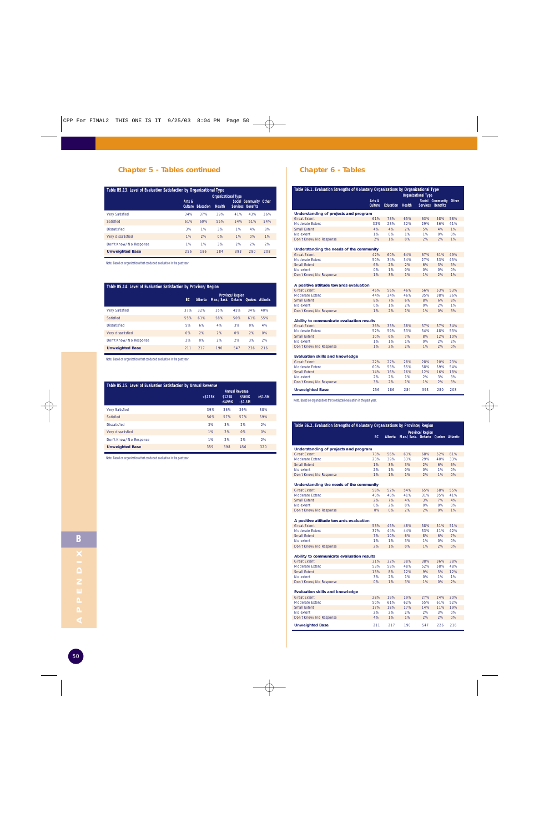#### **Chapter 5 - Tables continued Chapter 6 - Tables**

| Table B5.13. Level of Evaluation Satisfaction by Organizational Type |                                                                |                  |        |                   |     |     |  |  |  |  |
|----------------------------------------------------------------------|----------------------------------------------------------------|------------------|--------|-------------------|-----|-----|--|--|--|--|
|                                                                      | <b>Organizational Type</b><br>Arts &<br>Social Community Other |                  |        |                   |     |     |  |  |  |  |
|                                                                      | <b>Culture</b>                                                 | <b>Education</b> | Health | Services Benefits |     |     |  |  |  |  |
| <b>Very Satisfied</b>                                                | 34%                                                            | 37%              | 39%    | 41%               | 43% | 36% |  |  |  |  |
| Satisfied                                                            | 61%                                                            | 60%              | 55%    | 54%               | 51% | 54% |  |  |  |  |
| <b>Dissatisfied</b>                                                  | 3%                                                             | 1%               | 3%     | 1%                | 4%  | 8%  |  |  |  |  |
| Very dissatisfied                                                    | 1%                                                             | 2%               | O%     | 1%                | O%  | 1%  |  |  |  |  |
| Don't Know/No Response                                               | 1%                                                             | 1%               | 3%     | 2%                | 2%  | 2%  |  |  |  |  |
| <b>Unweighted Base</b>                                               | 256                                                            | 186              | 284    | 393               | 280 | 208 |  |  |  |  |

Note. Based on organizations that conducted evaluation in the past year.

#### **Table B5.14. Level of Evaluation Satisfaction by Province/Region**

|                        |     | <b>Province/Region</b> |                                    |     |     |     |  |  |  |
|------------------------|-----|------------------------|------------------------------------|-----|-----|-----|--|--|--|
|                        | BC  | <b>Alberta</b>         | Man./Sask. Ontario Quebec Atlantic |     |     |     |  |  |  |
| <b>Very Satisfied</b>  | 37% | 32%                    | 35%                                | 45% | 34% | 40% |  |  |  |
| Satisfied              | 55% | 61%                    | 58%                                | 50% | 61% | 55% |  |  |  |
| <b>Dissatisfied</b>    | 5%  | 6%                     | 4%                                 | 3%  | 0%  | 4%  |  |  |  |
| Very dissatisfied      | O%  | 2%                     | 2%                                 | O%  | 2%  | O%  |  |  |  |
| Don't Know/No Response | 2%  | 0%                     | 2%                                 | 2%  | 3%  | 2%  |  |  |  |
| <b>Unweighted Base</b> | 211 | 217                    | 190                                | 547 | 226 | 216 |  |  |  |

Note. Based on organizations that conducted evaluation in the past year.

#### **Table B5.15. Level of Evaluation Satisfaction by Annual Revenue**

|                        | $<$ \$125 $K$ | \$125K<br>$-$ \$499K | <b>Annual Revenue</b><br>\$500K<br>$-$1.5M$ | $> $1.5M$ |
|------------------------|---------------|----------------------|---------------------------------------------|-----------|
| <b>Very Satisfied</b>  | 39%           | 36%                  | 39%                                         | 38%       |
| Satisfied              | 56%           | 57%                  | 57%                                         | 59%       |
| <b>Dissatisfied</b>    | 3%            | 3%                   | 2%                                          | 2%        |
| Very dissatisfied      | 1%            | 2%                   | O%                                          | 0%        |
| Don't Know/No Response | 1%            | 2%                   | 2%                                          | 2%        |
| <b>Unweighted Base</b> | 359           | 398                  | 456                                         | 320       |

Note. Based on organizations that conducted evaluation in the past year.

| Table B6.1. Evaluation Strengths of Voluntary Organizations by Organizational Type |                |                            |               |                 |                  |       |  |  |  |
|------------------------------------------------------------------------------------|----------------|----------------------------|---------------|-----------------|------------------|-------|--|--|--|
|                                                                                    |                | <b>Organizational Type</b> |               |                 |                  |       |  |  |  |
|                                                                                    | Arts &         |                            |               |                 | Social Community | Other |  |  |  |
|                                                                                    | <b>Culture</b> | <b>Education</b>           | <b>Health</b> | <b>Services</b> | <b>Benefits</b>  |       |  |  |  |
| Understanding of projects and program                                              |                |                            |               |                 |                  |       |  |  |  |
| <b>Great Extent</b>                                                                | 61%            | 73%                        | 65%           | 63%             | 58%              | 58%   |  |  |  |
| Moderate Extent                                                                    | 33%            | 23%                        | 32%           | 29%             | 36%              | 41%   |  |  |  |
| <b>Small Extent</b>                                                                | 4%             | 4%                         | 2%            | 5%              | 4%               | 1%    |  |  |  |
| No extent                                                                          | 1%             | 0%                         | 1%            | 1%              | 0%               | 0%    |  |  |  |
| Don't Know/No Response                                                             | 2%             | 1%                         | O%            | 2%              | 2%               | 1%    |  |  |  |
|                                                                                    |                |                            |               |                 |                  |       |  |  |  |
| Understanding the needs of the community                                           |                |                            |               |                 |                  |       |  |  |  |
| <b>Great Extent</b>                                                                | 42%            | 60%                        | 64%           | 67%             | 61%              | 49%   |  |  |  |
| Moderate Extent                                                                    | 50%            | 34%                        | 34%           | 27%             | 33%              | 45%   |  |  |  |
| <b>Small Extent</b>                                                                | 6%             | 2%                         | 2%            | 6%              | 3%               | 5%    |  |  |  |
| No extent                                                                          | 0%             | 1%                         | 0%            | 0%              | 0%               | 0%    |  |  |  |
| Don't Know/No Response                                                             | 1%             | 3%                         | 1%            | 1%              | 2%               | 1%    |  |  |  |
| A positive attitude towards evaluation                                             |                |                            |               |                 |                  |       |  |  |  |
| <b>Great Extent</b>                                                                | 46%            | 56%                        | 46%           | 56%             | 53%              | 53%   |  |  |  |
| <b>Moderate Extent</b>                                                             | 44%            | 34%                        | 46%           | 35%             | 38%              | 36%   |  |  |  |
| <b>Small Extent</b>                                                                | 8%             | 7%                         | 6%            | 8%              | 6%               | 8%    |  |  |  |
| No extent                                                                          | 0%             | 1%                         | 2%            | 0%              | 2%               | 1%    |  |  |  |
| Don't Know/No Response                                                             | 1%             | 2%                         | 1%            | 1%              | 0%               | 3%    |  |  |  |
|                                                                                    |                |                            |               |                 |                  |       |  |  |  |
| Ability to communicate evaluation results                                          |                |                            |               |                 |                  |       |  |  |  |
| <b>Great Extent</b>                                                                | 36%            | 33%                        | 38%           | 37%             | 37%              | 34%   |  |  |  |
| Moderate Extent                                                                    | 52%            | 59%                        | 53%           | 54%             | 48%              | 53%   |  |  |  |
| <b>Small Extent</b>                                                                | 10%            | 6%                         | 7%            | 8%              | 12%              | 10%   |  |  |  |
| No extent                                                                          | 1%             | 1%                         | 1%            | 0%              | 2%               | 2%    |  |  |  |
| Don't Know/No Response                                                             | 1%             | 2%                         | 2%            | 1%              | 2%               | 0%    |  |  |  |
|                                                                                    |                |                            |               |                 |                  |       |  |  |  |
| <b>Evaluation skills and knowledge</b>                                             |                |                            |               |                 |                  |       |  |  |  |
| <b>Great Extent</b>                                                                | 22%            | 27%                        | 28%           | 28%             | 20%              | 23%   |  |  |  |
| Moderate Extent                                                                    | 60%            | 53%                        | 55%           | 58%             | 59%              | 54%   |  |  |  |
| <b>Small Extent</b>                                                                | 14%            | 16%                        | 16%           | 12%             | 16%              | 18%   |  |  |  |
| No extent                                                                          | 2%             | 2%                         | 1%            | 2%              | 3%               | 3%    |  |  |  |
| Don't Know/No Response                                                             | 3%             | 2%                         | 1%            | 1%              | 2%               | 3%    |  |  |  |
| <b>Unweighted Base</b>                                                             | 256            | 186                        | 284           | 393             | 280              | 208   |  |  |  |

| Table B6.2. Evaluation Strengths of Voluntary Organizations by Province/Region |     |                        |                           |     |     |                 |  |  |  |
|--------------------------------------------------------------------------------|-----|------------------------|---------------------------|-----|-----|-----------------|--|--|--|
|                                                                                |     | <b>Province/Region</b> |                           |     |     |                 |  |  |  |
|                                                                                | BC. | <b>Alberta</b>         | Man./Sask. Ontario Ouebec |     |     | <b>Atlantic</b> |  |  |  |
| Understanding of projects and program                                          |     |                        |                           |     |     |                 |  |  |  |
| <b>Great Extent</b>                                                            | 73% | 56%                    | 63%                       | 68% | 52% | 61%             |  |  |  |
| Moderate Extent                                                                | 23% | 39%                    | 33%                       | 29% | 40% | 33%             |  |  |  |
| Small Extent                                                                   | 1%  | 3%                     | 3%                        | 2%  | 6%  | 6%              |  |  |  |
| No extent                                                                      | 2%  | 1%                     | 0%                        | 0%  | 1%  | 0%              |  |  |  |
| Don't Know/No Response                                                         | 1%  | 1%                     | 1%                        | 2%  | 1%  | O%              |  |  |  |
| Understanding the needs of the community                                       |     |                        |                           |     |     |                 |  |  |  |
| <b>Great Extent</b>                                                            | 58% | 52%                    | 54%                       | 65% | 58% | 55%             |  |  |  |
| Moderate Extent                                                                | 40% | 40%                    | 41%                       | 31% | 35% | 41%             |  |  |  |
| <b>Small Extent</b>                                                            | 2%  | 7%                     | 4%                        | 3%  | 7%  | 4%              |  |  |  |
| No extent                                                                      | 0%  | 2%                     | 0%                        | 0%  | 0%  | 0%              |  |  |  |
| Don't Know/No Response                                                         | O%  | O%                     | 2%                        | 2%  | 0%  | 1%              |  |  |  |
| A positive attitude towards evaluation                                         |     |                        |                           |     |     |                 |  |  |  |
| <b>Great Extent</b>                                                            | 53% | 45%                    | 48%                       | 58% | 51% | 51%             |  |  |  |
| Moderate Extent                                                                | 37% | 44%                    | 44%                       | 33% | 41% | 42%             |  |  |  |
| <b>Small Extent</b>                                                            | 7%  | 10%                    | 6%                        | 8%  | 6%  | 7%              |  |  |  |
| No extent                                                                      | 1%  | 1%                     | 3%                        | 1%  | 0%  | 0%              |  |  |  |
| Don't Know/No Response                                                         | 2%  | 1%                     | O%                        | 1%  | 2%  | O%              |  |  |  |
| Ability to communicate evaluation results                                      |     |                        |                           |     |     |                 |  |  |  |
| <b>Great Extent</b>                                                            | 31% | 32%                    | 38%                       | 38% | 36% | 38%             |  |  |  |
| Moderate Extent                                                                | 53% | 58%                    | 48%                       | 52% | 58% | 48%             |  |  |  |
| <b>Small Extent</b>                                                            | 13% | 8%                     | 12%                       | 9%  | 5%  | 12%             |  |  |  |
| No extent                                                                      | 3%  | 2%                     | 1%                        | 0%  | 1%  | 1%              |  |  |  |
| Don't Know/No Response                                                         | 0%  | 1%                     | 3%                        | 1%  | 0%  | 2%              |  |  |  |
| <b>Evaluation skills and knowledge</b>                                         |     |                        |                           |     |     |                 |  |  |  |
| <b>Great Extent</b>                                                            | 28% | 19%                    | 19%                       | 27% | 24% | 30%             |  |  |  |
| Moderate Extent                                                                | 50% | 61%                    | 62%                       | 55% | 61% | 52%             |  |  |  |
| <b>Small Extent</b>                                                            | 17% | 18%                    | 17%                       | 14% | 11% | 19%             |  |  |  |
| No extent                                                                      | 2%  | 2%                     | 2%                        | 2%  | 3%  | 0%              |  |  |  |
| Don't Know/No Response                                                         | 4%  | 1%                     | 1%                        | 2%  | 2%  | 0%              |  |  |  |
| <b>Unweighted Base</b>                                                         | 211 | 217                    | 190                       | 547 | 226 | 216             |  |  |  |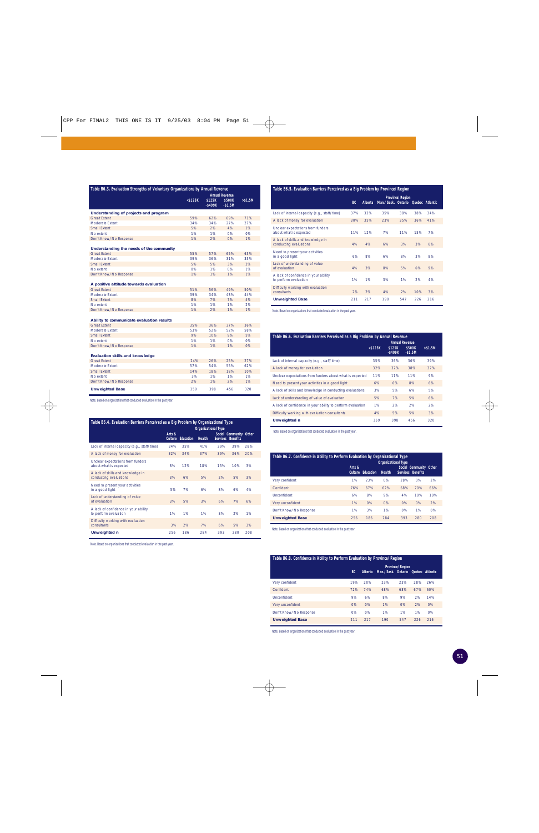| Table B6.3. Evaluation Strengths of Voluntary Organizations by Annual Revenue |                                                                                      |     |     |          |  |  |  |  |  |
|-------------------------------------------------------------------------------|--------------------------------------------------------------------------------------|-----|-----|----------|--|--|--|--|--|
|                                                                               | <b>Annual Revenue</b><br>$<$ \$125 $K$<br>\$125K<br>\$500K<br>$-$ \$499K<br>$-$1.5M$ |     |     | > \$1.5M |  |  |  |  |  |
|                                                                               |                                                                                      |     |     |          |  |  |  |  |  |
| Understanding of projects and program                                         |                                                                                      |     |     |          |  |  |  |  |  |
| <b>Great Extent</b>                                                           | 59%                                                                                  | 62% | 69% | 71%      |  |  |  |  |  |
| Moderate Extent                                                               | 34%                                                                                  | 34% | 27% | 27%      |  |  |  |  |  |
| Small Extent                                                                  | 5%                                                                                   | 2%  | 4%  | 1%       |  |  |  |  |  |
| No extent                                                                     | 1%                                                                                   | 1%  | 0%  | 0%       |  |  |  |  |  |
| Don't Know/No Response                                                        | 1%                                                                                   | 2%  | 0%  | 1%       |  |  |  |  |  |
| Understanding the needs of the community                                      |                                                                                      |     |     |          |  |  |  |  |  |
| <b>Great Extent</b>                                                           | 55%                                                                                  | 57% | 65% | 63%      |  |  |  |  |  |
| Moderate Extent                                                               | 39%                                                                                  | 36% | 31% | 33%      |  |  |  |  |  |
| Small Extent                                                                  | 5%                                                                                   | 5%  | 3%  | 2%       |  |  |  |  |  |
| No extent                                                                     | 0%                                                                                   | 1%  | 0%  | 1%       |  |  |  |  |  |
| Don't Know/No Response                                                        | 1%                                                                                   | 1%  | 1%  | 1%       |  |  |  |  |  |
|                                                                               |                                                                                      |     |     |          |  |  |  |  |  |
| A positive attitude towards evaluation                                        |                                                                                      |     |     |          |  |  |  |  |  |
| <b>Great Extent</b>                                                           | 51%                                                                                  | 56% | 49% | 50%      |  |  |  |  |  |
| Moderate Extent                                                               | 39%                                                                                  | 34% | 43% | 44%      |  |  |  |  |  |
| Small Extent                                                                  | 8%                                                                                   | 7%  | 7%  | 4%       |  |  |  |  |  |
| No extent                                                                     | 1%                                                                                   | 1%  | 1%  | 2%       |  |  |  |  |  |
| Don't Know/No Response                                                        | 1%                                                                                   | 2%  | 1%  | 1%       |  |  |  |  |  |
|                                                                               |                                                                                      |     |     |          |  |  |  |  |  |
| Ability to communicate evaluation results                                     |                                                                                      |     |     |          |  |  |  |  |  |
| <b>Great Extent</b>                                                           | 35%                                                                                  | 36% | 37% | 36%      |  |  |  |  |  |
| Moderate Extent                                                               | 53%                                                                                  | 52% | 52% | 58%      |  |  |  |  |  |
| Small Extent                                                                  | 9%                                                                                   | 10% | 9%  | 5%       |  |  |  |  |  |
| No extent                                                                     | 1%                                                                                   | 1%  | 0%  | 0%       |  |  |  |  |  |
| Don't Know/No Response                                                        | 1%                                                                                   | 1%  | 1%  | 0%       |  |  |  |  |  |
|                                                                               |                                                                                      |     |     |          |  |  |  |  |  |
| <b>Evaluation skills and knowledge</b>                                        |                                                                                      |     |     |          |  |  |  |  |  |
| <b>Great Extent</b>                                                           | 24%                                                                                  | 26% | 25% | 27%      |  |  |  |  |  |
| Moderate Extent                                                               | 57%                                                                                  | 54% | 55% | 62%      |  |  |  |  |  |
| Small Extent                                                                  | 14%                                                                                  | 18% | 18% | 10%      |  |  |  |  |  |
| No extent                                                                     | 3%                                                                                   | 1%  | 1%  | 1%       |  |  |  |  |  |
| Don't Know/No Response                                                        | 2%                                                                                   | 1%  | 2%  | 1%       |  |  |  |  |  |
| <b>Unweighted Base</b>                                                        | 359                                                                                  | 398 | 456 | 320      |  |  |  |  |  |

Note. Based on organizations that conducted evaluation in the past year.

| Table B6.4. Evaluation Barriers Perceived as a Big Problem by Organizational Type<br><b>Organizational Type</b> |                          |                  |               |                 |                                           |     |  |  |  |  |
|-----------------------------------------------------------------------------------------------------------------|--------------------------|------------------|---------------|-----------------|-------------------------------------------|-----|--|--|--|--|
|                                                                                                                 | Arts &<br><b>Culture</b> | <b>Education</b> | <b>Health</b> | <b>Services</b> | Social Community Other<br><b>Benefits</b> |     |  |  |  |  |
| Lack of internal capacity (e.g., staff/time)                                                                    | 34%                      | 35%              | 41%           | 39%             | 39%                                       | 28% |  |  |  |  |
| A lack of money for evaluation                                                                                  | 32%                      | 34%              | 37%           | 39%             | 36%                                       | 20% |  |  |  |  |
| Unclear expectations from funders<br>about what is expected                                                     | 8%                       | 12%              | 18%           | 15%             | 10%                                       | 3%  |  |  |  |  |
| A lack of skills and knowledge in<br>conducting evaluations                                                     | 3%                       | 6%               | 5%            | 2%              | 5%                                        | 3%  |  |  |  |  |
| Need to present your activities<br>in a good light                                                              | 5%                       | 7%               | 6%            | 8%              | 6%                                        | 4%  |  |  |  |  |
| Lack of understanding of value<br>of evaluation                                                                 | 3%                       | 5%               | 3%            | 6%              | 7%                                        | 6%  |  |  |  |  |
| A lack of confidence in your ability<br>to perform evaluation                                                   | 1%                       | 1%               | 1%            | 3%              | 2%                                        | 1%  |  |  |  |  |
| Difficulty working with evaluation<br>consultants                                                               | 3%                       | 2%               | 7%            | 6%              | 5%                                        | 3%  |  |  |  |  |
| Unweighted n                                                                                                    | 256                      | 186              | 284           | 393             | 280                                       | 208 |  |  |  |  |

Note. Based on organizations that conducted evaluation in the past year.

| Table B6.5. Evaluation Barriers Perceived as a Big Problem by Province/Region |           |         |                           |                        |     |                 |  |  |  |  |
|-------------------------------------------------------------------------------|-----------|---------|---------------------------|------------------------|-----|-----------------|--|--|--|--|
|                                                                               | <b>BC</b> | Alberta | Man./Sask. Ontario Quebec | <b>Province/Region</b> |     | <b>Atlantic</b> |  |  |  |  |
| Lack of internal capacity (e.g., staff/time)                                  | 37%       | 32%     | 35%                       | 38%                    | 38% | 34%             |  |  |  |  |
| A lack of money for evaluation                                                | 30%       | 35%     | 23%                       | 35%                    | 36% | 41%             |  |  |  |  |
| Unclear expectations from funders<br>about what is expected                   | 11%       | 12%     | 7%                        | 11%                    | 15% | 7%              |  |  |  |  |
| A lack of skills and knowledge in<br>conducting evaluations                   | 4%        | 4%      | 6%                        | 3%                     | 3%  | 6%              |  |  |  |  |
| Need to present your activities<br>in a good light                            | 6%        | 8%      | 6%                        | 8%                     | 3%  | 8%              |  |  |  |  |
| Lack of understanding of value<br>of evaluation                               | 4%        | 3%      | 8%                        | 5%                     | 6%  | 9%              |  |  |  |  |
| A lack of confidence in your ability<br>to perform evaluation                 | 1%        | 1%      | 3%                        | 1%                     | 2%  | 4%              |  |  |  |  |
| Difficulty working with evaluation<br>consultants                             | 2%        | 2%      | 4%                        | 2%                     | 10% | 3%              |  |  |  |  |
| <b>Unweighted Base</b>                                                        | 211       | 217     | 190                       | 547                    | 226 | 216             |  |  |  |  |

Note. Based on organizations that conducted evaluation in the past year.

| Table B6.6. Evaluation Barriers Perceived as a Big Problem by Annual Revenue<br><b>Annual Revenue</b> |            |                      |                    |          |  |  |  |  |
|-------------------------------------------------------------------------------------------------------|------------|----------------------|--------------------|----------|--|--|--|--|
|                                                                                                       | $<$ \$125K | \$125K<br>$-$ \$499K | \$500K<br>$-$1.5M$ | > \$1.5M |  |  |  |  |
| Lack of internal capacity (e.g., staff/time)                                                          | 35%        | 36%                  | 36%                | 39%      |  |  |  |  |
| A lack of money for evaluation                                                                        | 32%        | 32%                  | 38%                | 37%      |  |  |  |  |
| Unclear expectations from funders about what is expected                                              | 11%        | 11%                  | 11%                | 9%       |  |  |  |  |
| Need to present your activities in a good light                                                       | 6%         | 6%                   | 8%                 | 6%       |  |  |  |  |
| A lack of skills and knowledge in conducting evaluations                                              | 3%         | 5%                   | 6%                 | 5%       |  |  |  |  |
| Lack of understanding of value of evaluation                                                          | 5%         | 7%                   | 5%                 | 6%       |  |  |  |  |
| A lack of confidence in your ability to perform evaluation                                            | 1%         | 2%                   | 2%                 | 2%       |  |  |  |  |
| Difficulty working with evaluation consultants                                                        | 4%         | 5%                   | 5%                 | 3%       |  |  |  |  |
| <b>Unweighted n</b>                                                                                   | 359        | 398                  | 456                | 320      |  |  |  |  |

Note. Based on organizations that conducted evaluation in the past year.

| Table B6.7. Confidence in Ability to Perform Evaluation by Organizational Type<br><b>Organizational Type</b> |        |                          |               |                   |                        |     |  |  |  |  |  |
|--------------------------------------------------------------------------------------------------------------|--------|--------------------------|---------------|-------------------|------------------------|-----|--|--|--|--|--|
|                                                                                                              | Arts & | <b>Culture Education</b> | <b>Health</b> | Services Benefits | Social Community Other |     |  |  |  |  |  |
| Very confident                                                                                               | 1%     | 23%                      | 0%            | 28%               | 0%                     | 2%  |  |  |  |  |  |
| Confident                                                                                                    | 76%    | 67%                      | 62%           | 68%               | 70%                    | 66% |  |  |  |  |  |
| Unconfident                                                                                                  | 6%     | 8%                       | 9%            | 4%                | 10%                    | 10% |  |  |  |  |  |
| Very unconfident                                                                                             | 1%     | O%                       | 0%            | O%                | O%                     | 2%  |  |  |  |  |  |
| Don't Know/No Response                                                                                       | 1%     | 3%                       | 1%            | O%                | 1%                     | 0%  |  |  |  |  |  |
| <b>Unweighted Base</b>                                                                                       | 256    | 186                      | 284           | 393               | 280                    | 208 |  |  |  |  |  |

Note. Based on organizations that conducted evaluation in the past year.

| Table B6.8. Confidence in Ability to Perform Evaluation by Province/Region |     |                |                                    |                        |     |     |  |
|----------------------------------------------------------------------------|-----|----------------|------------------------------------|------------------------|-----|-----|--|
|                                                                            | BC. | <b>Alberta</b> | Man./Sask. Ontario Ouebec Atlantic | <b>Province/Region</b> |     |     |  |
| Very confident                                                             | 19% | 20%            | 23%                                | 23%                    | 28% | 26% |  |
| Confident                                                                  | 72% | 74%            | 68%                                | 68%                    | 67% | 60% |  |
| Unconfident                                                                | 9%  | 6%             | 8%                                 | 9%                     | 2%  | 14% |  |
| Very unconfident                                                           | 0%  | O%             | 1%                                 | 0%                     | 2%  | O%  |  |
| Don't Know/No Response                                                     | 0%  | O%             | 1%                                 | 1%                     | 1%  | O%  |  |
| <b>Unweighted Base</b>                                                     | 211 | 217            | 190                                | 547                    | 226 | 216 |  |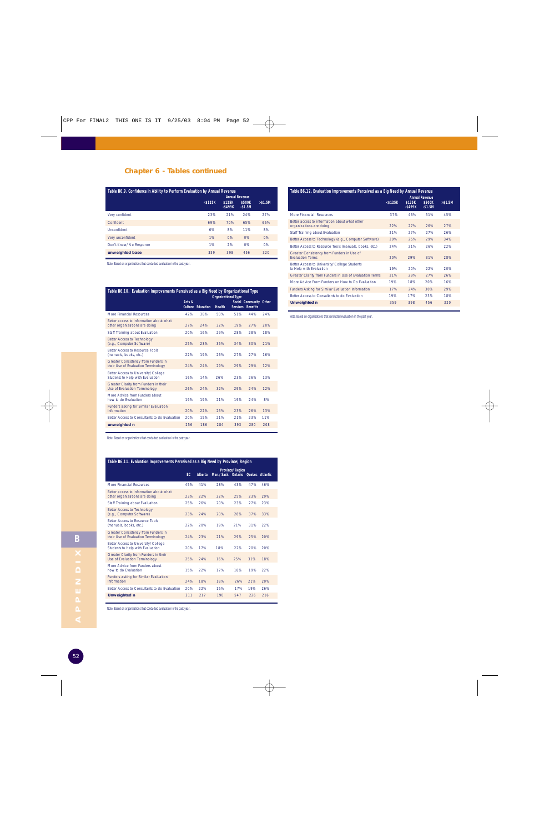#### **Chapter 6 - Tables continued**

| Table B6.9. Confidence in Ability to Perform Evaluation by Annual Revenue |               |                                               |                    |          |
|---------------------------------------------------------------------------|---------------|-----------------------------------------------|--------------------|----------|
|                                                                           | $<$ \$125 $K$ | <b>Annual Revenue</b><br>\$125K<br>$-$ \$499K | \$500K<br>$-$1.5M$ | > \$1.5M |
| Very confident                                                            | 23%           | 21%                                           | 24%                | 27%      |
| Confident                                                                 | 69%           | 70%                                           | 65%                | 66%      |
| Unconfident                                                               | 6%            | 8%                                            | 11%                | 8%       |
| Very unconfident                                                          | 1%            | 0%                                            | 0%                 | 0%       |
| Don't Know/No Response                                                    | 1%            | 2%                                            | 0%                 | 0%       |
| unweighted base                                                           | 359           | 398                                           | 456                | 320      |

Note. Based on organizations that conducted evaluation in the past year.

| Social Community Other                                                                                 |
|--------------------------------------------------------------------------------------------------------|
| 24%                                                                                                    |
| 20%                                                                                                    |
| 18%                                                                                                    |
| 21%                                                                                                    |
| 16%                                                                                                    |
| 12%                                                                                                    |
| 13%                                                                                                    |
| 12%                                                                                                    |
| 8%                                                                                                     |
| 13%                                                                                                    |
| 11%                                                                                                    |
| 208                                                                                                    |
| Table B6.10. Evaluation Improvements Perceived as a Big Need by Organizational Type<br><b>Benefits</b> |

Note. Based on organizations that conducted evaluation in the past year.

| Table B6.11. Evaluation Improvements Perceived as a Big Need by Province/Region |     |                |                                    |                        |     |     |
|---------------------------------------------------------------------------------|-----|----------------|------------------------------------|------------------------|-----|-----|
|                                                                                 | BC. | <b>Alberta</b> | Man./Sask. Ontario Ouebec Atlantic | <b>Province/Region</b> |     |     |
| More Financial Resources                                                        | 45% | 41%            | 28%                                | 43%                    | 47% | 46% |
| Better access to information about what<br>other organizations are doing        | 23% | 22%            | 22%                                | 25%                    | 23% | 29% |
| Staff Training about Evaluation                                                 | 25% | 26%            | 20%                                | 23%                    | 27% | 23% |
| <b>Better Access to Technology</b><br>(e.g., Computer Software)                 | 23% | 24%            | 20%                                | 28%                    | 37% | 33% |
| <b>Better Access to Resource Tools</b><br>(manuals, books, etc.)                | 22% | 20%            | 19%                                | 21%                    | 31% | 22% |
| Greater Consistency from Funders in<br>their Use of Evaluation Terminology      | 24% | 23%            | 21%                                | 29%                    | 25% | 20% |
| Better Access to University/College<br>Students to Help with Evaluation         | 20% | 17%            | 18%                                | 22%                    | 20% | 20% |
| Greater Clarity from Funders in their<br>Use of Evaluation Terminology          | 25% | 24%            | 16%                                | 25%                    | 31% | 18% |
| More Advice from Funders about<br>how to do Evaluation                          | 15% | 22%            | 17%                                | 18%                    | 19% | 22% |
| Funders asking for Similar Evaluation<br>Information                            | 24% | 18%            | 18%                                | 26%                    | 21% | 20% |
| Better Access to Consultants to do Evaluation                                   | 20% | 22%            | 15%                                | 17%                    | 19% | 26% |
| <b>Unweighted n</b>                                                             | 211 | 217            | 190                                | 547                    | 226 | 216 |

Note. Based on organizations that conducted evaluation in the past year.

| Table B6.12. Evaluation Improvements Perceived as a Big Need by Annual Revenue |            |                      |                                             |          |
|--------------------------------------------------------------------------------|------------|----------------------|---------------------------------------------|----------|
|                                                                                | $<$ \$125K | \$125K<br>$-$ \$499K | <b>Annual Revenue</b><br>\$500K<br>$-$1.5M$ | > \$1.5M |
| More Financial Resources                                                       | 37%        | 46%                  | 51%                                         | 45%      |
| Better access to information about what other<br>organizations are doing       | 22%        | 27%                  | 26%                                         | 27%      |
| Staff Training about Evaluation                                                | 21%        | 27%                  | 27%                                         | 26%      |
| Better Access to Technology (e.g., Computer Software)                          | 29%        | 25%                  | 29%                                         | 34%      |
| Better Access to Resource Tools (manuals, books, etc.)                         | 24%        | 21%                  | 26%                                         | 22%      |
| Greater Consistency from Funders in Use of<br><b>Fvaluation Terms</b>          | 20%        | 29%                  | 31%                                         | 28%      |
| Better Access to University/College Students<br>to Help with Evaluation        | 19%        | 20%                  | 22%                                         | 20%      |
| Greater Clarity from Funders in Use of Evaluation Terms                        | 21%        | 29%                  | 27%                                         | 26%      |
| More Advice From Funders on How to Do Evaluation                               | 19%        | 18%                  | 20%                                         | 16%      |
| Funders Asking for Similar Evaluation Information                              | 17%        | 24%                  | 30%                                         | 29%      |
| Better Access to Consultants to do Evaluation                                  | 19%        | 17%                  | 23%                                         | 18%      |
| <b>Unweighted n</b>                                                            | 359        | 398                  | 456                                         | 320      |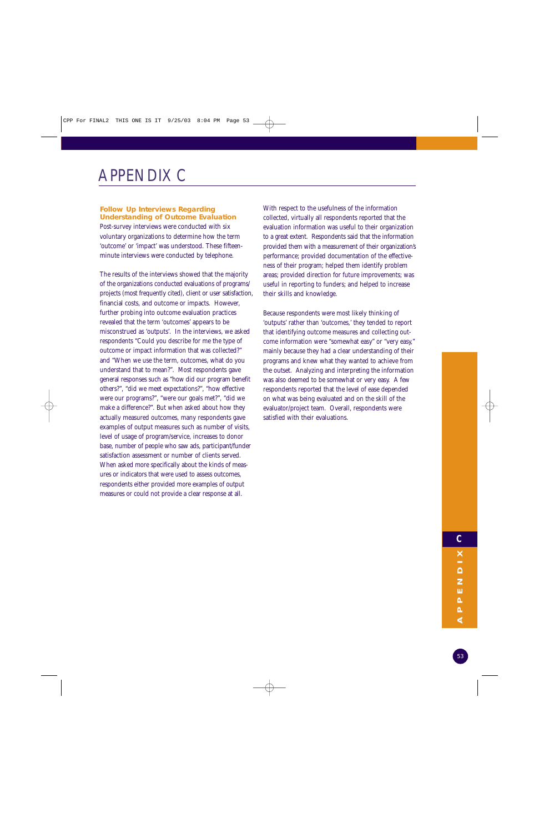## APPENDIX C

#### **Follow Up Interviews Regarding Understanding of Outcome Evaluation**

Post-survey interviews were conducted with six voluntary organizations to determine how the term 'outcome' or 'impact' was understood. These fifteenminute interviews were conducted by telephone.

The results of the interviews showed that the majority of the organizations conducted evaluations of programs/ projects (most frequently cited), client or user satisfaction, financial costs, and outcome or impacts. However, further probing into outcome evaluation practices revealed that the term 'outcomes' appears to be misconstrued as 'outputs'. In the interviews, we asked respondents "Could you describe for me the type of outcome or impact information that was collected?" and "When we use the term, outcomes, what do you understand that to mean?". Most respondents gave general responses such as "how did our program benefit others?", "did we meet expectations?", "how effective were our programs?", "were our goals met?", "did we make a difference?". But when asked about how they actually measured outcomes, many respondents gave examples of output measures such as number of visits, level of usage of program/service, increases to donor base, number of people who saw ads, participant/funder satisfaction assessment or number of clients served. When asked more specifically about the kinds of measures or indicators that were used to assess outcomes, respondents either provided more examples of output measures or could not provide a clear response at all.

With respect to the usefulness of the information collected, virtually all respondents reported that the evaluation information was useful to their organization to a great extent. Respondents said that the information provided them with a measurement of their organization's performance; provided documentation of the effectiveness of their program; helped them identify problem areas; provided direction for future improvements; was useful in reporting to funders; and helped to increase their skills and knowledge.

Because respondents were most likely thinking of 'outputs' rather than 'outcomes,' they tended to report that identifying outcome measures and collecting outcome information were "somewhat easy" or "very easy," mainly because they had a clear understanding of their programs and knew what they wanted to achieve from the outset. Analyzing and interpreting the information was also deemed to be somewhat or very easy. A few respondents reported that the level of ease depended on what was being evaluated and on the skill of the evaluator/project team. Overall, respondents were satisfied with their evaluations.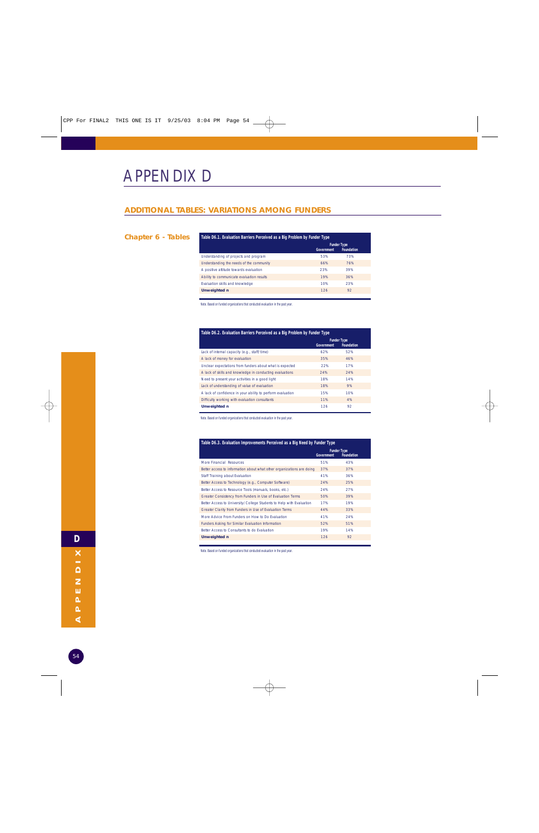## APPENDIX D

#### **ADDITIONAL TABLES: VARIATIONS AMONG FUNDERS**

#### **Chapter 6 - Tables**

| Table D6.1. Evaluation Barriers Perceived as a Big Problem by Funder Type |                                                              |     |  |
|---------------------------------------------------------------------------|--------------------------------------------------------------|-----|--|
|                                                                           | <b>Funder Type</b><br><b>Government</b><br><b>Foundation</b> |     |  |
| Understanding of projects and program                                     | 53%                                                          | 73% |  |
| Understanding the needs of the community                                  | 66%                                                          | 76% |  |
| A positive attitude towards evaluation                                    | 23%                                                          | 39% |  |
| Ability to communicate evaluation results                                 | 19%                                                          | 36% |  |
| Evaluation skills and knowledge                                           | 10%                                                          | 23% |  |
| <b>Unweighted n</b>                                                       | 126                                                          | 92  |  |

Note. Based on funded organizations that conducted evaluation in the past year.

| Table D6.2. Evaluation Barriers Perceived as a Big Problem by Funder Type |                   |                                         |  |
|---------------------------------------------------------------------------|-------------------|-----------------------------------------|--|
|                                                                           | <b>Government</b> | <b>Funder Type</b><br><b>Foundation</b> |  |
| Lack of internal capacity (e.g., staff/time)                              | 62%               | 52%                                     |  |
| A lack of money for evaluation                                            | 35%               | 46%                                     |  |
| Unclear expectations from funders about what is expected                  | 22%               | 17%                                     |  |
| A lack of skills and knowledge in conducting evaluations                  | 24%               | 24%                                     |  |
| Need to present your activities in a good light                           | 18%               | 14%                                     |  |
| Lack of understanding of value of evaluation                              | 18%               | 9%                                      |  |
| A lack of confidence in your ability to perform evaluation                | 15%               | 10%                                     |  |
| Difficulty working with evaluation consultants                            | 11%               | 4%                                      |  |
| <b>Unweighted n</b>                                                       | 126               | 92                                      |  |

Note. Based on funded organizations that conducted evaluation in the past year.

| Table D6.3. Evaluation Improvements Perceived as a Big Need by Funder Type |                   |                                         |  |  |
|----------------------------------------------------------------------------|-------------------|-----------------------------------------|--|--|
|                                                                            | <b>Government</b> | <b>Funder Type</b><br><b>Foundation</b> |  |  |
| More Financial Resources                                                   | 51%               | 43%                                     |  |  |
| Better access to information about what other organizations are doing      | 37%               | 37%                                     |  |  |
| Staff Training about Evaluation                                            | 41%               | 36%                                     |  |  |
| Better Access to Technology (e.g., Computer Software)                      | 24%               | 25%                                     |  |  |
| Better Access to Resource Tools (manuals, books, etc.)                     | 24%               | 27%                                     |  |  |
| Greater Consistency from Funders in Use of Evaluation Terms                | 50%               | 39%                                     |  |  |
| Better Access to University/College Students to Help with Evaluation       | 17%               | 19%                                     |  |  |
| Greater Clarity from Funders in Use of Evaluation Terms                    | 44%               | 33%                                     |  |  |
| More Advice From Funders on How to Do Evaluation                           | 41%               | 24%                                     |  |  |
| Funders Asking for Similar Evaluation Information                          | 52%               | 51%                                     |  |  |
| Better Access to Consultants to do Evaluation                              | 19%               | 14%                                     |  |  |
| <b>Unweighted n</b>                                                        | 126               | 92                                      |  |  |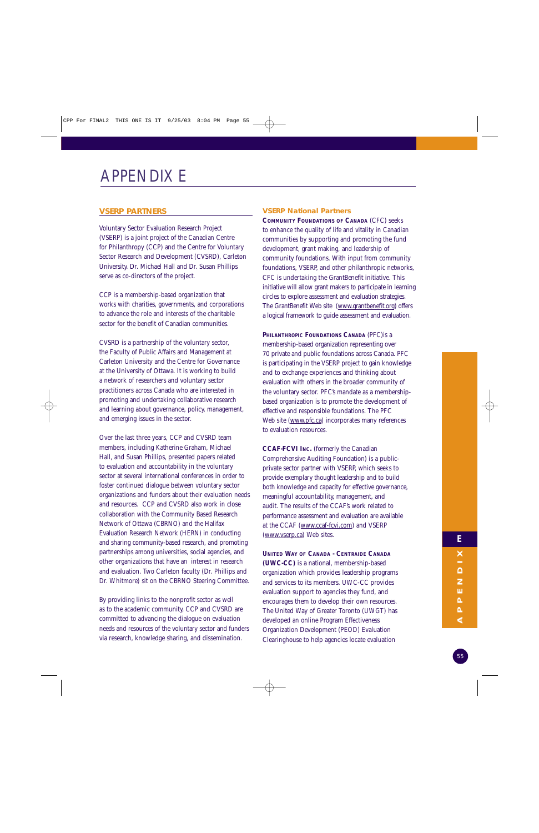## APPENDIX E

#### **VSERP PARTNERS**

Voluntary Sector Evaluation Research Project (VSERP) is a joint project of the Canadian Centre for Philanthropy (CCP) and the Centre for Voluntary Sector Research and Development (CVSRD), Carleton University. Dr. Michael Hall and Dr. Susan Phillips serve as co-directors of the project.

CCP is a membership-based organization that works with charities, governments, and corporations to advance the role and interests of the charitable sector for the benefit of Canadian communities.

CVSRD is a partnership of the voluntary sector, the Faculty of Public Affairs and Management at Carleton University and the Centre for Governance at the University of Ottawa. It is working to build a network of researchers and voluntary sector practitioners across Canada who are interested in promoting and undertaking collaborative research and learning about governance, policy, management, and emerging issues in the sector.

Over the last three years, CCP and CVSRD team members, including Katherine Graham, Michael Hall, and Susan Phillips, presented papers related to evaluation and accountability in the voluntary sector at several international conferences in order to foster continued dialogue between voluntary sector organizations and funders about their evaluation needs and resources. CCP and CVSRD also work in close collaboration with the Community Based Research Network of Ottawa (CBRNO) and the Halifax Evaluation Research Network (HERN) in conducting and sharing community-based research, and promoting partnerships among universities, social agencies, and other organizations that have an interest in research and evaluation. Two Carleton faculty (Dr. Phillips and Dr. Whitmore) sit on the CBRNO Steering Committee.

By providing links to the nonprofit sector as well as to the academic community, CCP and CVSRD are committed to advancing the dialogue on evaluation needs and resources of the voluntary sector and funders via research, knowledge sharing, and dissemination.

#### **VSERP National Partners**

**COMMUNITY FOUNDATIONS OF CANADA** (CFC) seeks to enhance the quality of life and vitality in Canadian communities by supporting and promoting the fund development, grant making, and leadership of community foundations. With input from community foundations, VSERP, and other philanthropic networks, CFC is undertaking the GrantBenefit initiative. This initiative will allow grant makers to participate in learning circles to explore assessment and evaluation strategies. The GrantBenefit Web site (www.grantbenefit.org) offers a logical framework to guide assessment and evaluation.

**PHILANTHROPIC FOUNDATIONS CANADA** (PFC)is a membership-based organization representing over 70 private and public foundations across Canada. PFC is participating in the VSERP project to gain knowledge and to exchange experiences and thinking about evaluation with others in the broader community of the voluntary sector. PFC's mandate as a membershipbased organization is to promote the development of effective and responsible foundations. The PFC Web site (www.pfc.ca) incorporates many references to evaluation resources.

**CCAF-FCVI INC.** (formerly the Canadian Comprehensive Auditing Foundation) is a publicprivate sector partner with VSERP, which seeks to provide exemplary thought leadership and to build both knowledge and capacity for effective governance, meaningful accountability, management, and audit. The results of the CCAF's work related to performance assessment and evaluation are available at the CCAF (www.ccaf-fcvi.com) and VSERP (www.vserp.ca) Web sites.

**UNITED WAY OF CANADA - CENTRAIDE CANADA (UWC-CC)** is a national, membership-based organization which provides leadership programs and services to its members. UWC-CC provides evaluation support to agencies they fund, and encourages them to develop their own resources. The United Way of Greater Toronto (UWGT) has developed an online Program Effectiveness Organization Development (PEOD) Evaluation Clearinghouse to help agencies locate evaluation